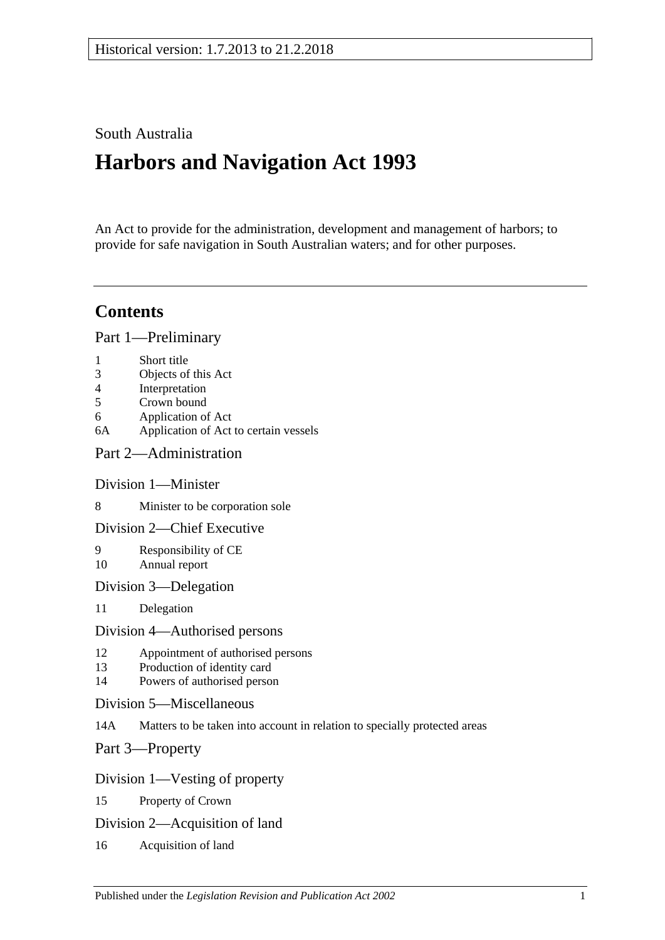# South Australia

# **Harbors and Navigation Act 1993**

An Act to provide for the administration, development and management of harbors; to provide for safe navigation in South Australian waters; and for other purposes.

# **Contents**

[Part 1—Preliminary](#page-6-0)

- 1 [Short title](#page-6-1)
- 3 [Objects of this Act](#page-6-2)
- 4 [Interpretation](#page-6-3)
- 5 [Crown bound](#page-10-0)
- 6 [Application of Act](#page-10-1)
- 6A [Application of Act to certain vessels](#page-11-0)
- [Part 2—Administration](#page-12-0)

#### [Division 1—Minister](#page-12-1)

8 [Minister to be corporation sole](#page-12-2)

#### [Division 2—Chief Executive](#page-12-3)

- 9 [Responsibility of CE](#page-12-4) 10 [Annual report](#page-12-5)
- [Division 3—Delegation](#page-12-6)
- 11 [Delegation](#page-12-7)

#### [Division 4—Authorised persons](#page-12-8)

- 12 [Appointment of authorised persons](#page-12-9)
- 13 [Production of identity card](#page-13-0)
- 14 [Powers of authorised person](#page-13-1)
- [Division 5—Miscellaneous](#page-15-0)
- 14A [Matters to be taken into account in relation to specially protected areas](#page-15-1)

[Part 3—Property](#page-16-0)

#### [Division 1—Vesting of property](#page-16-1)

- 15 [Property of Crown](#page-16-2)
- [Division 2—Acquisition of land](#page-16-3)
- 16 [Acquisition of land](#page-16-4)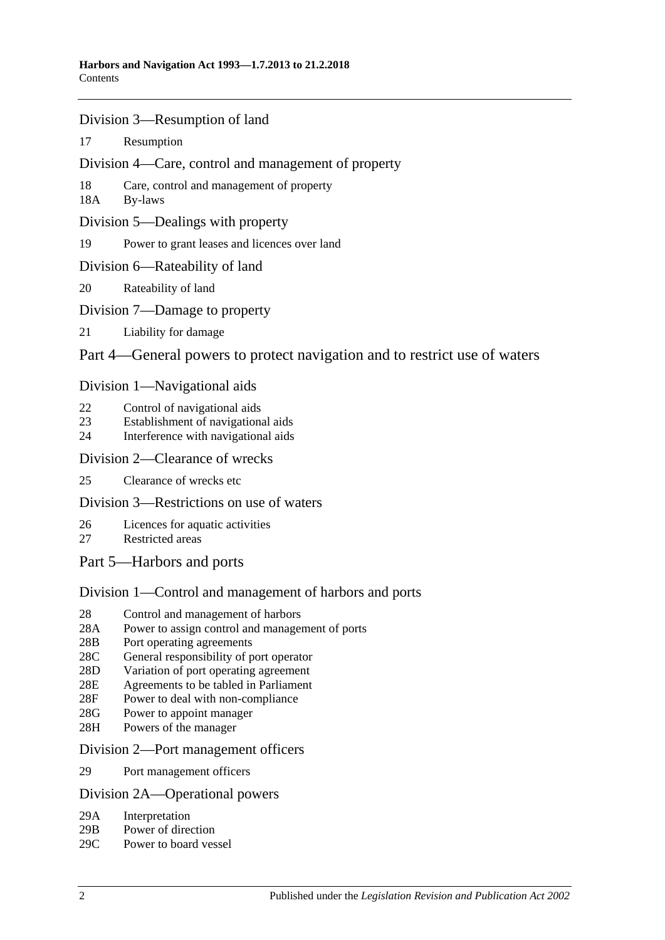- [Division 3—Resumption of land](#page-16-5)
- 17 [Resumption](#page-16-6)
- [Division 4—Care, control and management of property](#page-17-0)
- 18 [Care, control and management of property](#page-17-1)
- 18A [By-laws](#page-17-2)
- [Division 5—Dealings with property](#page-18-0)
- 19 [Power to grant leases and licences over land](#page-18-1)
- [Division 6—Rateability of land](#page-18-2)
- 20 [Rateability of land](#page-18-3)
- [Division 7—Damage to property](#page-18-4)
- 21 [Liability for damage](#page-18-5)
- [Part 4—General powers to protect navigation and to restrict use of waters](#page-20-0)

### [Division 1—Navigational aids](#page-20-1)

- 22 [Control of navigational aids](#page-20-2)
- 23 [Establishment of navigational aids](#page-20-3)
- 24 [Interference with navigational aids](#page-20-4)

#### [Division 2—Clearance of wrecks](#page-21-0)

25 [Clearance of wrecks etc](#page-21-1)

#### [Division 3—Restrictions on use of waters](#page-21-2)

- 26 [Licences for aquatic activities](#page-21-3)
- 27 [Restricted areas](#page-22-0)
- [Part 5—Harbors and ports](#page-24-0)

## [Division 1—Control and management of harbors and ports](#page-24-1)

- 28 [Control and management of harbors](#page-24-2)
- 28A [Power to assign control and management of ports](#page-24-3)
- 28B [Port operating agreements](#page-24-4)
- 28C [General responsibility of port operator](#page-25-0)
- 28D [Variation of port operating agreement](#page-25-1)
- 28E [Agreements to be tabled in Parliament](#page-25-2)
- 28F [Power to deal with non-compliance](#page-25-3)
- 28G [Power to appoint manager](#page-26-0)
- 28H [Powers of the manager](#page-26-1)

#### [Division 2—Port management officers](#page-27-0)

29 [Port management officers](#page-27-1)

#### [Division 2A—Operational powers](#page-27-2)

- 29A [Interpretation](#page-27-3)
- 29B [Power of direction](#page-27-4)
- 29C [Power to board vessel](#page-28-0)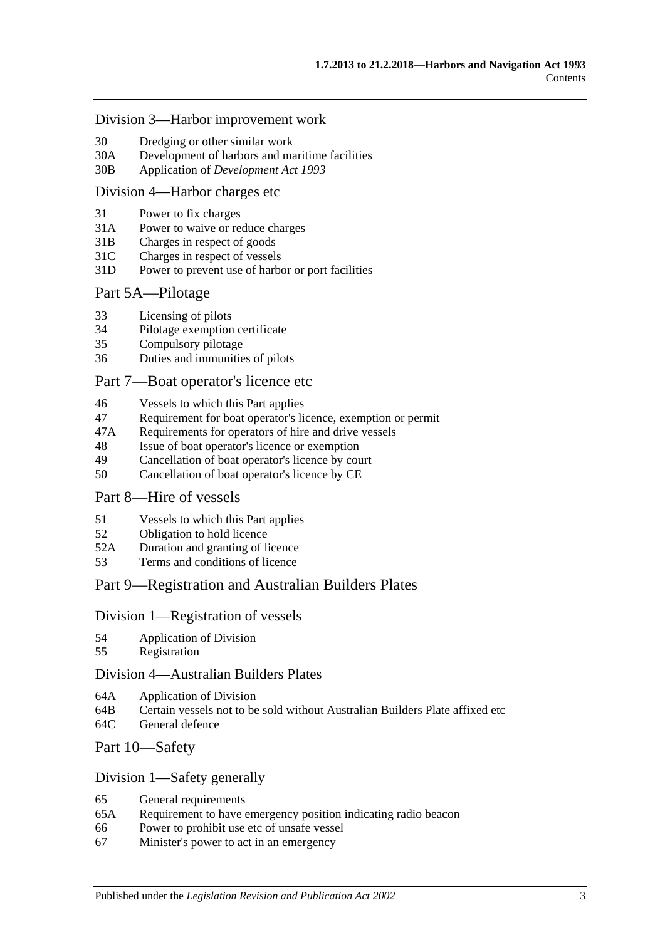#### [Division 3—Harbor improvement work](#page-28-1)

- 30 [Dredging or other similar work](#page-28-2)
- 30A [Development of harbors and maritime facilities](#page-28-3)
- 30B Application of *[Development Act](#page-29-0) 1993*

#### [Division 4—Harbor charges etc](#page-29-1)

- 31 [Power to fix charges](#page-29-2)
- 31A [Power to waive or reduce charges](#page-29-3)
- 31B [Charges in respect of goods](#page-29-4)
- 31C [Charges in respect of vessels](#page-30-0)
- 31D [Power to prevent use of harbor or port facilities](#page-30-1)

#### [Part 5A—Pilotage](#page-32-0)

- 33 [Licensing of pilots](#page-32-1)
- 34 [Pilotage exemption certificate](#page-32-2)
- 35 [Compulsory pilotage](#page-33-0)
- 36 [Duties and immunities of pilots](#page-33-1)

#### [Part 7—Boat operator's licence etc](#page-34-0)

- 46 [Vessels to which this Part applies](#page-34-1)
- 47 [Requirement for boat operator's licence, exemption or permit](#page-34-2)
- 47A [Requirements for operators of hire and drive vessels](#page-35-0)
- 48 [Issue of boat operator's licence or exemption](#page-36-0)
- 49 [Cancellation of boat operator's licence by court](#page-37-0)
- 50 [Cancellation of boat operator's licence by CE](#page-37-1)

### [Part 8—Hire of vessels](#page-40-0)

- 51 [Vessels to which this Part applies](#page-40-1)
- 52 [Obligation to hold licence](#page-40-2)
- 52A [Duration and granting of licence](#page-40-3)
- 53 [Terms and conditions of licence](#page-40-4)

#### [Part 9—Registration and Australian Builders Plates](#page-42-0)

#### [Division 1—Registration of vessels](#page-42-1)

- 54 [Application of Division](#page-42-2)
- 55 [Registration](#page-42-3)

#### [Division 4—Australian Builders Plates](#page-42-4)

- 64A [Application of Division](#page-42-5)
- 64B [Certain vessels not to be sold without Australian Builders Plate affixed etc](#page-43-0)
- 64C [General defence](#page-43-1)

### [Part 10—Safety](#page-46-0)

#### [Division 1—Safety generally](#page-46-1)

- 65 [General requirements](#page-46-2)
- 65A [Requirement to have emergency position indicating radio beacon](#page-46-3)
- 66 [Power to prohibit use etc of unsafe vessel](#page-46-4)
- 67 [Minister's power to act in an emergency](#page-47-0)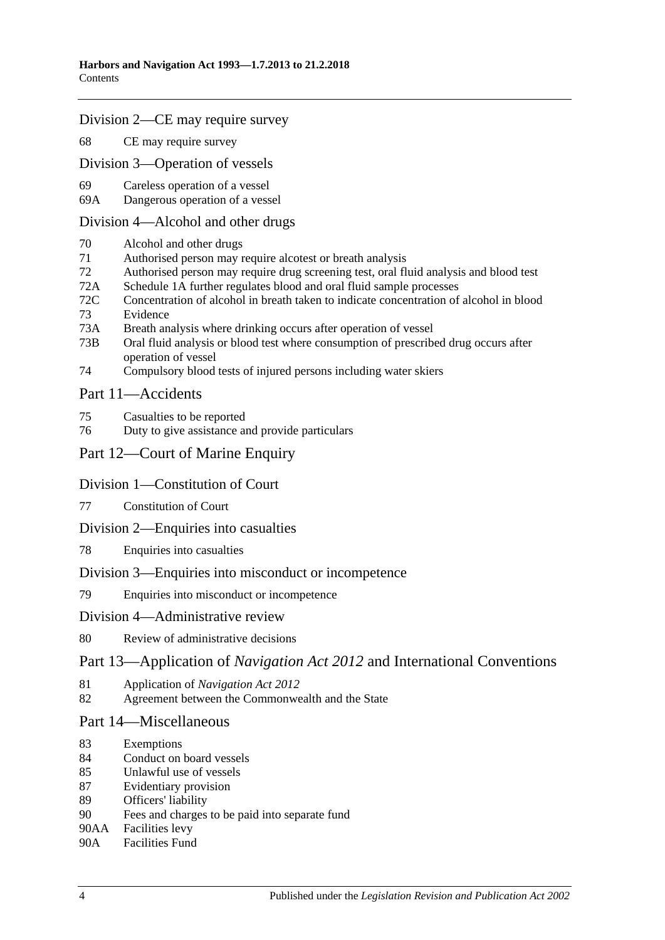#### [Division 2—CE may require survey](#page-47-1)

68 [CE may require survey](#page-47-2)

[Division 3—Operation of vessels](#page-48-0)

- 69 [Careless operation of a](#page-48-1) vessel
- 69A [Dangerous operation of a vessel](#page-48-2)

#### [Division 4—Alcohol and other drugs](#page-49-0)

- 70 [Alcohol and other drugs](#page-49-1)
- 71 [Authorised person may require alcotest or breath analysis](#page-50-0)
- 72 [Authorised person may require drug screening test, oral fluid analysis and blood test](#page-53-0)
- 72A [Schedule 1A](#page-56-0) [further regulates blood and oral fluid sample processes](#page-56-0)
- 72C [Concentration of alcohol in breath taken to indicate concentration of alcohol in blood](#page-56-1) 73 [Evidence](#page-56-2)
- 
- 73A [Breath analysis where drinking occurs after operation of vessel](#page-60-0)
- 73B [Oral fluid analysis or blood test where consumption of prescribed drug occurs after](#page-61-0)  [operation of vessel](#page-61-0)
- 74 [Compulsory blood tests of injured persons including water skiers](#page-62-0)

### [Part 11—Accidents](#page-64-0)

- 75 [Casualties to be reported](#page-64-1)
- 76 [Duty to give assistance and provide particulars](#page-64-2)

# [Part 12—Court of Marine Enquiry](#page-66-0)

## [Division 1—Constitution of Court](#page-66-1)

- 77 [Constitution of Court](#page-66-2)
- [Division 2—Enquiries into casualties](#page-66-3)
- 78 [Enquiries into casualties](#page-66-4)

#### [Division 3—Enquiries into misconduct or incompetence](#page-66-5)

79 [Enquiries into misconduct or incompetence](#page-66-6)

#### [Division 4—Administrative review](#page-67-0)

#### 80 [Review of administrative decisions](#page-67-1)

## Part 13—Application of *Navigation Act 2012* [and International Conventions](#page-68-0)

- 81 Application of *[Navigation Act 2012](#page-68-1)*
- 82 [Agreement between the Commonwealth and the State](#page-68-2)

#### [Part 14—Miscellaneous](#page-70-0)

- 83 [Exemptions](#page-70-1)
- 84 [Conduct on board vessels](#page-70-2)
- 85 [Unlawful use of vessels](#page-70-3)
- 87 [Evidentiary provision](#page-70-4)
- 89 [Officers' liability](#page-71-0)
- 90 [Fees and charges to be paid into separate fund](#page-72-0)
- 90AA [Facilities levy](#page-72-1)
- 90A [Facilities Fund](#page-72-2)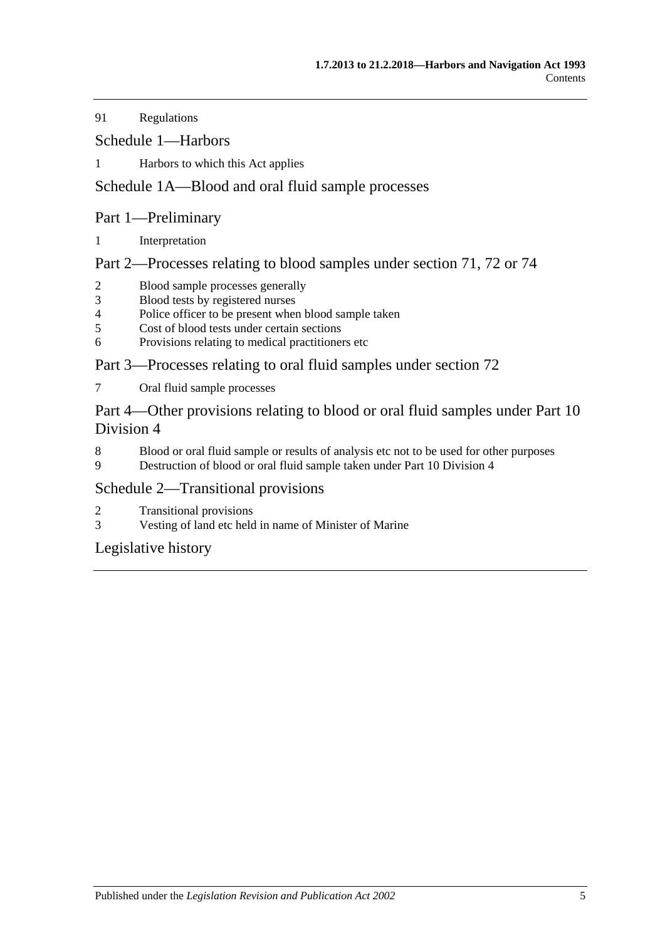91 [Regulations](#page-73-0)

[Schedule 1—Harbors](#page-76-0)

1 [Harbors to which this Act applies](#page-76-1)

# [Schedule 1A—Blood and oral fluid sample processes](#page-77-0)

# Part 1—Preliminary

1 [Interpretation](#page-77-1)

Part 2—Processes relating to blood samples under section 71, 72 or 74

- 2 [Blood sample processes generally](#page-77-2)<br>3 Blood tests by registered nurses
- [Blood tests by registered nurses](#page-79-0)
- 4 [Police officer to be present when blood sample taken](#page-79-1)<br>5 Cost of blood tests under certain sections
- [Cost of blood tests under certain sections](#page-79-2)
- 6 [Provisions relating to medical practitioners etc](#page-79-3)

Part 3—Processes relating to oral fluid samples under section 72

7 [Oral fluid sample processes](#page-80-0)

Part 4—Other provisions relating to blood or oral fluid samples under Part 10 Division 4

- 8 [Blood or oral fluid sample or results of analysis etc not to be used for other purposes](#page-82-0)
- 9 [Destruction of blood or oral fluid sample taken under Part 10 Division 4](#page-82-1)

# [Schedule 2—Transitional provisions](#page-82-2)

- 2 [Transitional provisions](#page-82-3)
- 3 [Vesting of land etc held in name of Minister of Marine](#page-83-0)

[Legislative history](#page-84-0)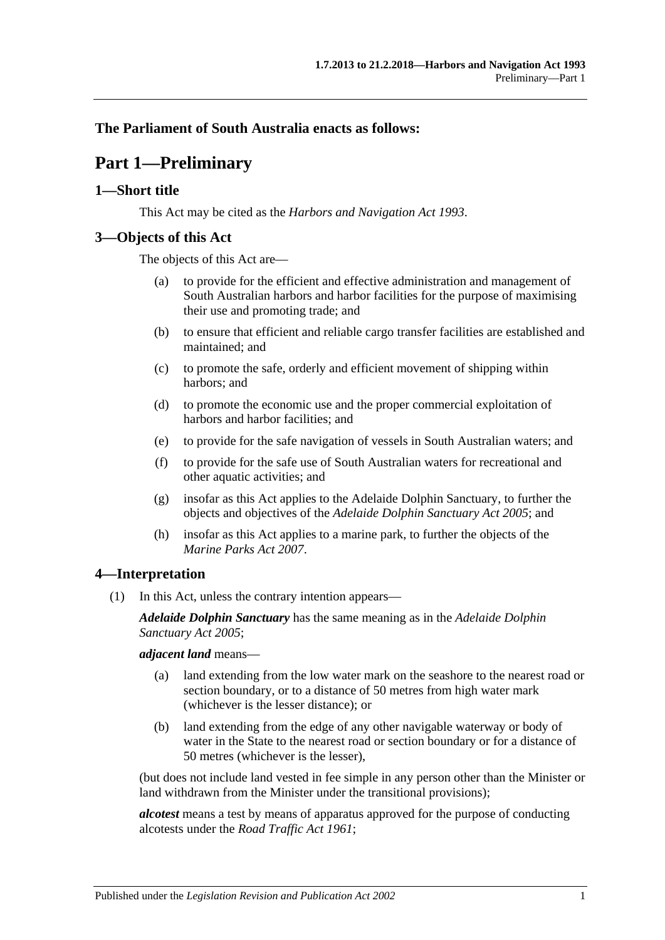# <span id="page-6-0"></span>**The Parliament of South Australia enacts as follows:**

# **Part 1—Preliminary**

### <span id="page-6-1"></span>**1—Short title**

This Act may be cited as the *Harbors and Navigation Act 1993*.

## <span id="page-6-2"></span>**3—Objects of this Act**

The objects of this Act are—

- (a) to provide for the efficient and effective administration and management of South Australian harbors and harbor facilities for the purpose of maximising their use and promoting trade; and
- (b) to ensure that efficient and reliable cargo transfer facilities are established and maintained; and
- (c) to promote the safe, orderly and efficient movement of shipping within harbors; and
- (d) to promote the economic use and the proper commercial exploitation of harbors and harbor facilities; and
- (e) to provide for the safe navigation of vessels in South Australian waters; and
- (f) to provide for the safe use of South Australian waters for recreational and other aquatic activities; and
- (g) insofar as this Act applies to the Adelaide Dolphin Sanctuary, to further the objects and objectives of the *[Adelaide Dolphin Sanctuary Act](http://www.legislation.sa.gov.au/index.aspx?action=legref&type=act&legtitle=Adelaide%20Dolphin%20Sanctuary%20Act%202005) 2005*; and
- (h) insofar as this Act applies to a marine park, to further the objects of the *[Marine Parks Act](http://www.legislation.sa.gov.au/index.aspx?action=legref&type=act&legtitle=Marine%20Parks%20Act%202007) 2007*.

## <span id="page-6-3"></span>**4—Interpretation**

(1) In this Act, unless the contrary intention appears—

*Adelaide Dolphin Sanctuary* has the same meaning as in the *[Adelaide Dolphin](http://www.legislation.sa.gov.au/index.aspx?action=legref&type=act&legtitle=Adelaide%20Dolphin%20Sanctuary%20Act%202005)  [Sanctuary Act](http://www.legislation.sa.gov.au/index.aspx?action=legref&type=act&legtitle=Adelaide%20Dolphin%20Sanctuary%20Act%202005) 2005*;

*adjacent land* means—

- (a) land extending from the low water mark on the seashore to the nearest road or section boundary, or to a distance of 50 metres from high water mark (whichever is the lesser distance); or
- (b) land extending from the edge of any other navigable waterway or body of water in the State to the nearest road or section boundary or for a distance of 50 metres (whichever is the lesser),

(but does not include land vested in fee simple in any person other than the Minister or land withdrawn from the Minister under the transitional provisions);

*alcotest* means a test by means of apparatus approved for the purpose of conducting alcotests under the *[Road Traffic Act](http://www.legislation.sa.gov.au/index.aspx?action=legref&type=act&legtitle=Road%20Traffic%20Act%201961) 1961*;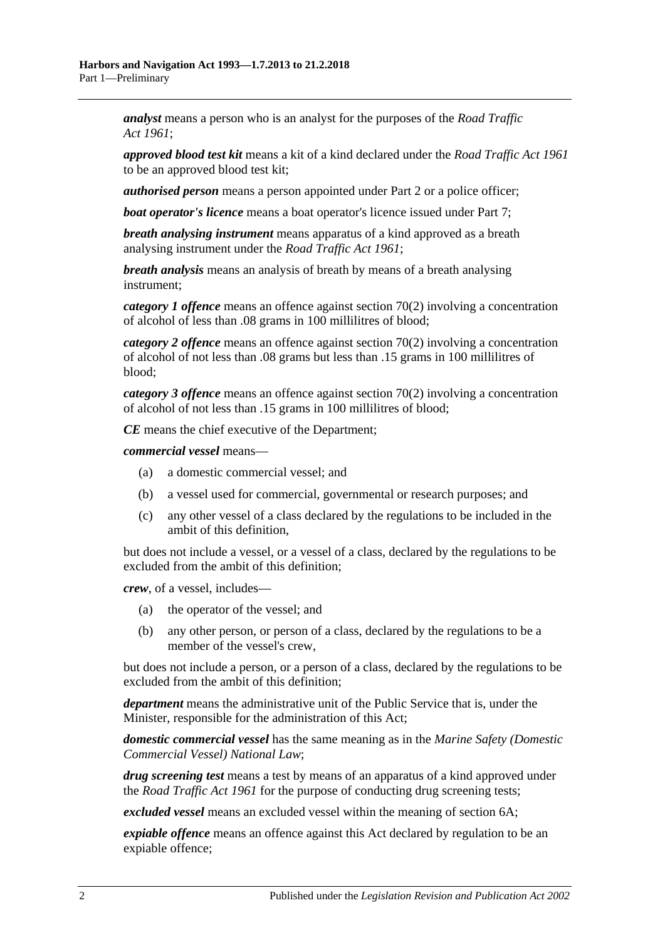*analyst* means a person who is an analyst for the purposes of the *[Road Traffic](http://www.legislation.sa.gov.au/index.aspx?action=legref&type=act&legtitle=Road%20Traffic%20Act%201961)  Act [1961](http://www.legislation.sa.gov.au/index.aspx?action=legref&type=act&legtitle=Road%20Traffic%20Act%201961)*;

*approved blood test kit* means a kit of a kind declared under the *[Road Traffic Act](http://www.legislation.sa.gov.au/index.aspx?action=legref&type=act&legtitle=Road%20Traffic%20Act%201961) 1961* to be an approved blood test kit;

*authorised person* means a person appointed under [Part 2](#page-12-0) or a police officer;

*boat operator's licence* means a boat operator's licence issued under [Part 7;](#page-34-0)

*breath analysing instrument* means apparatus of a kind approved as a breath analysing instrument under the *[Road Traffic Act](http://www.legislation.sa.gov.au/index.aspx?action=legref&type=act&legtitle=Road%20Traffic%20Act%201961) 1961*;

*breath analysis* means an analysis of breath by means of a breath analysing instrument;

*category 1 offence* means an offence against [section](#page-49-2) 70(2) involving a concentration of alcohol of less than .08 grams in 100 millilitres of blood;

*category 2 offence* means an offence against [section](#page-49-2) 70(2) involving a concentration of alcohol of not less than .08 grams but less than .15 grams in 100 millilitres of blood;

*category 3 offence* means an offence against [section](#page-49-2) 70(2) involving a concentration of alcohol of not less than .15 grams in 100 millilitres of blood;

*CE* means the chief executive of the Department;

*commercial vessel* means—

- (a) a domestic commercial vessel; and
- (b) a vessel used for commercial, governmental or research purposes; and
- (c) any other vessel of a class declared by the regulations to be included in the ambit of this definition,

but does not include a vessel, or a vessel of a class, declared by the regulations to be excluded from the ambit of this definition;

*crew*, of a vessel, includes—

- (a) the operator of the vessel; and
- (b) any other person, or person of a class, declared by the regulations to be a member of the vessel's crew,

but does not include a person, or a person of a class, declared by the regulations to be excluded from the ambit of this definition;

*department* means the administrative unit of the Public Service that is, under the Minister, responsible for the administration of this Act;

*domestic commercial vessel* has the same meaning as in the *[Marine Safety \(Domestic](http://www.legislation.sa.gov.au/index.aspx?action=legref&type=act&legtitle=Marine%20Safety%20(Domestic%20Commercial%20Vessel)%20National%20Law)  [Commercial Vessel\) National Law](http://www.legislation.sa.gov.au/index.aspx?action=legref&type=act&legtitle=Marine%20Safety%20(Domestic%20Commercial%20Vessel)%20National%20Law)*;

*drug screening test* means a test by means of an apparatus of a kind approved under the *[Road Traffic Act](http://www.legislation.sa.gov.au/index.aspx?action=legref&type=act&legtitle=Road%20Traffic%20Act%201961) 1961* for the purpose of conducting drug screening tests;

*excluded vessel* means an excluded vessel within the meaning of [section](#page-11-0) 6A;

*expiable offence* means an offence against this Act declared by regulation to be an expiable offence;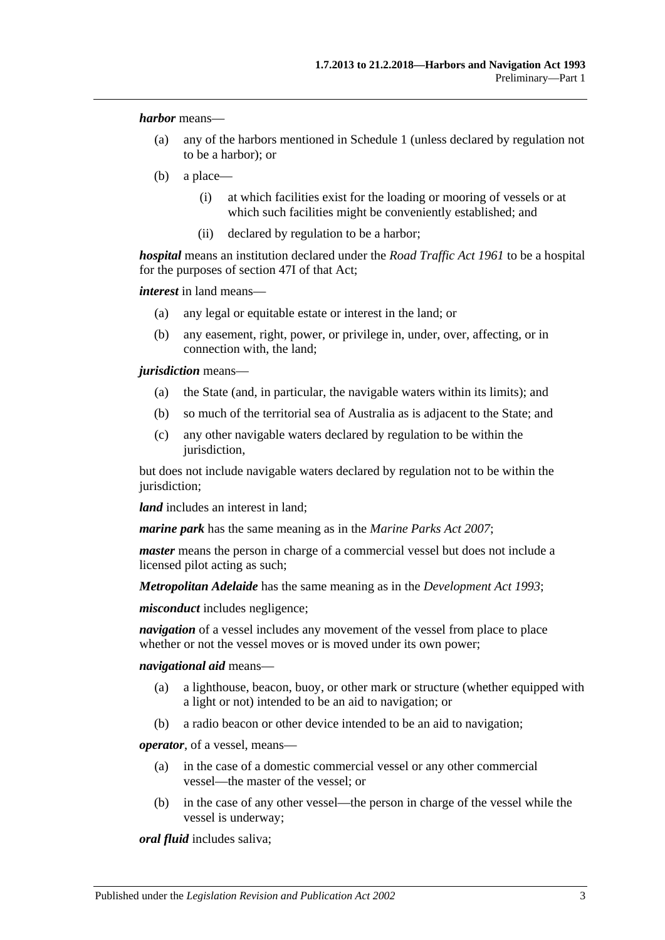*harbor* means—

- (a) any of the harbors mentioned in [Schedule 1](#page-76-0) (unless declared by regulation not to be a harbor); or
- (b) a place—
	- (i) at which facilities exist for the loading or mooring of vessels or at which such facilities might be conveniently established; and
	- (ii) declared by regulation to be a harbor;

*hospital* means an institution declared under the *[Road Traffic Act](http://www.legislation.sa.gov.au/index.aspx?action=legref&type=act&legtitle=Road%20Traffic%20Act%201961) 1961* to be a hospital for the purposes of section 47I of that Act;

*interest* in land means—

- (a) any legal or equitable estate or interest in the land; or
- (b) any easement, right, power, or privilege in, under, over, affecting, or in connection with, the land;

*jurisdiction* means—

- (a) the State (and, in particular, the navigable waters within its limits); and
- (b) so much of the territorial sea of Australia as is adjacent to the State; and
- (c) any other navigable waters declared by regulation to be within the jurisdiction,

but does not include navigable waters declared by regulation not to be within the jurisdiction:

*land* includes an interest in land:

*marine park* has the same meaning as in the *[Marine Parks Act](http://www.legislation.sa.gov.au/index.aspx?action=legref&type=act&legtitle=Marine%20Parks%20Act%202007) 2007*;

*master* means the person in charge of a commercial vessel but does not include a licensed pilot acting as such;

*Metropolitan Adelaide* has the same meaning as in the *[Development Act](http://www.legislation.sa.gov.au/index.aspx?action=legref&type=act&legtitle=Development%20Act%201993) 1993*;

*misconduct* includes negligence;

*navigation* of a vessel includes any movement of the vessel from place to place whether or not the vessel moves or is moved under its own power;

*navigational aid* means—

- (a) a lighthouse, beacon, buoy, or other mark or structure (whether equipped with a light or not) intended to be an aid to navigation; or
- (b) a radio beacon or other device intended to be an aid to navigation;

*operator*, of a vessel, means—

- (a) in the case of a domestic commercial vessel or any other commercial vessel—the master of the vessel; or
- (b) in the case of any other vessel—the person in charge of the vessel while the vessel is underway;

*oral fluid* includes saliva;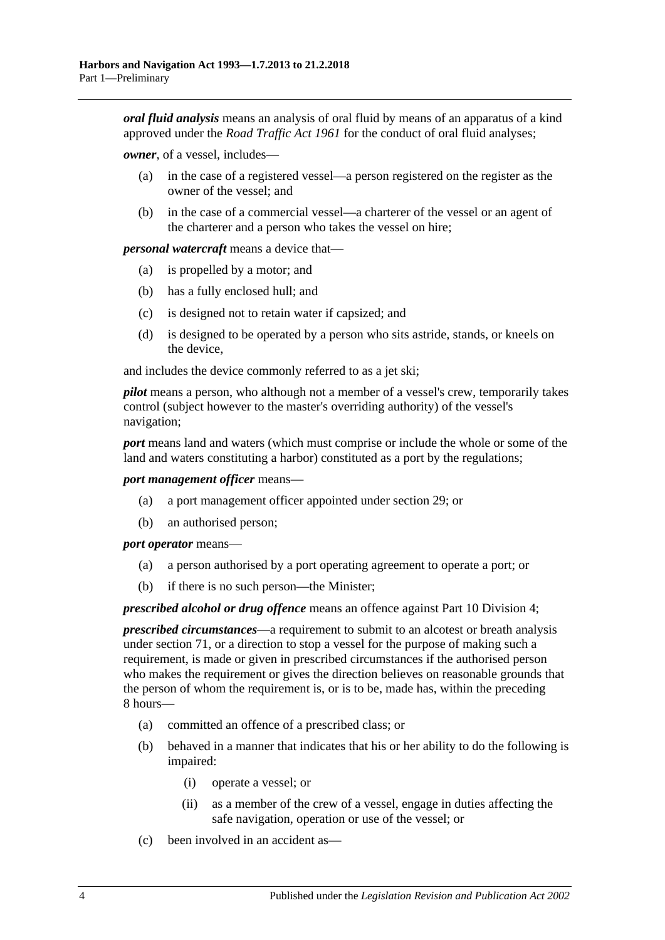*oral fluid analysis* means an analysis of oral fluid by means of an apparatus of a kind approved under the *[Road Traffic Act](http://www.legislation.sa.gov.au/index.aspx?action=legref&type=act&legtitle=Road%20Traffic%20Act%201961) 1961* for the conduct of oral fluid analyses;

*owner*, of a vessel, includes—

- (a) in the case of a registered vessel—a person registered on the register as the owner of the vessel; and
- (b) in the case of a commercial vessel—a charterer of the vessel or an agent of the charterer and a person who takes the vessel on hire;

*personal watercraft* means a device that—

- (a) is propelled by a motor; and
- (b) has a fully enclosed hull; and
- (c) is designed not to retain water if capsized; and
- (d) is designed to be operated by a person who sits astride, stands, or kneels on the device,

and includes the device commonly referred to as a jet ski;

*pilot* means a person, who although not a member of a vessel's crew, temporarily takes control (subject however to the master's overriding authority) of the vessel's navigation;

*port* means land and waters (which must comprise or include the whole or some of the land and waters constituting a harbor) constituted as a port by the regulations;

*port management officer* means—

- (a) a port management officer appointed under [section](#page-27-1) 29; or
- (b) an authorised person;

*port operator* means—

- (a) a person authorised by a port operating agreement to operate a port; or
- (b) if there is no such person—the Minister;

*prescribed alcohol or drug offence* means an offence against [Part 10 Division 4;](#page-49-0)

*prescribed circumstances*—a requirement to submit to an alcotest or breath analysis under [section](#page-50-0) 71, or a direction to stop a vessel for the purpose of making such a requirement, is made or given in prescribed circumstances if the authorised person who makes the requirement or gives the direction believes on reasonable grounds that the person of whom the requirement is, or is to be, made has, within the preceding 8 hours—

- (a) committed an offence of a prescribed class; or
- (b) behaved in a manner that indicates that his or her ability to do the following is impaired:
	- (i) operate a vessel; or
	- (ii) as a member of the crew of a vessel, engage in duties affecting the safe navigation, operation or use of the vessel; or
- (c) been involved in an accident as—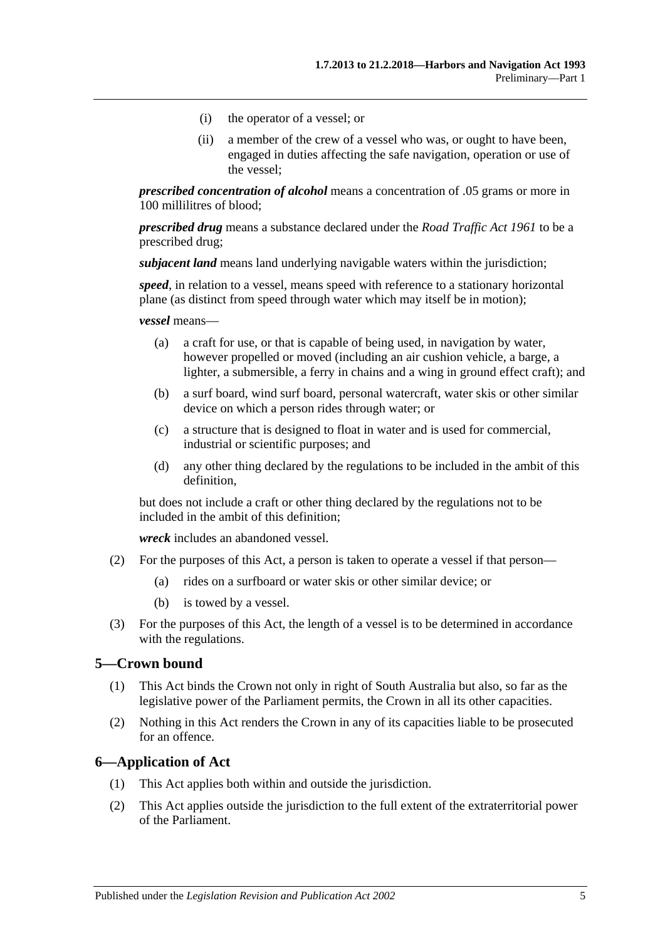- (i) the operator of a vessel; or
- (ii) a member of the crew of a vessel who was, or ought to have been, engaged in duties affecting the safe navigation, operation or use of the vessel;

*prescribed concentration of alcohol* means a concentration of .05 grams or more in 100 millilitres of blood;

*prescribed drug* means a substance declared under the *[Road Traffic Act](http://www.legislation.sa.gov.au/index.aspx?action=legref&type=act&legtitle=Road%20Traffic%20Act%201961) 1961* to be a prescribed drug;

*subjacent land* means land underlying navigable waters within the jurisdiction;

*speed*, in relation to a vessel, means speed with reference to a stationary horizontal plane (as distinct from speed through water which may itself be in motion);

*vessel* means—

- (a) a craft for use, or that is capable of being used, in navigation by water, however propelled or moved (including an air cushion vehicle, a barge, a lighter, a submersible, a ferry in chains and a wing in ground effect craft); and
- (b) a surf board, wind surf board, personal watercraft, water skis or other similar device on which a person rides through water; or
- (c) a structure that is designed to float in water and is used for commercial, industrial or scientific purposes; and
- (d) any other thing declared by the regulations to be included in the ambit of this definition,

but does not include a craft or other thing declared by the regulations not to be included in the ambit of this definition;

*wreck* includes an abandoned vessel.

- (2) For the purposes of this Act, a person is taken to operate a vessel if that person—
	- (a) rides on a surfboard or water skis or other similar device; or
	- (b) is towed by a vessel.
- (3) For the purposes of this Act, the length of a vessel is to be determined in accordance with the regulations.

#### <span id="page-10-0"></span>**5—Crown bound**

- (1) This Act binds the Crown not only in right of South Australia but also, so far as the legislative power of the Parliament permits, the Crown in all its other capacities.
- (2) Nothing in this Act renders the Crown in any of its capacities liable to be prosecuted for an offence.

#### <span id="page-10-1"></span>**6—Application of Act**

- (1) This Act applies both within and outside the jurisdiction.
- (2) This Act applies outside the jurisdiction to the full extent of the extraterritorial power of the Parliament.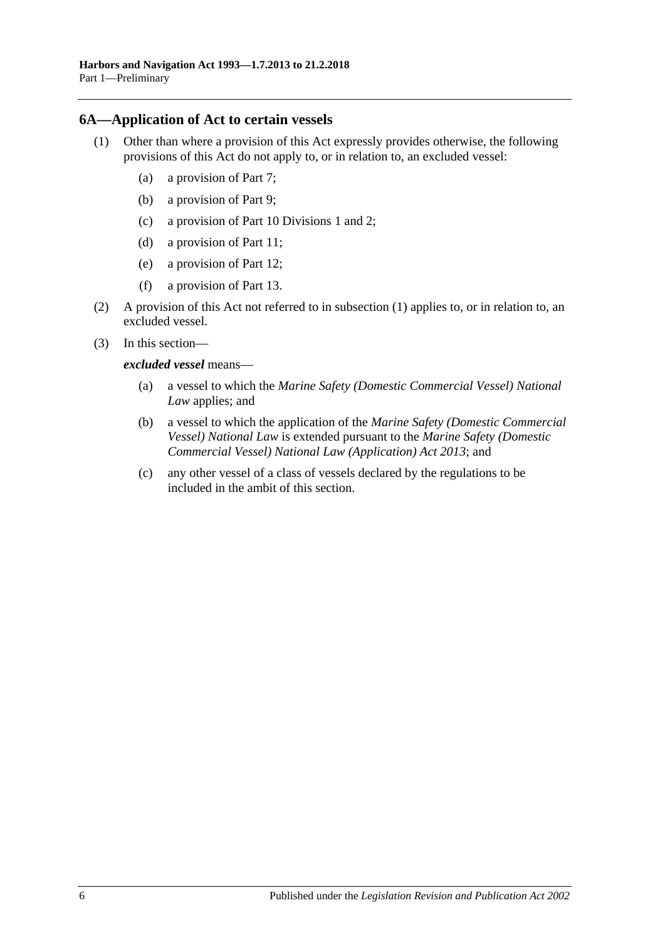### <span id="page-11-1"></span><span id="page-11-0"></span>**6A—Application of Act to certain vessels**

- (1) Other than where a provision of this Act expressly provides otherwise, the following provisions of this Act do not apply to, or in relation to, an excluded vessel:
	- (a) a provision of [Part 7;](#page-34-0)
	- (b) a provision of [Part 9;](#page-42-0)
	- (c) a provision of [Part 10 Divisions 1](#page-46-1) and [2;](#page-47-1)
	- (d) a provision of [Part 11;](#page-64-0)
	- (e) a provision of [Part 12;](#page-66-0)
	- (f) a provision of [Part 13.](#page-68-0)
- (2) A provision of this Act not referred to in [subsection](#page-11-1) (1) applies to, or in relation to, an excluded vessel.
- (3) In this section
	- *excluded vessel* means—
		- (a) a vessel to which the *Marine Safety (Domestic Commercial Vessel) National Law* applies; and
		- (b) a vessel to which the application of the *Marine Safety (Domestic Commercial Vessel) National Law* is extended pursuant to the *[Marine Safety \(Domestic](http://www.legislation.sa.gov.au/index.aspx?action=legref&type=act&legtitle=Marine%20Safety%20(Domestic%20Commercial%20Vessel)%20National%20Law%20(Application)%20Act%202013)  [Commercial Vessel\) National Law \(Application\) Act](http://www.legislation.sa.gov.au/index.aspx?action=legref&type=act&legtitle=Marine%20Safety%20(Domestic%20Commercial%20Vessel)%20National%20Law%20(Application)%20Act%202013) 2013*; and
		- (c) any other vessel of a class of vessels declared by the regulations to be included in the ambit of this section.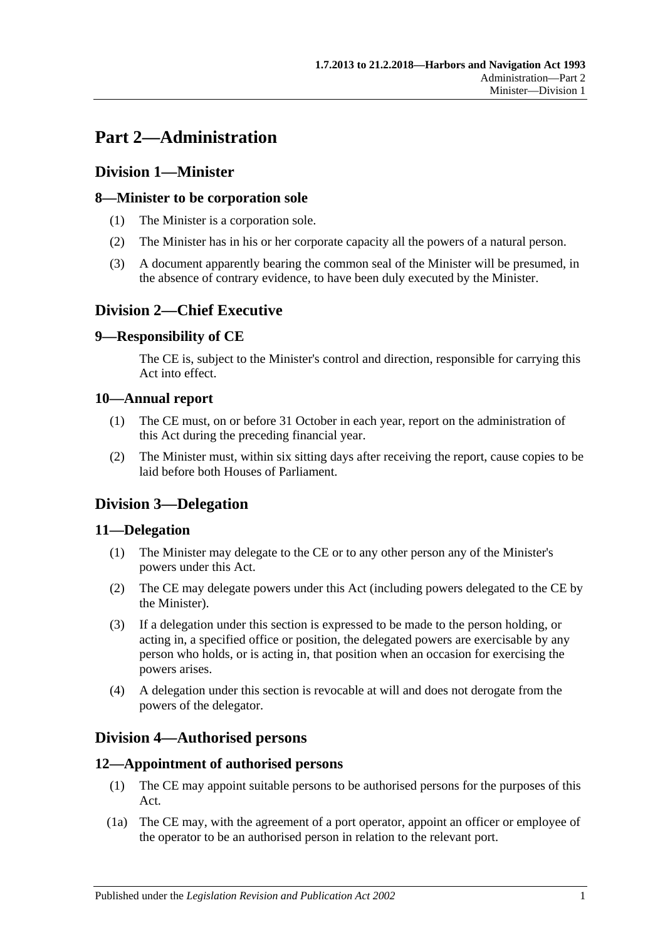# <span id="page-12-0"></span>**Part 2—Administration**

# <span id="page-12-1"></span>**Division 1—Minister**

# <span id="page-12-2"></span>**8—Minister to be corporation sole**

- (1) The Minister is a corporation sole.
- (2) The Minister has in his or her corporate capacity all the powers of a natural person.
- (3) A document apparently bearing the common seal of the Minister will be presumed, in the absence of contrary evidence, to have been duly executed by the Minister.

# <span id="page-12-3"></span>**Division 2—Chief Executive**

# <span id="page-12-4"></span>**9—Responsibility of CE**

The CE is, subject to the Minister's control and direction, responsible for carrying this Act into effect.

# <span id="page-12-5"></span>**10—Annual report**

- (1) The CE must, on or before 31 October in each year, report on the administration of this Act during the preceding financial year.
- (2) The Minister must, within six sitting days after receiving the report, cause copies to be laid before both Houses of Parliament.

# <span id="page-12-6"></span>**Division 3—Delegation**

## <span id="page-12-7"></span>**11—Delegation**

- (1) The Minister may delegate to the CE or to any other person any of the Minister's powers under this Act.
- (2) The CE may delegate powers under this Act (including powers delegated to the CE by the Minister).
- (3) If a delegation under this section is expressed to be made to the person holding, or acting in, a specified office or position, the delegated powers are exercisable by any person who holds, or is acting in, that position when an occasion for exercising the powers arises.
- (4) A delegation under this section is revocable at will and does not derogate from the powers of the delegator.

# <span id="page-12-8"></span>**Division 4—Authorised persons**

## <span id="page-12-9"></span>**12—Appointment of authorised persons**

- (1) The CE may appoint suitable persons to be authorised persons for the purposes of this Act.
- (1a) The CE may, with the agreement of a port operator, appoint an officer or employee of the operator to be an authorised person in relation to the relevant port.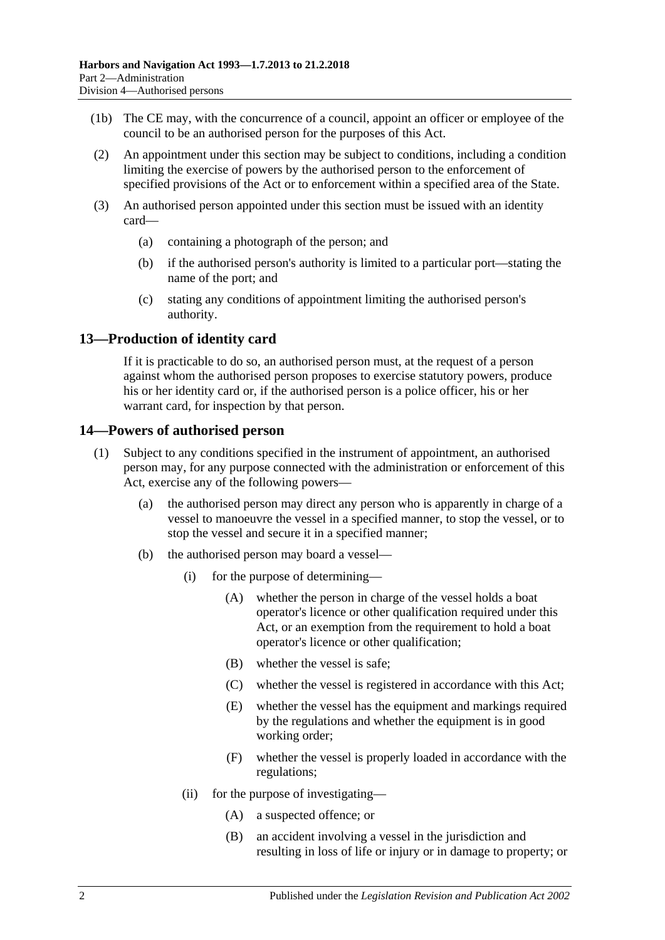- (1b) The CE may, with the concurrence of a council, appoint an officer or employee of the council to be an authorised person for the purposes of this Act.
- (2) An appointment under this section may be subject to conditions, including a condition limiting the exercise of powers by the authorised person to the enforcement of specified provisions of the Act or to enforcement within a specified area of the State.
- (3) An authorised person appointed under this section must be issued with an identity card—
	- (a) containing a photograph of the person; and
	- (b) if the authorised person's authority is limited to a particular port—stating the name of the port; and
	- (c) stating any conditions of appointment limiting the authorised person's authority.

# <span id="page-13-0"></span>**13—Production of identity card**

If it is practicable to do so, an authorised person must, at the request of a person against whom the authorised person proposes to exercise statutory powers, produce his or her identity card or, if the authorised person is a police officer, his or her warrant card, for inspection by that person.

## <span id="page-13-1"></span>**14—Powers of authorised person**

- (1) Subject to any conditions specified in the instrument of appointment, an authorised person may, for any purpose connected with the administration or enforcement of this Act, exercise any of the following powers—
	- (a) the authorised person may direct any person who is apparently in charge of a vessel to manoeuvre the vessel in a specified manner, to stop the vessel, or to stop the vessel and secure it in a specified manner;
	- (b) the authorised person may board a vessel—
		- (i) for the purpose of determining—
			- (A) whether the person in charge of the vessel holds a boat operator's licence or other qualification required under this Act, or an exemption from the requirement to hold a boat operator's licence or other qualification;
			- (B) whether the vessel is safe;
			- (C) whether the vessel is registered in accordance with this Act;
			- (E) whether the vessel has the equipment and markings required by the regulations and whether the equipment is in good working order;
			- (F) whether the vessel is properly loaded in accordance with the regulations;
		- (ii) for the purpose of investigating—
			- (A) a suspected offence; or
			- (B) an accident involving a vessel in the jurisdiction and resulting in loss of life or injury or in damage to property; or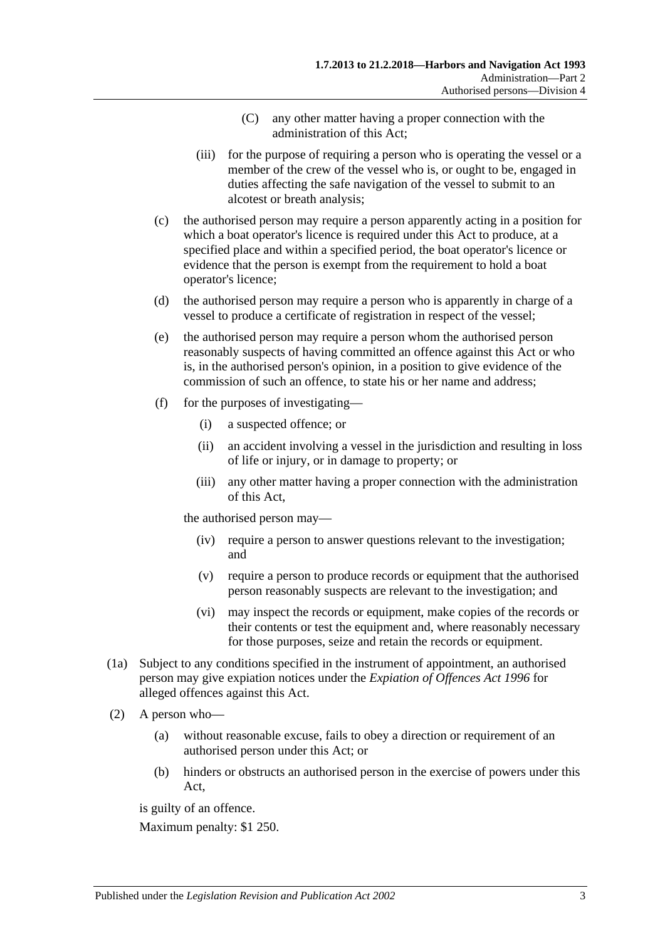- (C) any other matter having a proper connection with the administration of this Act;
- (iii) for the purpose of requiring a person who is operating the vessel or a member of the crew of the vessel who is, or ought to be, engaged in duties affecting the safe navigation of the vessel to submit to an alcotest or breath analysis;
- (c) the authorised person may require a person apparently acting in a position for which a boat operator's licence is required under this Act to produce, at a specified place and within a specified period, the boat operator's licence or evidence that the person is exempt from the requirement to hold a boat operator's licence;
- (d) the authorised person may require a person who is apparently in charge of a vessel to produce a certificate of registration in respect of the vessel;
- (e) the authorised person may require a person whom the authorised person reasonably suspects of having committed an offence against this Act or who is, in the authorised person's opinion, in a position to give evidence of the commission of such an offence, to state his or her name and address;
- (f) for the purposes of investigating—
	- (i) a suspected offence; or
	- (ii) an accident involving a vessel in the jurisdiction and resulting in loss of life or injury, or in damage to property; or
	- (iii) any other matter having a proper connection with the administration of this Act,

the authorised person may—

- (iv) require a person to answer questions relevant to the investigation; and
- (v) require a person to produce records or equipment that the authorised person reasonably suspects are relevant to the investigation; and
- (vi) may inspect the records or equipment, make copies of the records or their contents or test the equipment and, where reasonably necessary for those purposes, seize and retain the records or equipment.
- (1a) Subject to any conditions specified in the instrument of appointment, an authorised person may give expiation notices under the *[Expiation of Offences Act](http://www.legislation.sa.gov.au/index.aspx?action=legref&type=act&legtitle=Expiation%20of%20Offences%20Act%201996) 1996* for alleged offences against this Act.
- (2) A person who—
	- (a) without reasonable excuse, fails to obey a direction or requirement of an authorised person under this Act; or
	- (b) hinders or obstructs an authorised person in the exercise of powers under this Act,

is guilty of an offence.

Maximum penalty: \$1 250.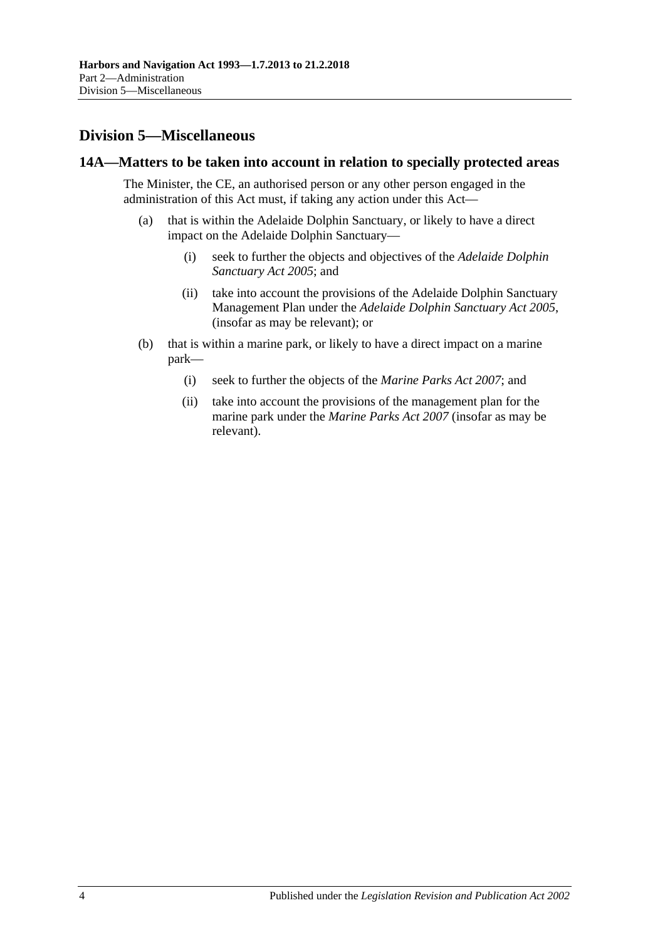# <span id="page-15-0"></span>**Division 5—Miscellaneous**

#### <span id="page-15-1"></span>**14A—Matters to be taken into account in relation to specially protected areas**

The Minister, the CE, an authorised person or any other person engaged in the administration of this Act must, if taking any action under this Act—

- (a) that is within the Adelaide Dolphin Sanctuary, or likely to have a direct impact on the Adelaide Dolphin Sanctuary—
	- (i) seek to further the objects and objectives of the *[Adelaide Dolphin](http://www.legislation.sa.gov.au/index.aspx?action=legref&type=act&legtitle=Adelaide%20Dolphin%20Sanctuary%20Act%202005)  [Sanctuary Act](http://www.legislation.sa.gov.au/index.aspx?action=legref&type=act&legtitle=Adelaide%20Dolphin%20Sanctuary%20Act%202005) 2005*; and
	- (ii) take into account the provisions of the Adelaide Dolphin Sanctuary Management Plan under the *[Adelaide Dolphin Sanctuary Act](http://www.legislation.sa.gov.au/index.aspx?action=legref&type=act&legtitle=Adelaide%20Dolphin%20Sanctuary%20Act%202005) 2005*, (insofar as may be relevant); or
- (b) that is within a marine park, or likely to have a direct impact on a marine park—
	- (i) seek to further the objects of the *[Marine Parks Act](http://www.legislation.sa.gov.au/index.aspx?action=legref&type=act&legtitle=Marine%20Parks%20Act%202007) 2007*; and
	- (ii) take into account the provisions of the management plan for the marine park under the *[Marine Parks Act](http://www.legislation.sa.gov.au/index.aspx?action=legref&type=act&legtitle=Marine%20Parks%20Act%202007) 2007* (insofar as may be relevant).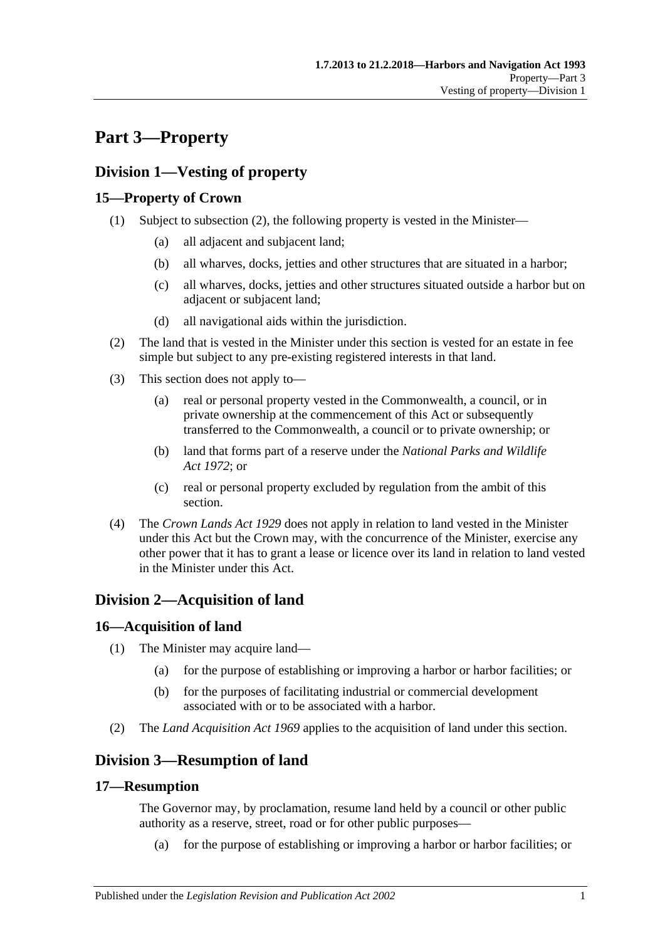# <span id="page-16-0"></span>**Part 3—Property**

# <span id="page-16-1"></span>**Division 1—Vesting of property**

# <span id="page-16-2"></span>**15—Property of Crown**

- (1) Subject to [subsection](#page-16-7) (2), the following property is vested in the Minister—
	- (a) all adjacent and subjacent land;
	- (b) all wharves, docks, jetties and other structures that are situated in a harbor;
	- (c) all wharves, docks, jetties and other structures situated outside a harbor but on adjacent or subjacent land;
	- (d) all navigational aids within the jurisdiction.
- <span id="page-16-7"></span>(2) The land that is vested in the Minister under this section is vested for an estate in fee simple but subject to any pre-existing registered interests in that land.
- (3) This section does not apply to—
	- (a) real or personal property vested in the Commonwealth, a council, or in private ownership at the commencement of this Act or subsequently transferred to the Commonwealth, a council or to private ownership; or
	- (b) land that forms part of a reserve under the *[National Parks and Wildlife](http://www.legislation.sa.gov.au/index.aspx?action=legref&type=act&legtitle=National%20Parks%20and%20Wildlife%20Act%201972)  Act [1972](http://www.legislation.sa.gov.au/index.aspx?action=legref&type=act&legtitle=National%20Parks%20and%20Wildlife%20Act%201972)*; or
	- (c) real or personal property excluded by regulation from the ambit of this section.
- (4) The *[Crown Lands Act](http://www.legislation.sa.gov.au/index.aspx?action=legref&type=act&legtitle=Crown%20Lands%20Act%201929) 1929* does not apply in relation to land vested in the Minister under this Act but the Crown may, with the concurrence of the Minister, exercise any other power that it has to grant a lease or licence over its land in relation to land vested in the Minister under this Act.

# <span id="page-16-3"></span>**Division 2—Acquisition of land**

# <span id="page-16-4"></span>**16—Acquisition of land**

- (1) The Minister may acquire land—
	- (a) for the purpose of establishing or improving a harbor or harbor facilities; or
	- (b) for the purposes of facilitating industrial or commercial development associated with or to be associated with a harbor.
- (2) The *[Land Acquisition Act](http://www.legislation.sa.gov.au/index.aspx?action=legref&type=act&legtitle=Land%20Acquisition%20Act%201969) 1969* applies to the acquisition of land under this section.

# <span id="page-16-5"></span>**Division 3—Resumption of land**

## <span id="page-16-6"></span>**17—Resumption**

The Governor may, by proclamation, resume land held by a council or other public authority as a reserve, street, road or for other public purposes—

(a) for the purpose of establishing or improving a harbor or harbor facilities; or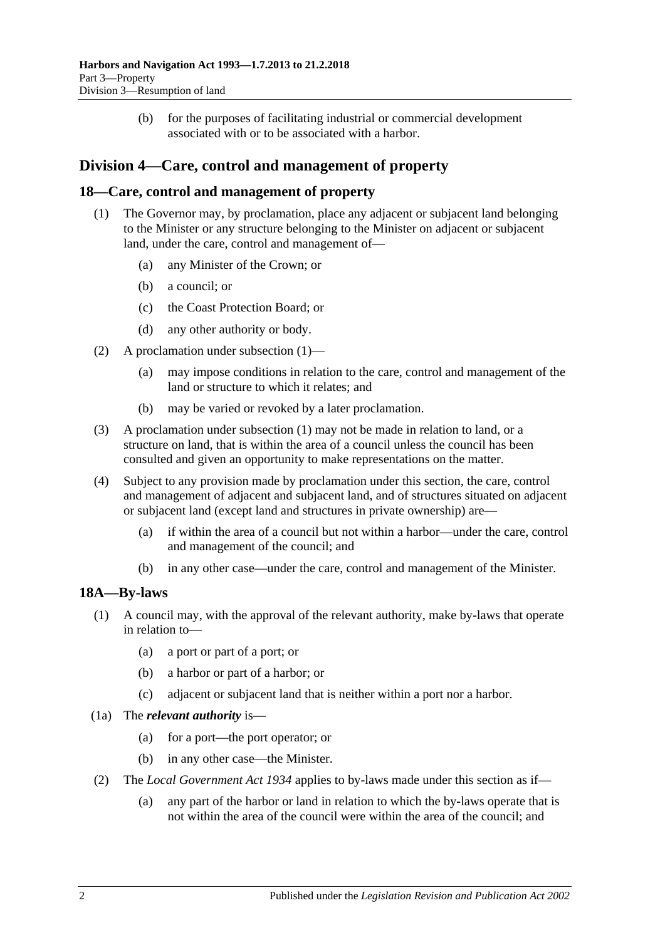(b) for the purposes of facilitating industrial or commercial development associated with or to be associated with a harbor.

# <span id="page-17-0"></span>**Division 4—Care, control and management of property**

### <span id="page-17-3"></span><span id="page-17-1"></span>**18—Care, control and management of property**

- (1) The Governor may, by proclamation, place any adjacent or subjacent land belonging to the Minister or any structure belonging to the Minister on adjacent or subjacent land, under the care, control and management of—
	- (a) any Minister of the Crown; or
	- (b) a council; or
	- (c) the Coast Protection Board; or
	- (d) any other authority or body.
- (2) A proclamation under [subsection](#page-17-3) (1)—
	- (a) may impose conditions in relation to the care, control and management of the land or structure to which it relates; and
	- (b) may be varied or revoked by a later proclamation.
- (3) A proclamation under [subsection](#page-17-3) (1) may not be made in relation to land, or a structure on land, that is within the area of a council unless the council has been consulted and given an opportunity to make representations on the matter.
- (4) Subject to any provision made by proclamation under this section, the care, control and management of adjacent and subjacent land, and of structures situated on adjacent or subjacent land (except land and structures in private ownership) are—
	- (a) if within the area of a council but not within a harbor—under the care, control and management of the council; and
	- (b) in any other case—under the care, control and management of the Minister.

#### <span id="page-17-2"></span>**18A—By-laws**

- (1) A council may, with the approval of the relevant authority, make by-laws that operate in relation to—
	- (a) a port or part of a port; or
	- (b) a harbor or part of a harbor; or
	- (c) adjacent or subjacent land that is neither within a port nor a harbor.
- (1a) The *relevant authority* is—
	- (a) for a port—the port operator; or
	- (b) in any other case—the Minister.
- (2) The *[Local Government Act](http://www.legislation.sa.gov.au/index.aspx?action=legref&type=act&legtitle=Local%20Government%20Act%201934) 1934* applies to by-laws made under this section as if—
	- (a) any part of the harbor or land in relation to which the by-laws operate that is not within the area of the council were within the area of the council; and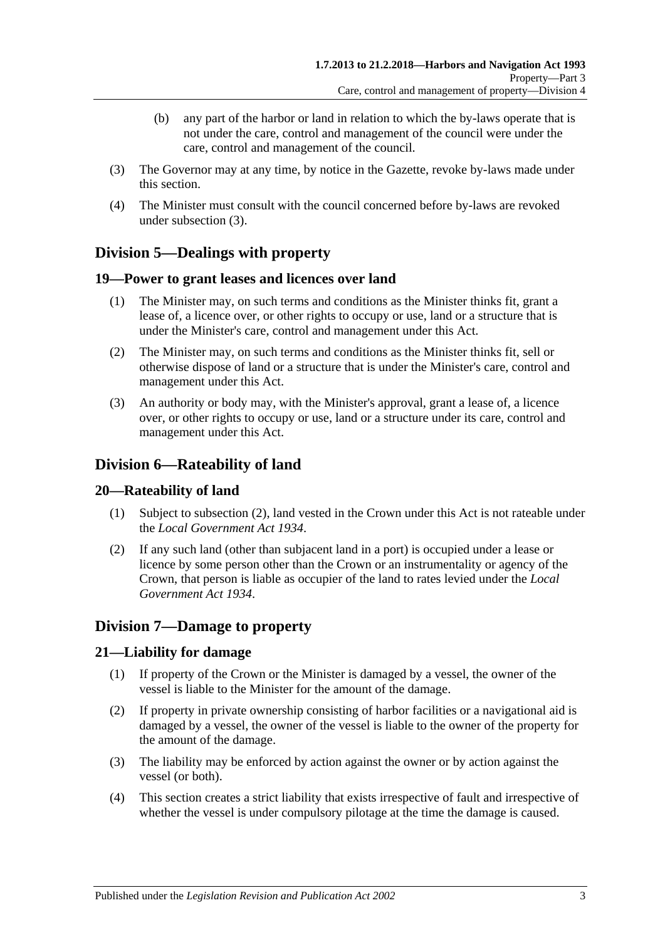- (b) any part of the harbor or land in relation to which the by-laws operate that is not under the care, control and management of the council were under the care, control and management of the council.
- <span id="page-18-6"></span>(3) The Governor may at any time, by notice in the Gazette, revoke by-laws made under this section.
- (4) The Minister must consult with the council concerned before by-laws are revoked under [subsection](#page-18-6) (3).

# <span id="page-18-0"></span>**Division 5—Dealings with property**

## <span id="page-18-1"></span>**19—Power to grant leases and licences over land**

- (1) The Minister may, on such terms and conditions as the Minister thinks fit, grant a lease of, a licence over, or other rights to occupy or use, land or a structure that is under the Minister's care, control and management under this Act.
- (2) The Minister may, on such terms and conditions as the Minister thinks fit, sell or otherwise dispose of land or a structure that is under the Minister's care, control and management under this Act.
- (3) An authority or body may, with the Minister's approval, grant a lease of, a licence over, or other rights to occupy or use, land or a structure under its care, control and management under this Act.

# <span id="page-18-2"></span>**Division 6—Rateability of land**

## <span id="page-18-3"></span>**20—Rateability of land**

- (1) Subject to [subsection](#page-18-7) (2), land vested in the Crown under this Act is not rateable under the *[Local Government Act](http://www.legislation.sa.gov.au/index.aspx?action=legref&type=act&legtitle=Local%20Government%20Act%201934) 1934*.
- <span id="page-18-7"></span>(2) If any such land (other than subjacent land in a port) is occupied under a lease or licence by some person other than the Crown or an instrumentality or agency of the Crown, that person is liable as occupier of the land to rates levied under the *[Local](http://www.legislation.sa.gov.au/index.aspx?action=legref&type=act&legtitle=Local%20Government%20Act%201934)  [Government Act](http://www.legislation.sa.gov.au/index.aspx?action=legref&type=act&legtitle=Local%20Government%20Act%201934) 1934*.

# <span id="page-18-4"></span>**Division 7—Damage to property**

## <span id="page-18-5"></span>**21—Liability for damage**

- (1) If property of the Crown or the Minister is damaged by a vessel, the owner of the vessel is liable to the Minister for the amount of the damage.
- (2) If property in private ownership consisting of harbor facilities or a navigational aid is damaged by a vessel, the owner of the vessel is liable to the owner of the property for the amount of the damage.
- (3) The liability may be enforced by action against the owner or by action against the vessel (or both).
- (4) This section creates a strict liability that exists irrespective of fault and irrespective of whether the vessel is under compulsory pilotage at the time the damage is caused.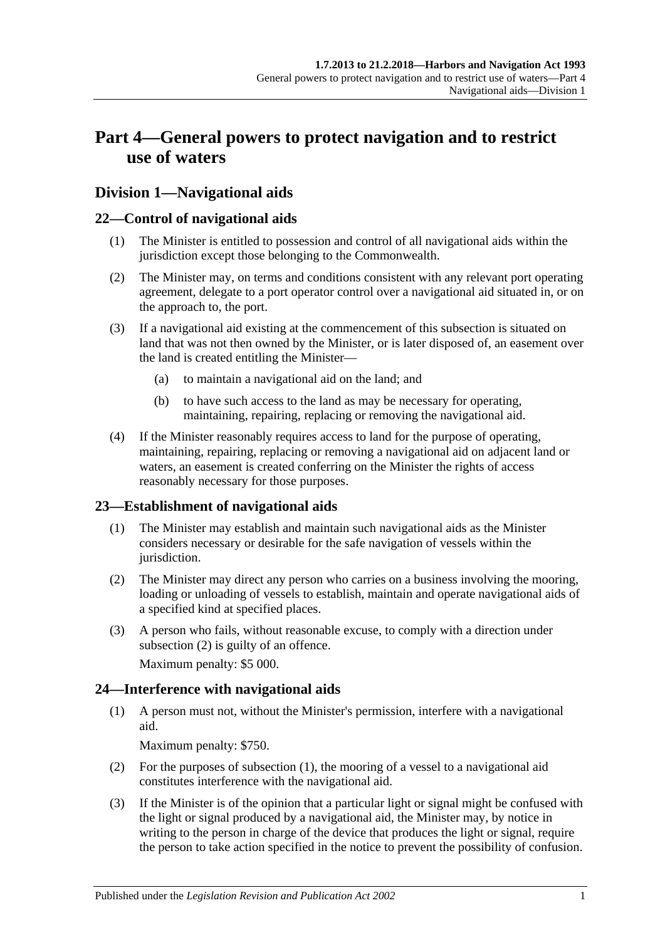# <span id="page-20-0"></span>**Part 4—General powers to protect navigation and to restrict use of waters**

# <span id="page-20-1"></span>**Division 1—Navigational aids**

# <span id="page-20-2"></span>**22—Control of navigational aids**

- (1) The Minister is entitled to possession and control of all navigational aids within the jurisdiction except those belonging to the Commonwealth.
- (2) The Minister may, on terms and conditions consistent with any relevant port operating agreement, delegate to a port operator control over a navigational aid situated in, or on the approach to, the port.
- (3) If a navigational aid existing at the commencement of this subsection is situated on land that was not then owned by the Minister, or is later disposed of, an easement over the land is created entitling the Minister—
	- (a) to maintain a navigational aid on the land; and
	- (b) to have such access to the land as may be necessary for operating, maintaining, repairing, replacing or removing the navigational aid.
- (4) If the Minister reasonably requires access to land for the purpose of operating, maintaining, repairing, replacing or removing a navigational aid on adjacent land or waters, an easement is created conferring on the Minister the rights of access reasonably necessary for those purposes.

## <span id="page-20-3"></span>**23—Establishment of navigational aids**

- (1) The Minister may establish and maintain such navigational aids as the Minister considers necessary or desirable for the safe navigation of vessels within the jurisdiction.
- <span id="page-20-5"></span>(2) The Minister may direct any person who carries on a business involving the mooring, loading or unloading of vessels to establish, maintain and operate navigational aids of a specified kind at specified places.
- (3) A person who fails, without reasonable excuse, to comply with a direction under [subsection](#page-20-5) (2) is guilty of an offence.

Maximum penalty: \$5 000.

# <span id="page-20-6"></span><span id="page-20-4"></span>**24—Interference with navigational aids**

(1) A person must not, without the Minister's permission, interfere with a navigational aid.

Maximum penalty: \$750.

- (2) For the purposes of [subsection](#page-20-6) (1), the mooring of a vessel to a navigational aid constitutes interference with the navigational aid.
- <span id="page-20-7"></span>(3) If the Minister is of the opinion that a particular light or signal might be confused with the light or signal produced by a navigational aid, the Minister may, by notice in writing to the person in charge of the device that produces the light or signal, require the person to take action specified in the notice to prevent the possibility of confusion.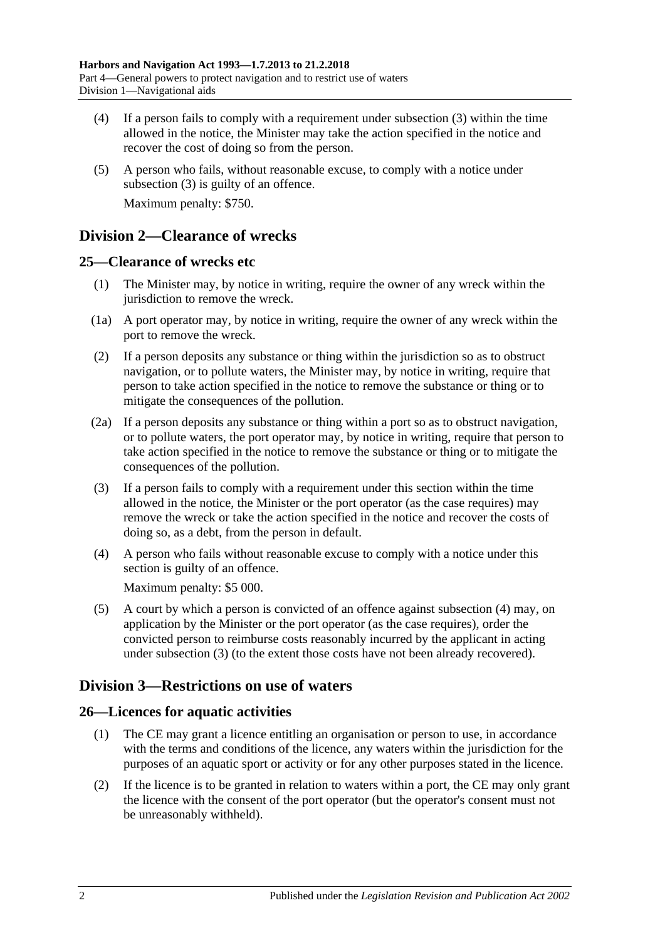- (4) If a person fails to comply with a requirement under [subsection](#page-20-7) (3) within the time allowed in the notice, the Minister may take the action specified in the notice and recover the cost of doing so from the person.
- (5) A person who fails, without reasonable excuse, to comply with a notice under [subsection](#page-20-7) (3) is guilty of an offence. Maximum penalty: \$750.

# <span id="page-21-0"></span>**Division 2—Clearance of wrecks**

# <span id="page-21-1"></span>**25—Clearance of wrecks etc**

- (1) The Minister may, by notice in writing, require the owner of any wreck within the jurisdiction to remove the wreck.
- (1a) A port operator may, by notice in writing, require the owner of any wreck within the port to remove the wreck.
- (2) If a person deposits any substance or thing within the jurisdiction so as to obstruct navigation, or to pollute waters, the Minister may, by notice in writing, require that person to take action specified in the notice to remove the substance or thing or to mitigate the consequences of the pollution.
- (2a) If a person deposits any substance or thing within a port so as to obstruct navigation, or to pollute waters, the port operator may, by notice in writing, require that person to take action specified in the notice to remove the substance or thing or to mitigate the consequences of the pollution.
- <span id="page-21-5"></span>(3) If a person fails to comply with a requirement under this section within the time allowed in the notice, the Minister or the port operator (as the case requires) may remove the wreck or take the action specified in the notice and recover the costs of doing so, as a debt, from the person in default.
- <span id="page-21-4"></span>(4) A person who fails without reasonable excuse to comply with a notice under this section is guilty of an offence.

Maximum penalty: \$5 000.

(5) A court by which a person is convicted of an offence against [subsection](#page-21-4) (4) may, on application by the Minister or the port operator (as the case requires), order the convicted person to reimburse costs reasonably incurred by the applicant in acting under [subsection](#page-21-5) (3) (to the extent those costs have not been already recovered).

# <span id="page-21-2"></span>**Division 3—Restrictions on use of waters**

# <span id="page-21-3"></span>**26—Licences for aquatic activities**

- (1) The CE may grant a licence entitling an organisation or person to use, in accordance with the terms and conditions of the licence, any waters within the jurisdiction for the purposes of an aquatic sport or activity or for any other purposes stated in the licence.
- (2) If the licence is to be granted in relation to waters within a port, the CE may only grant the licence with the consent of the port operator (but the operator's consent must not be unreasonably withheld).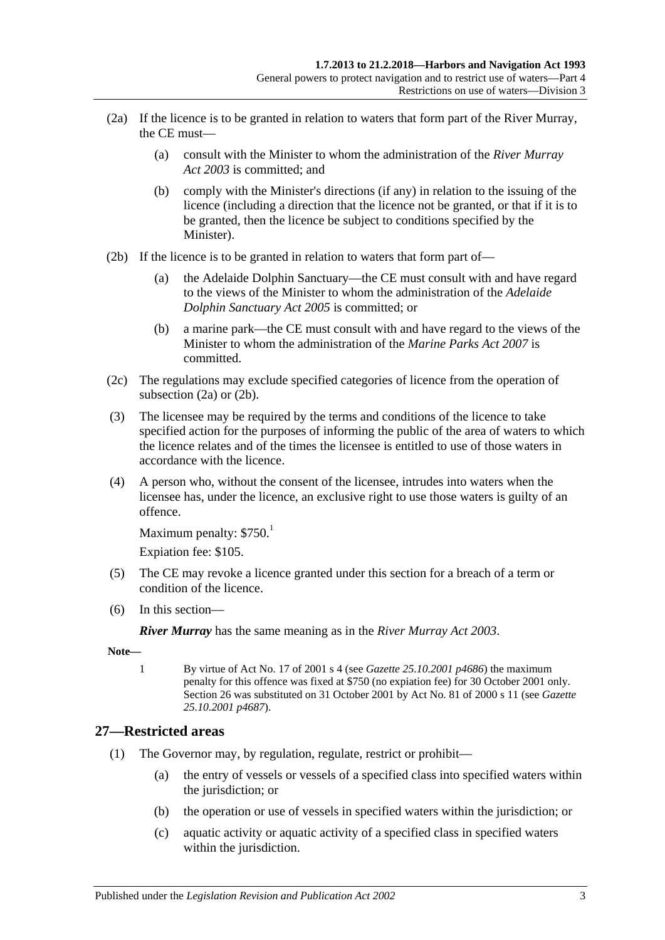- <span id="page-22-1"></span>(2a) If the licence is to be granted in relation to waters that form part of the River Murray, the CE must—
	- (a) consult with the Minister to whom the administration of the *[River Murray](http://www.legislation.sa.gov.au/index.aspx?action=legref&type=act&legtitle=River%20Murray%20Act%202003)  Act [2003](http://www.legislation.sa.gov.au/index.aspx?action=legref&type=act&legtitle=River%20Murray%20Act%202003)* is committed; and
	- (b) comply with the Minister's directions (if any) in relation to the issuing of the licence (including a direction that the licence not be granted, or that if it is to be granted, then the licence be subject to conditions specified by the Minister).
- <span id="page-22-2"></span>(2b) If the licence is to be granted in relation to waters that form part of—
	- (a) the Adelaide Dolphin Sanctuary—the CE must consult with and have regard to the views of the Minister to whom the administration of the *[Adelaide](http://www.legislation.sa.gov.au/index.aspx?action=legref&type=act&legtitle=Adelaide%20Dolphin%20Sanctuary%20Act%202005)  [Dolphin Sanctuary Act](http://www.legislation.sa.gov.au/index.aspx?action=legref&type=act&legtitle=Adelaide%20Dolphin%20Sanctuary%20Act%202005) 2005* is committed; or
	- (b) a marine park—the CE must consult with and have regard to the views of the Minister to whom the administration of the *[Marine Parks Act](http://www.legislation.sa.gov.au/index.aspx?action=legref&type=act&legtitle=Marine%20Parks%20Act%202007) 2007* is committed.
- (2c) The regulations may exclude specified categories of licence from the operation of [subsection](#page-22-1) (2a) or [\(2b\).](#page-22-2)
- (3) The licensee may be required by the terms and conditions of the licence to take specified action for the purposes of informing the public of the area of waters to which the licence relates and of the times the licensee is entitled to use of those waters in accordance with the licence.
- (4) A person who, without the consent of the licensee, intrudes into waters when the licensee has, under the licence, an exclusive right to use those waters is guilty of an offence.

```
Maximum penalty: $750<sup>1</sup>
```
Expiation fee: \$105.

- (5) The CE may revoke a licence granted under this section for a breach of a term or condition of the licence.
- (6) In this section—

*River Murray* has the same meaning as in the *[River Murray Act](http://www.legislation.sa.gov.au/index.aspx?action=legref&type=act&legtitle=River%20Murray%20Act%202003) 2003*.

**Note—**

1 By virtue of Act No. 17 of 2001 s 4 (see *Gazette 25.10.2001 p4686*) the maximum penalty for this offence was fixed at \$750 (no expiation fee) for 30 October 2001 only. Section 26 was substituted on 31 October 2001 by Act No. 81 of 2000 s 11 (see *Gazette 25.10.2001 p4687*).

## <span id="page-22-3"></span><span id="page-22-0"></span>**27—Restricted areas**

- (1) The Governor may, by regulation, regulate, restrict or prohibit—
	- (a) the entry of vessels or vessels of a specified class into specified waters within the jurisdiction; or
	- (b) the operation or use of vessels in specified waters within the jurisdiction; or
	- (c) aquatic activity or aquatic activity of a specified class in specified waters within the jurisdiction.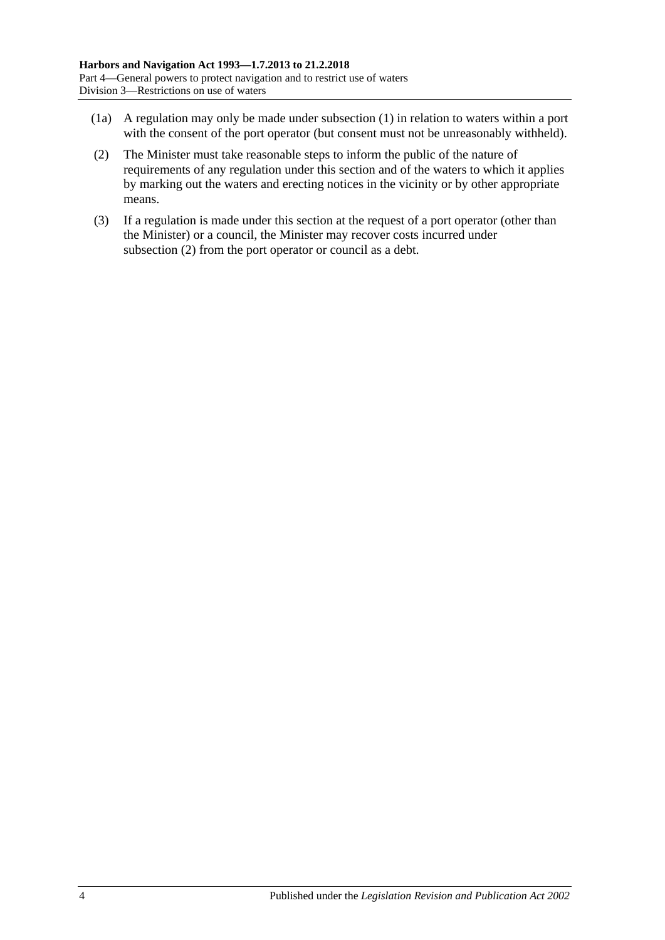- (1a) A regulation may only be made under [subsection](#page-22-3) (1) in relation to waters within a port with the consent of the port operator (but consent must not be unreasonably withheld).
- <span id="page-23-0"></span>(2) The Minister must take reasonable steps to inform the public of the nature of requirements of any regulation under this section and of the waters to which it applies by marking out the waters and erecting notices in the vicinity or by other appropriate means.
- (3) If a regulation is made under this section at the request of a port operator (other than the Minister) or a council, the Minister may recover costs incurred under [subsection](#page-23-0) (2) from the port operator or council as a debt.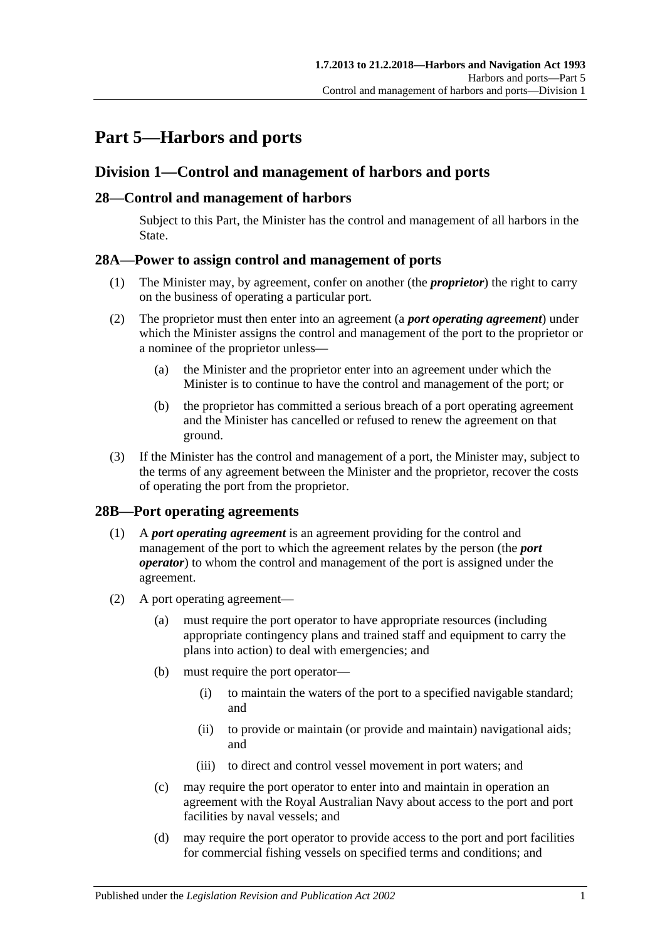# <span id="page-24-0"></span>**Part 5—Harbors and ports**

# <span id="page-24-1"></span>**Division 1—Control and management of harbors and ports**

## <span id="page-24-2"></span>**28—Control and management of harbors**

Subject to this Part, the Minister has the control and management of all harbors in the State.

## <span id="page-24-3"></span>**28A—Power to assign control and management of ports**

- (1) The Minister may, by agreement, confer on another (the *proprietor*) the right to carry on the business of operating a particular port.
- (2) The proprietor must then enter into an agreement (a *port operating agreement*) under which the Minister assigns the control and management of the port to the proprietor or a nominee of the proprietor unless—
	- (a) the Minister and the proprietor enter into an agreement under which the Minister is to continue to have the control and management of the port; or
	- (b) the proprietor has committed a serious breach of a port operating agreement and the Minister has cancelled or refused to renew the agreement on that ground.
- (3) If the Minister has the control and management of a port, the Minister may, subject to the terms of any agreement between the Minister and the proprietor, recover the costs of operating the port from the proprietor.

## <span id="page-24-4"></span>**28B—Port operating agreements**

- (1) A *port operating agreement* is an agreement providing for the control and management of the port to which the agreement relates by the person (the *port operator*) to whom the control and management of the port is assigned under the agreement.
- (2) A port operating agreement—
	- (a) must require the port operator to have appropriate resources (including appropriate contingency plans and trained staff and equipment to carry the plans into action) to deal with emergencies; and
	- (b) must require the port operator—
		- (i) to maintain the waters of the port to a specified navigable standard; and
		- (ii) to provide or maintain (or provide and maintain) navigational aids; and
		- (iii) to direct and control vessel movement in port waters; and
	- (c) may require the port operator to enter into and maintain in operation an agreement with the Royal Australian Navy about access to the port and port facilities by naval vessels; and
	- (d) may require the port operator to provide access to the port and port facilities for commercial fishing vessels on specified terms and conditions; and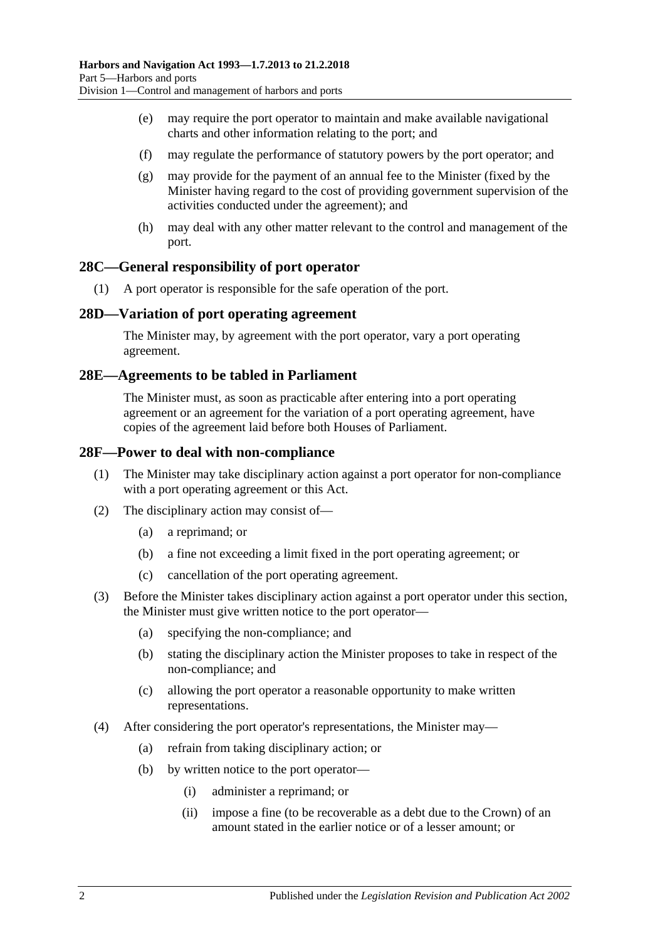- (e) may require the port operator to maintain and make available navigational charts and other information relating to the port; and
- (f) may regulate the performance of statutory powers by the port operator; and
- (g) may provide for the payment of an annual fee to the Minister (fixed by the Minister having regard to the cost of providing government supervision of the activities conducted under the agreement); and
- (h) may deal with any other matter relevant to the control and management of the port.

### <span id="page-25-0"></span>**28C—General responsibility of port operator**

(1) A port operator is responsible for the safe operation of the port.

#### <span id="page-25-1"></span>**28D—Variation of port operating agreement**

The Minister may, by agreement with the port operator, vary a port operating agreement.

#### <span id="page-25-2"></span>**28E—Agreements to be tabled in Parliament**

The Minister must, as soon as practicable after entering into a port operating agreement or an agreement for the variation of a port operating agreement, have copies of the agreement laid before both Houses of Parliament.

#### <span id="page-25-3"></span>**28F—Power to deal with non-compliance**

- (1) The Minister may take disciplinary action against a port operator for non-compliance with a port operating agreement or this Act.
- (2) The disciplinary action may consist of—
	- (a) a reprimand; or
	- (b) a fine not exceeding a limit fixed in the port operating agreement; or
	- (c) cancellation of the port operating agreement.
- (3) Before the Minister takes disciplinary action against a port operator under this section, the Minister must give written notice to the port operator—
	- (a) specifying the non-compliance; and
	- (b) stating the disciplinary action the Minister proposes to take in respect of the non-compliance; and
	- (c) allowing the port operator a reasonable opportunity to make written representations.
- (4) After considering the port operator's representations, the Minister may—
	- (a) refrain from taking disciplinary action; or
	- (b) by written notice to the port operator—
		- (i) administer a reprimand; or
		- (ii) impose a fine (to be recoverable as a debt due to the Crown) of an amount stated in the earlier notice or of a lesser amount; or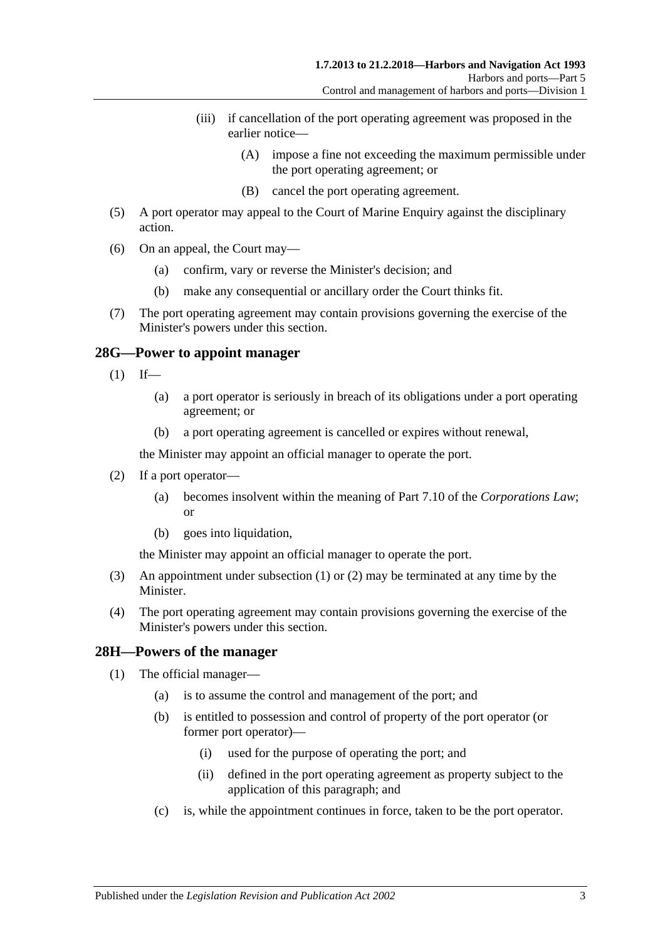- (iii) if cancellation of the port operating agreement was proposed in the earlier notice—
	- (A) impose a fine not exceeding the maximum permissible under the port operating agreement; or
	- (B) cancel the port operating agreement.
- (5) A port operator may appeal to the Court of Marine Enquiry against the disciplinary action.
- (6) On an appeal, the Court may—
	- (a) confirm, vary or reverse the Minister's decision; and
	- (b) make any consequential or ancillary order the Court thinks fit.
- (7) The port operating agreement may contain provisions governing the exercise of the Minister's powers under this section.

#### <span id="page-26-2"></span><span id="page-26-0"></span>**28G—Power to appoint manager**

- $(1)$  If—
	- (a) a port operator is seriously in breach of its obligations under a port operating agreement; or
	- (b) a port operating agreement is cancelled or expires without renewal,

the Minister may appoint an official manager to operate the port.

- <span id="page-26-3"></span>(2) If a port operator—
	- (a) becomes insolvent within the meaning of Part 7.10 of the *Corporations Law*; or
	- (b) goes into liquidation,

the Minister may appoint an official manager to operate the port.

- (3) An appointment under [subsection](#page-26-2) (1) or [\(2\)](#page-26-3) may be terminated at any time by the Minister.
- (4) The port operating agreement may contain provisions governing the exercise of the Minister's powers under this section.

#### <span id="page-26-4"></span><span id="page-26-1"></span>**28H—Powers of the manager**

- (1) The official manager—
	- (a) is to assume the control and management of the port; and
	- (b) is entitled to possession and control of property of the port operator (or former port operator)—
		- (i) used for the purpose of operating the port; and
		- (ii) defined in the port operating agreement as property subject to the application of this paragraph; and
	- (c) is, while the appointment continues in force, taken to be the port operator.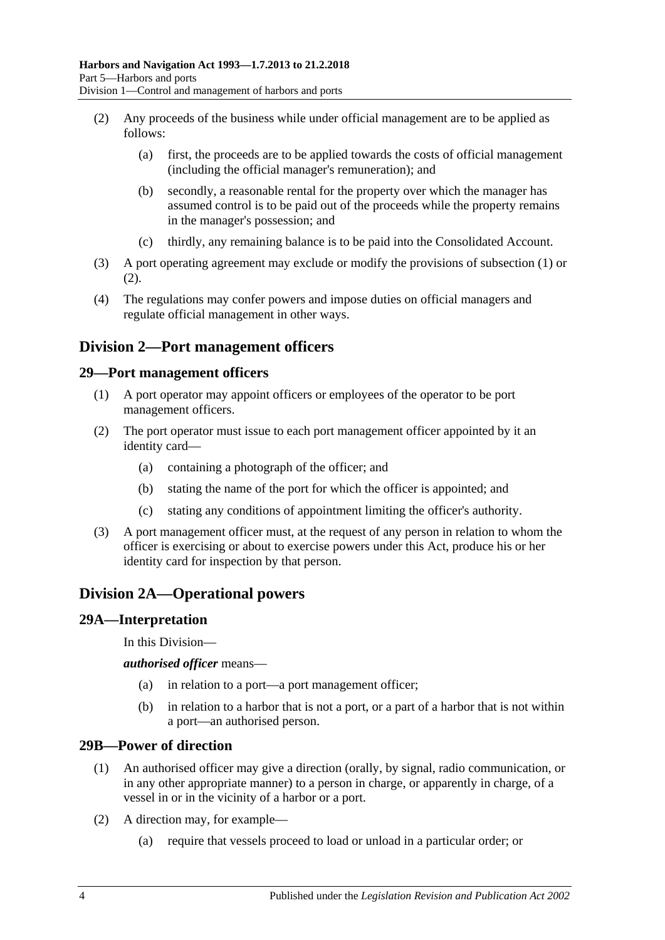- <span id="page-27-5"></span>(2) Any proceeds of the business while under official management are to be applied as follows:
	- (a) first, the proceeds are to be applied towards the costs of official management (including the official manager's remuneration); and
	- (b) secondly, a reasonable rental for the property over which the manager has assumed control is to be paid out of the proceeds while the property remains in the manager's possession; and
	- (c) thirdly, any remaining balance is to be paid into the Consolidated Account.
- (3) A port operating agreement may exclude or modify the provisions of [subsection](#page-26-4) (1) or [\(2\).](#page-27-5)
- (4) The regulations may confer powers and impose duties on official managers and regulate official management in other ways.

# <span id="page-27-0"></span>**Division 2—Port management officers**

#### <span id="page-27-1"></span>**29—Port management officers**

- (1) A port operator may appoint officers or employees of the operator to be port management officers.
- (2) The port operator must issue to each port management officer appointed by it an identity card—
	- (a) containing a photograph of the officer; and
	- (b) stating the name of the port for which the officer is appointed; and
	- (c) stating any conditions of appointment limiting the officer's authority.
- (3) A port management officer must, at the request of any person in relation to whom the officer is exercising or about to exercise powers under this Act, produce his or her identity card for inspection by that person.

# <span id="page-27-2"></span>**Division 2A—Operational powers**

#### <span id="page-27-3"></span>**29A—Interpretation**

In this Division—

*authorised officer* means—

- (a) in relation to a port—a port management officer;
- (b) in relation to a harbor that is not a port, or a part of a harbor that is not within a port—an authorised person.

#### <span id="page-27-4"></span>**29B—Power of direction**

- (1) An authorised officer may give a direction (orally, by signal, radio communication, or in any other appropriate manner) to a person in charge, or apparently in charge, of a vessel in or in the vicinity of a harbor or a port.
- (2) A direction may, for example—
	- (a) require that vessels proceed to load or unload in a particular order; or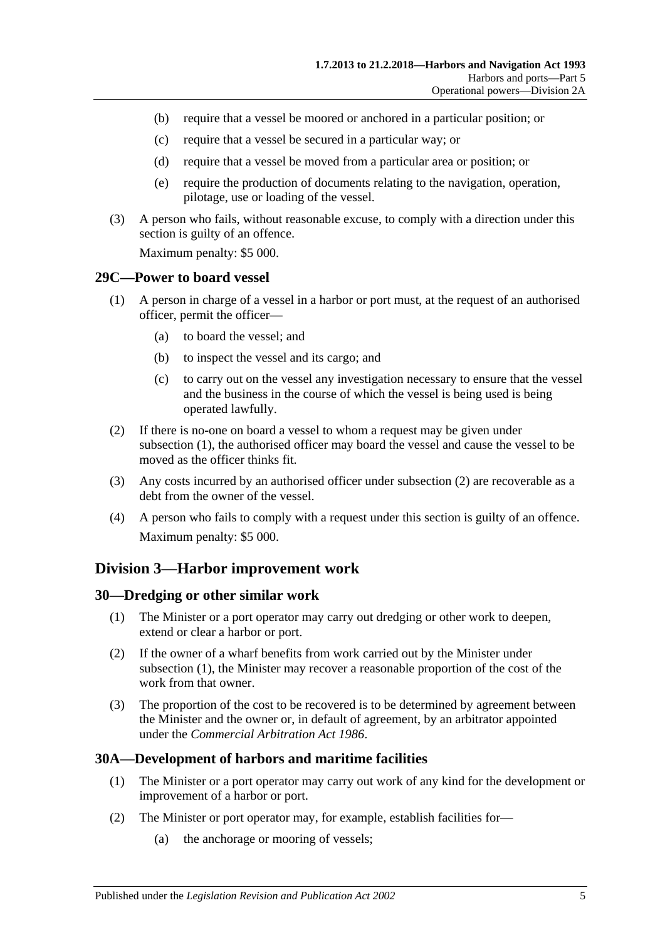- (b) require that a vessel be moored or anchored in a particular position; or
- (c) require that a vessel be secured in a particular way; or
- (d) require that a vessel be moved from a particular area or position; or
- (e) require the production of documents relating to the navigation, operation, pilotage, use or loading of the vessel.
- (3) A person who fails, without reasonable excuse, to comply with a direction under this section is guilty of an offence.

Maximum penalty: \$5 000.

#### <span id="page-28-4"></span><span id="page-28-0"></span>**29C—Power to board vessel**

- (1) A person in charge of a vessel in a harbor or port must, at the request of an authorised officer, permit the officer—
	- (a) to board the vessel; and
	- (b) to inspect the vessel and its cargo; and
	- (c) to carry out on the vessel any investigation necessary to ensure that the vessel and the business in the course of which the vessel is being used is being operated lawfully.
- <span id="page-28-5"></span>(2) If there is no-one on board a vessel to whom a request may be given under [subsection](#page-28-4) (1), the authorised officer may board the vessel and cause the vessel to be moved as the officer thinks fit.
- (3) Any costs incurred by an authorised officer under [subsection](#page-28-5) (2) are recoverable as a debt from the owner of the vessel.
- (4) A person who fails to comply with a request under this section is guilty of an offence. Maximum penalty: \$5 000.

## <span id="page-28-1"></span>**Division 3—Harbor improvement work**

#### <span id="page-28-6"></span><span id="page-28-2"></span>**30—Dredging or other similar work**

- (1) The Minister or a port operator may carry out dredging or other work to deepen, extend or clear a harbor or port.
- (2) If the owner of a wharf benefits from work carried out by the Minister under [subsection](#page-28-6) (1), the Minister may recover a reasonable proportion of the cost of the work from that owner.
- (3) The proportion of the cost to be recovered is to be determined by agreement between the Minister and the owner or, in default of agreement, by an arbitrator appointed under the *[Commercial Arbitration Act](http://www.legislation.sa.gov.au/index.aspx?action=legref&type=act&legtitle=Commercial%20Arbitration%20Act%201986) 1986*.

## <span id="page-28-3"></span>**30A—Development of harbors and maritime facilities**

- (1) The Minister or a port operator may carry out work of any kind for the development or improvement of a harbor or port.
- (2) The Minister or port operator may, for example, establish facilities for—
	- (a) the anchorage or mooring of vessels;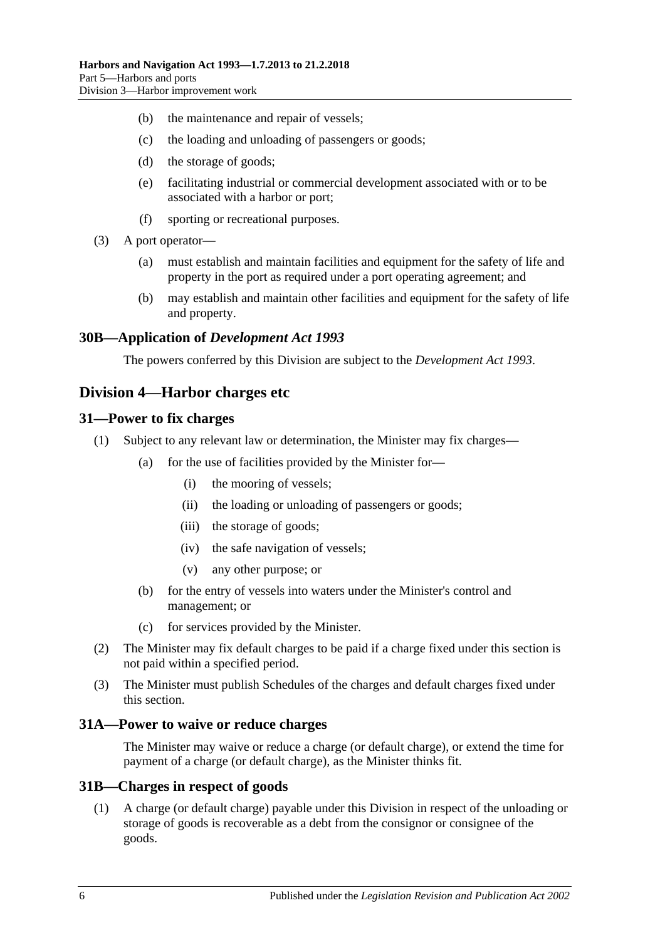- (b) the maintenance and repair of vessels;
- (c) the loading and unloading of passengers or goods;
- (d) the storage of goods;
- (e) facilitating industrial or commercial development associated with or to be associated with a harbor or port;
- (f) sporting or recreational purposes.
- (3) A port operator—
	- (a) must establish and maintain facilities and equipment for the safety of life and property in the port as required under a port operating agreement; and
	- (b) may establish and maintain other facilities and equipment for the safety of life and property.

### <span id="page-29-0"></span>**30B—Application of** *Development Act 1993*

The powers conferred by this Division are subject to the *[Development Act](http://www.legislation.sa.gov.au/index.aspx?action=legref&type=act&legtitle=Development%20Act%201993) 1993*.

## <span id="page-29-1"></span>**Division 4—Harbor charges etc**

#### <span id="page-29-2"></span>**31—Power to fix charges**

- (1) Subject to any relevant law or determination, the Minister may fix charges—
	- (a) for the use of facilities provided by the Minister for—
		- (i) the mooring of vessels;
		- (ii) the loading or unloading of passengers or goods;
		- (iii) the storage of goods;
		- (iv) the safe navigation of vessels;
		- (v) any other purpose; or
	- (b) for the entry of vessels into waters under the Minister's control and management; or
	- (c) for services provided by the Minister.
- (2) The Minister may fix default charges to be paid if a charge fixed under this section is not paid within a specified period.
- (3) The Minister must publish Schedules of the charges and default charges fixed under this section.

#### <span id="page-29-3"></span>**31A—Power to waive or reduce charges**

The Minister may waive or reduce a charge (or default charge), or extend the time for payment of a charge (or default charge), as the Minister thinks fit.

#### <span id="page-29-4"></span>**31B—Charges in respect of goods**

(1) A charge (or default charge) payable under this Division in respect of the unloading or storage of goods is recoverable as a debt from the consignor or consignee of the goods.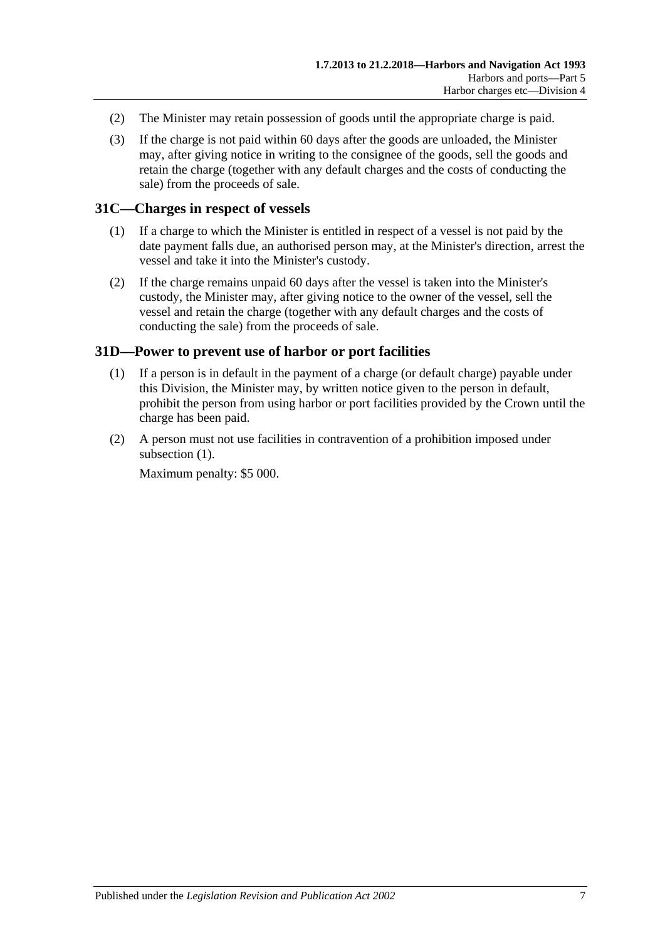- (2) The Minister may retain possession of goods until the appropriate charge is paid.
- (3) If the charge is not paid within 60 days after the goods are unloaded, the Minister may, after giving notice in writing to the consignee of the goods, sell the goods and retain the charge (together with any default charges and the costs of conducting the sale) from the proceeds of sale.

## <span id="page-30-0"></span>**31C—Charges in respect of vessels**

- (1) If a charge to which the Minister is entitled in respect of a vessel is not paid by the date payment falls due, an authorised person may, at the Minister's direction, arrest the vessel and take it into the Minister's custody.
- (2) If the charge remains unpaid 60 days after the vessel is taken into the Minister's custody, the Minister may, after giving notice to the owner of the vessel, sell the vessel and retain the charge (together with any default charges and the costs of conducting the sale) from the proceeds of sale.

## <span id="page-30-2"></span><span id="page-30-1"></span>**31D—Power to prevent use of harbor or port facilities**

- (1) If a person is in default in the payment of a charge (or default charge) payable under this Division, the Minister may, by written notice given to the person in default, prohibit the person from using harbor or port facilities provided by the Crown until the charge has been paid.
- (2) A person must not use facilities in contravention of a prohibition imposed under [subsection](#page-30-2)  $(1)$ .

Maximum penalty: \$5 000.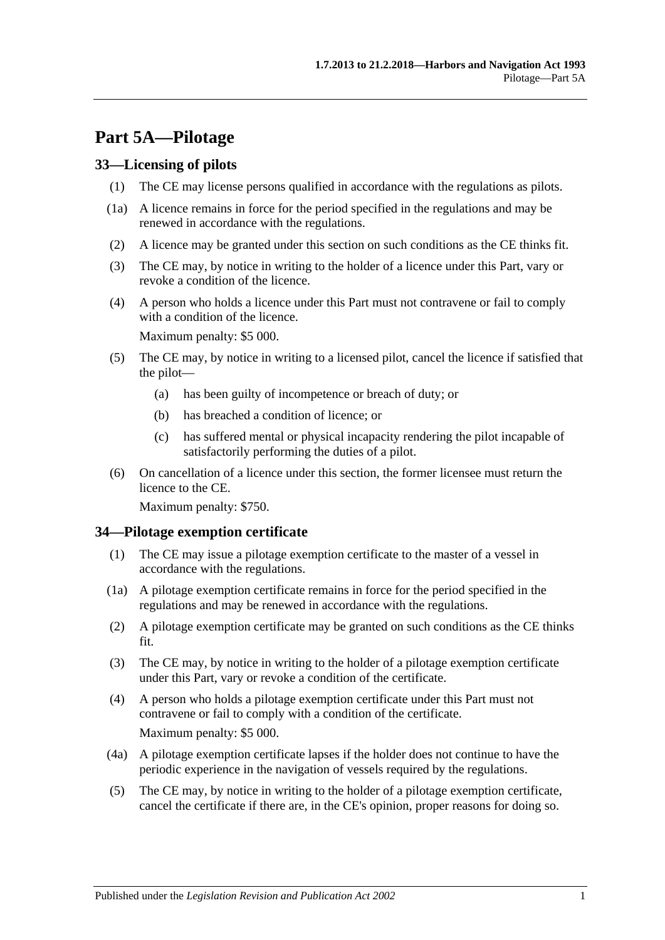# <span id="page-32-0"></span>**Part 5A—Pilotage**

### <span id="page-32-1"></span>**33—Licensing of pilots**

- (1) The CE may license persons qualified in accordance with the regulations as pilots.
- (1a) A licence remains in force for the period specified in the regulations and may be renewed in accordance with the regulations.
- (2) A licence may be granted under this section on such conditions as the CE thinks fit.
- (3) The CE may, by notice in writing to the holder of a licence under this Part, vary or revoke a condition of the licence.
- (4) A person who holds a licence under this Part must not contravene or fail to comply with a condition of the licence.

Maximum penalty: \$5 000.

- (5) The CE may, by notice in writing to a licensed pilot, cancel the licence if satisfied that the pilot—
	- (a) has been guilty of incompetence or breach of duty; or
	- (b) has breached a condition of licence; or
	- (c) has suffered mental or physical incapacity rendering the pilot incapable of satisfactorily performing the duties of a pilot.
- (6) On cancellation of a licence under this section, the former licensee must return the licence to the CE.

Maximum penalty: \$750.

#### <span id="page-32-2"></span>**34—Pilotage exemption certificate**

- (1) The CE may issue a pilotage exemption certificate to the master of a vessel in accordance with the regulations.
- (1a) A pilotage exemption certificate remains in force for the period specified in the regulations and may be renewed in accordance with the regulations.
- (2) A pilotage exemption certificate may be granted on such conditions as the CE thinks fit.
- (3) The CE may, by notice in writing to the holder of a pilotage exemption certificate under this Part, vary or revoke a condition of the certificate.
- (4) A person who holds a pilotage exemption certificate under this Part must not contravene or fail to comply with a condition of the certificate. Maximum penalty: \$5 000.
- (4a) A pilotage exemption certificate lapses if the holder does not continue to have the periodic experience in the navigation of vessels required by the regulations.
- (5) The CE may, by notice in writing to the holder of a pilotage exemption certificate, cancel the certificate if there are, in the CE's opinion, proper reasons for doing so.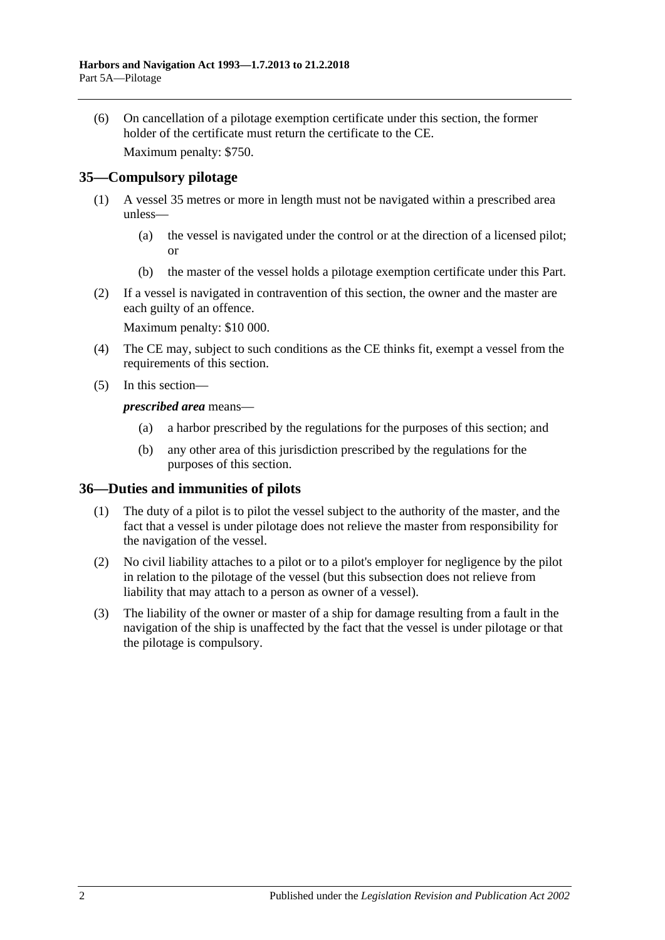(6) On cancellation of a pilotage exemption certificate under this section, the former holder of the certificate must return the certificate to the CE.

Maximum penalty: \$750.

## <span id="page-33-0"></span>**35—Compulsory pilotage**

- (1) A vessel 35 metres or more in length must not be navigated within a prescribed area unless—
	- (a) the vessel is navigated under the control or at the direction of a licensed pilot; or
	- (b) the master of the vessel holds a pilotage exemption certificate under this Part.
- (2) If a vessel is navigated in contravention of this section, the owner and the master are each guilty of an offence.

Maximum penalty: \$10 000.

- (4) The CE may, subject to such conditions as the CE thinks fit, exempt a vessel from the requirements of this section.
- (5) In this section—

*prescribed area* means—

- (a) a harbor prescribed by the regulations for the purposes of this section; and
- (b) any other area of this jurisdiction prescribed by the regulations for the purposes of this section.

#### <span id="page-33-1"></span>**36—Duties and immunities of pilots**

- (1) The duty of a pilot is to pilot the vessel subject to the authority of the master, and the fact that a vessel is under pilotage does not relieve the master from responsibility for the navigation of the vessel.
- (2) No civil liability attaches to a pilot or to a pilot's employer for negligence by the pilot in relation to the pilotage of the vessel (but this subsection does not relieve from liability that may attach to a person as owner of a vessel).
- (3) The liability of the owner or master of a ship for damage resulting from a fault in the navigation of the ship is unaffected by the fact that the vessel is under pilotage or that the pilotage is compulsory.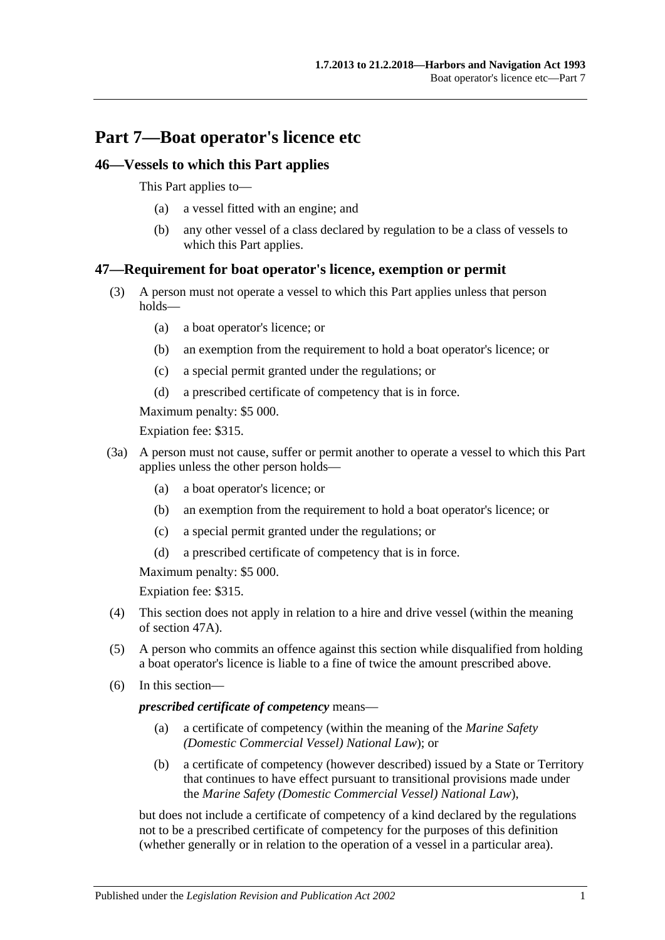# <span id="page-34-0"></span>**Part 7—Boat operator's licence etc**

## <span id="page-34-1"></span>**46—Vessels to which this Part applies**

This Part applies to—

- (a) a vessel fitted with an engine; and
- (b) any other vessel of a class declared by regulation to be a class of vessels to which this Part applies.

# <span id="page-34-2"></span>**47—Requirement for boat operator's licence, exemption or permit**

- (3) A person must not operate a vessel to which this Part applies unless that person holds—
	- (a) a boat operator's licence; or
	- (b) an exemption from the requirement to hold a boat operator's licence; or
	- (c) a special permit granted under the regulations; or
	- (d) a prescribed certificate of competency that is in force.

Maximum penalty: \$5 000.

Expiation fee: \$315.

- (3a) A person must not cause, suffer or permit another to operate a vessel to which this Part applies unless the other person holds—
	- (a) a boat operator's licence; or
	- (b) an exemption from the requirement to hold a boat operator's licence; or
	- (c) a special permit granted under the regulations; or
	- (d) a prescribed certificate of competency that is in force.

Maximum penalty: \$5 000.

Expiation fee: \$315.

- (4) This section does not apply in relation to a hire and drive vessel (within the meaning of [section](#page-35-0) 47A).
- (5) A person who commits an offence against this section while disqualified from holding a boat operator's licence is liable to a fine of twice the amount prescribed above.
- (6) In this section—

#### *prescribed certificate of competency* means—

- (a) a certificate of competency (within the meaning of the *Marine Safety (Domestic Commercial Vessel) National Law*); or
- (b) a certificate of competency (however described) issued by a State or Territory that continues to have effect pursuant to transitional provisions made under the *Marine Safety (Domestic Commercial Vessel) National Law*),

but does not include a certificate of competency of a kind declared by the regulations not to be a prescribed certificate of competency for the purposes of this definition (whether generally or in relation to the operation of a vessel in a particular area).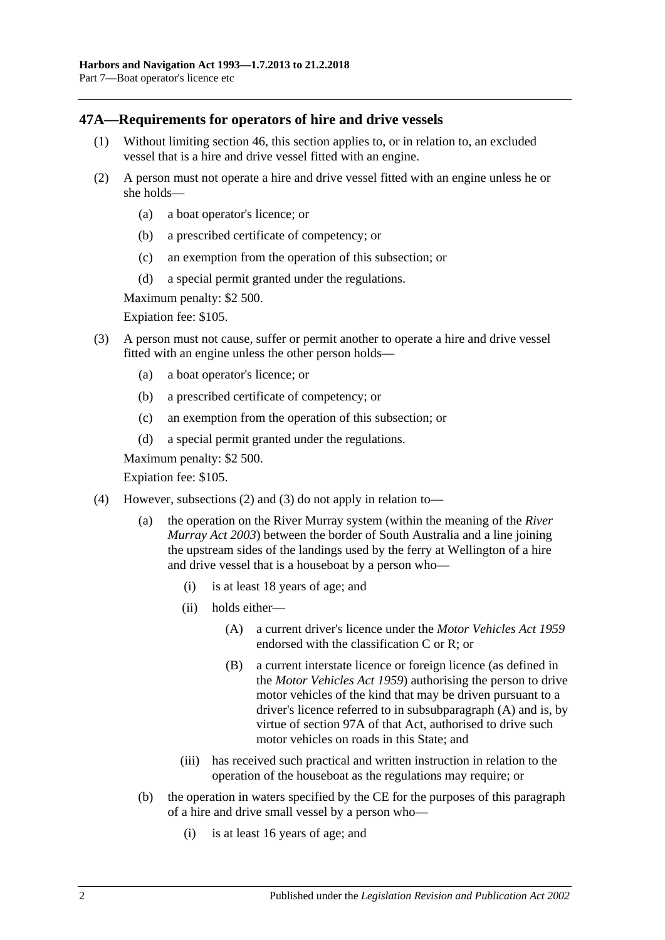## <span id="page-35-0"></span>**47A—Requirements for operators of hire and drive vessels**

- (1) Without limiting [section](#page-34-1) 46, this section applies to, or in relation to, an excluded vessel that is a hire and drive vessel fitted with an engine.
- <span id="page-35-1"></span>(2) A person must not operate a hire and drive vessel fitted with an engine unless he or she holds—
	- (a) a boat operator's licence; or
	- (b) a prescribed certificate of competency; or
	- (c) an exemption from the operation of this subsection; or
	- (d) a special permit granted under the regulations.

Maximum penalty: \$2 500.

Expiation fee: \$105.

- <span id="page-35-2"></span>(3) A person must not cause, suffer or permit another to operate a hire and drive vessel fitted with an engine unless the other person holds—
	- (a) a boat operator's licence; or
	- (b) a prescribed certificate of competency; or
	- (c) an exemption from the operation of this subsection; or
	- (d) a special permit granted under the regulations.

Maximum penalty: \$2 500.

Expiation fee: \$105.

- <span id="page-35-3"></span>(4) However, [subsections](#page-35-1) (2) and [\(3\)](#page-35-2) do not apply in relation to—
	- (a) the operation on the River Murray system (within the meaning of the *[River](http://www.legislation.sa.gov.au/index.aspx?action=legref&type=act&legtitle=River%20Murray%20Act%202003)  [Murray Act](http://www.legislation.sa.gov.au/index.aspx?action=legref&type=act&legtitle=River%20Murray%20Act%202003) 2003*) between the border of South Australia and a line joining the upstream sides of the landings used by the ferry at Wellington of a hire and drive vessel that is a houseboat by a person who—
		- (i) is at least 18 years of age; and
		- (ii) holds either—
			- (A) a current driver's licence under the *[Motor Vehicles Act](http://www.legislation.sa.gov.au/index.aspx?action=legref&type=act&legtitle=Motor%20Vehicles%20Act%201959) 1959* endorsed with the classification C or R; or
			- (B) a current interstate licence or foreign licence (as defined in the *[Motor Vehicles Act](http://www.legislation.sa.gov.au/index.aspx?action=legref&type=act&legtitle=Motor%20Vehicles%20Act%201959) 1959*) authorising the person to drive motor vehicles of the kind that may be driven pursuant to a driver's licence referred to in [subsubparagraph](#page-35-3) (A) and is, by virtue of section 97A of that Act, authorised to drive such motor vehicles on roads in this State; and
		- (iii) has received such practical and written instruction in relation to the operation of the houseboat as the regulations may require; or
	- (b) the operation in waters specified by the CE for the purposes of this paragraph of a hire and drive small vessel by a person who—
		- (i) is at least 16 years of age; and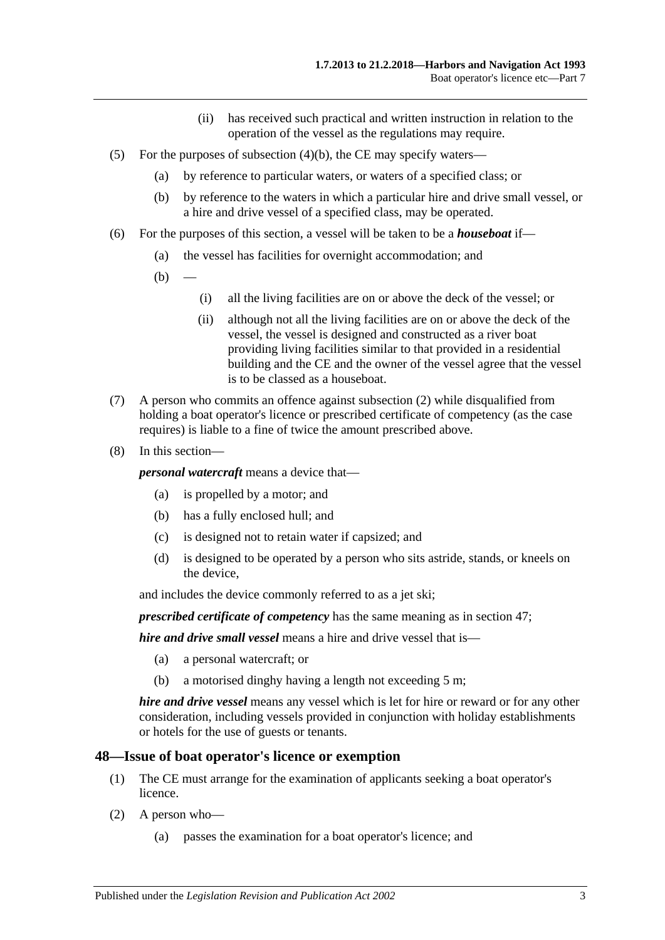- (ii) has received such practical and written instruction in relation to the operation of the vessel as the regulations may require.
- (5) For the purposes of [subsection](#page-35-0)  $(4)(b)$ , the CE may specify waters—
	- (a) by reference to particular waters, or waters of a specified class; or
	- (b) by reference to the waters in which a particular hire and drive small vessel, or a hire and drive vessel of a specified class, may be operated.
- (6) For the purposes of this section, a vessel will be taken to be a *houseboat* if—
	- (a) the vessel has facilities for overnight accommodation; and
	- $(b)$
- (i) all the living facilities are on or above the deck of the vessel; or
- (ii) although not all the living facilities are on or above the deck of the vessel, the vessel is designed and constructed as a river boat providing living facilities similar to that provided in a residential building and the CE and the owner of the vessel agree that the vessel is to be classed as a houseboat.
- (7) A person who commits an offence against [subsection](#page-35-1) (2) while disqualified from holding a boat operator's licence or prescribed certificate of competency (as the case requires) is liable to a fine of twice the amount prescribed above.
- (8) In this section—

*personal watercraft* means a device that—

- (a) is propelled by a motor; and
- (b) has a fully enclosed hull; and
- (c) is designed not to retain water if capsized; and
- (d) is designed to be operated by a person who sits astride, stands, or kneels on the device,

and includes the device commonly referred to as a jet ski;

*prescribed certificate of competency* has the same meaning as in [section](#page-34-0) 47;

*hire and drive small vessel* means a hire and drive vessel that is—

- (a) a personal watercraft; or
- (b) a motorised dinghy having a length not exceeding 5 m;

*hire and drive vessel* means any vessel which is let for hire or reward or for any other consideration, including vessels provided in conjunction with holiday establishments or hotels for the use of guests or tenants.

#### **48—Issue of boat operator's licence or exemption**

- (1) The CE must arrange for the examination of applicants seeking a boat operator's licence.
- (2) A person who—
	- (a) passes the examination for a boat operator's licence; and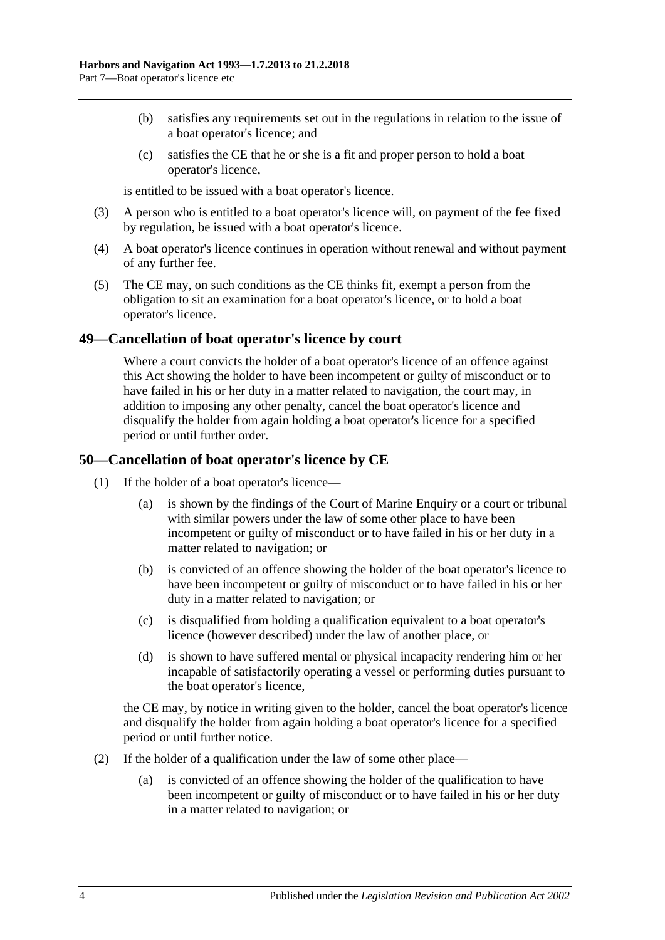- (b) satisfies any requirements set out in the regulations in relation to the issue of a boat operator's licence; and
- (c) satisfies the CE that he or she is a fit and proper person to hold a boat operator's licence,

is entitled to be issued with a boat operator's licence.

- (3) A person who is entitled to a boat operator's licence will, on payment of the fee fixed by regulation, be issued with a boat operator's licence.
- (4) A boat operator's licence continues in operation without renewal and without payment of any further fee.
- (5) The CE may, on such conditions as the CE thinks fit, exempt a person from the obligation to sit an examination for a boat operator's licence, or to hold a boat operator's licence.

### **49—Cancellation of boat operator's licence by court**

Where a court convicts the holder of a boat operator's licence of an offence against this Act showing the holder to have been incompetent or guilty of misconduct or to have failed in his or her duty in a matter related to navigation, the court may, in addition to imposing any other penalty, cancel the boat operator's licence and disqualify the holder from again holding a boat operator's licence for a specified period or until further order.

### **50—Cancellation of boat operator's licence by CE**

- (1) If the holder of a boat operator's licence—
	- (a) is shown by the findings of the Court of Marine Enquiry or a court or tribunal with similar powers under the law of some other place to have been incompetent or guilty of misconduct or to have failed in his or her duty in a matter related to navigation; or
	- (b) is convicted of an offence showing the holder of the boat operator's licence to have been incompetent or guilty of misconduct or to have failed in his or her duty in a matter related to navigation; or
	- (c) is disqualified from holding a qualification equivalent to a boat operator's licence (however described) under the law of another place, or
	- (d) is shown to have suffered mental or physical incapacity rendering him or her incapable of satisfactorily operating a vessel or performing duties pursuant to the boat operator's licence,

the CE may, by notice in writing given to the holder, cancel the boat operator's licence and disqualify the holder from again holding a boat operator's licence for a specified period or until further notice.

- (2) If the holder of a qualification under the law of some other place—
	- (a) is convicted of an offence showing the holder of the qualification to have been incompetent or guilty of misconduct or to have failed in his or her duty in a matter related to navigation; or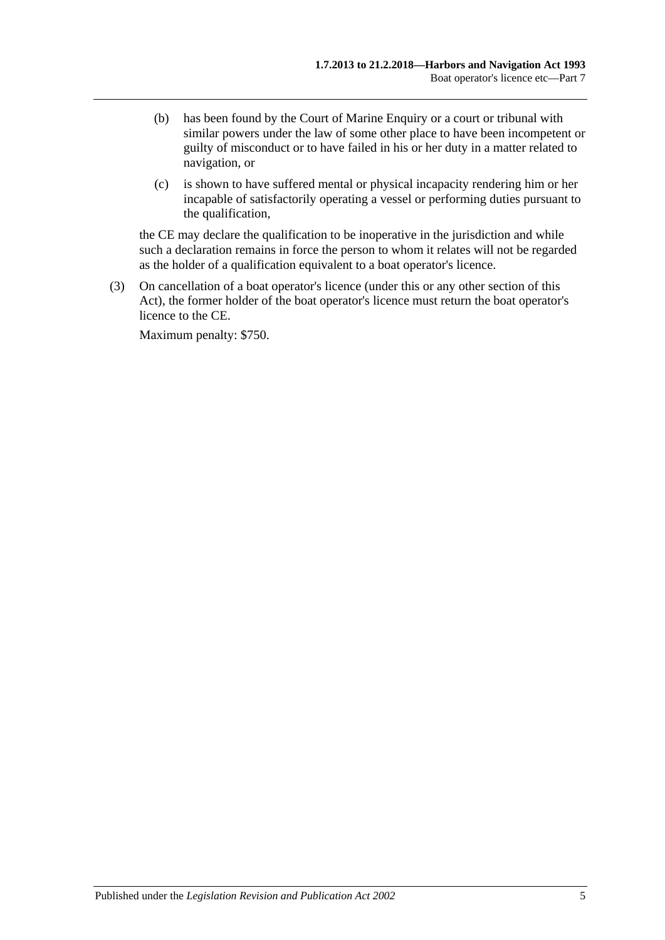- (b) has been found by the Court of Marine Enquiry or a court or tribunal with similar powers under the law of some other place to have been incompetent or guilty of misconduct or to have failed in his or her duty in a matter related to navigation, or
- (c) is shown to have suffered mental or physical incapacity rendering him or her incapable of satisfactorily operating a vessel or performing duties pursuant to the qualification,

the CE may declare the qualification to be inoperative in the jurisdiction and while such a declaration remains in force the person to whom it relates will not be regarded as the holder of a qualification equivalent to a boat operator's licence.

(3) On cancellation of a boat operator's licence (under this or any other section of this Act), the former holder of the boat operator's licence must return the boat operator's licence to the CE.

Maximum penalty: \$750.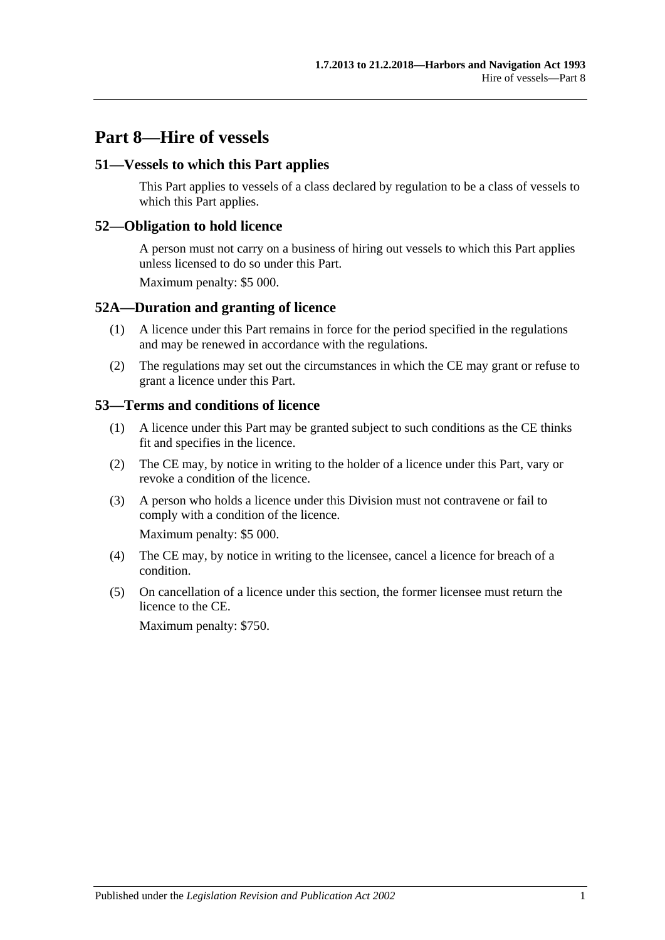## **Part 8—Hire of vessels**

### **51—Vessels to which this Part applies**

This Part applies to vessels of a class declared by regulation to be a class of vessels to which this Part applies.

### **52—Obligation to hold licence**

A person must not carry on a business of hiring out vessels to which this Part applies unless licensed to do so under this Part.

Maximum penalty: \$5 000.

#### **52A—Duration and granting of licence**

- (1) A licence under this Part remains in force for the period specified in the regulations and may be renewed in accordance with the regulations.
- (2) The regulations may set out the circumstances in which the CE may grant or refuse to grant a licence under this Part.

#### **53—Terms and conditions of licence**

- (1) A licence under this Part may be granted subject to such conditions as the CE thinks fit and specifies in the licence.
- (2) The CE may, by notice in writing to the holder of a licence under this Part, vary or revoke a condition of the licence.
- (3) A person who holds a licence under this Division must not contravene or fail to comply with a condition of the licence.

Maximum penalty: \$5 000.

- (4) The CE may, by notice in writing to the licensee, cancel a licence for breach of a condition.
- (5) On cancellation of a licence under this section, the former licensee must return the licence to the CE.

Maximum penalty: \$750.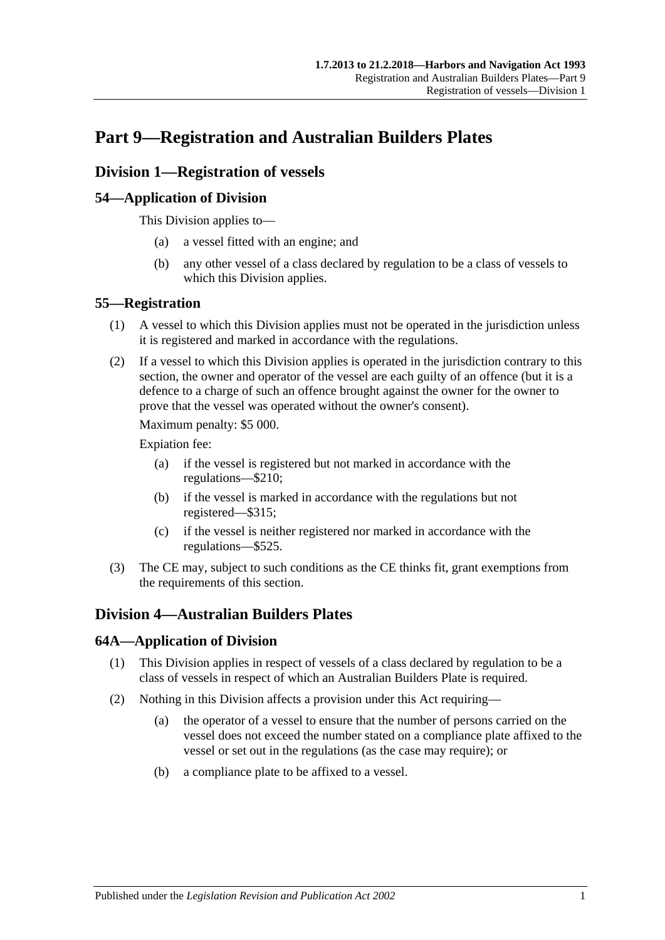# **Part 9—Registration and Australian Builders Plates**

## **Division 1—Registration of vessels**

## **54—Application of Division**

This Division applies to—

- (a) a vessel fitted with an engine; and
- (b) any other vessel of a class declared by regulation to be a class of vessels to which this Division applies.

## **55—Registration**

- (1) A vessel to which this Division applies must not be operated in the jurisdiction unless it is registered and marked in accordance with the regulations.
- (2) If a vessel to which this Division applies is operated in the jurisdiction contrary to this section, the owner and operator of the vessel are each guilty of an offence (but it is a defence to a charge of such an offence brought against the owner for the owner to prove that the vessel was operated without the owner's consent).

Maximum penalty: \$5 000.

Expiation fee:

- (a) if the vessel is registered but not marked in accordance with the regulations—\$210;
- (b) if the vessel is marked in accordance with the regulations but not registered—\$315;
- (c) if the vessel is neither registered nor marked in accordance with the regulations—\$525.
- (3) The CE may, subject to such conditions as the CE thinks fit, grant exemptions from the requirements of this section.

## **Division 4—Australian Builders Plates**

## **64A—Application of Division**

- (1) This Division applies in respect of vessels of a class declared by regulation to be a class of vessels in respect of which an Australian Builders Plate is required.
- (2) Nothing in this Division affects a provision under this Act requiring—
	- (a) the operator of a vessel to ensure that the number of persons carried on the vessel does not exceed the number stated on a compliance plate affixed to the vessel or set out in the regulations (as the case may require); or
	- (b) a compliance plate to be affixed to a vessel.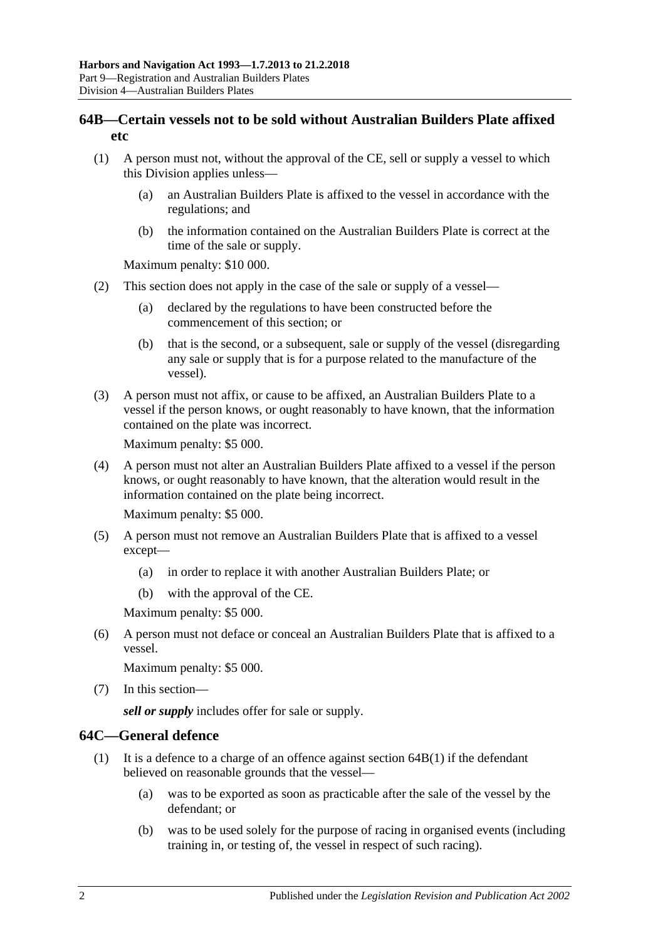## **64B—Certain vessels not to be sold without Australian Builders Plate affixed etc**

- <span id="page-43-0"></span>(1) A person must not, without the approval of the CE, sell or supply a vessel to which this Division applies unless—
	- (a) an Australian Builders Plate is affixed to the vessel in accordance with the regulations; and
	- (b) the information contained on the Australian Builders Plate is correct at the time of the sale or supply.

Maximum penalty: \$10 000.

- (2) This section does not apply in the case of the sale or supply of a vessel—
	- (a) declared by the regulations to have been constructed before the commencement of this section; or
	- (b) that is the second, or a subsequent, sale or supply of the vessel (disregarding any sale or supply that is for a purpose related to the manufacture of the vessel).
- (3) A person must not affix, or cause to be affixed, an Australian Builders Plate to a vessel if the person knows, or ought reasonably to have known, that the information contained on the plate was incorrect.

Maximum penalty: \$5 000.

(4) A person must not alter an Australian Builders Plate affixed to a vessel if the person knows, or ought reasonably to have known, that the alteration would result in the information contained on the plate being incorrect.

Maximum penalty: \$5 000.

- <span id="page-43-1"></span>(5) A person must not remove an Australian Builders Plate that is affixed to a vessel except—
	- (a) in order to replace it with another Australian Builders Plate; or
	- (b) with the approval of the CE.

Maximum penalty: \$5 000.

<span id="page-43-2"></span>(6) A person must not deface or conceal an Australian Builders Plate that is affixed to a vessel.

Maximum penalty: \$5 000.

(7) In this section—

*sell or supply* includes offer for sale or supply.

## **64C—General defence**

- (1) It is a defence to a charge of an offence against [section](#page-43-0)  $64B(1)$  if the defendant believed on reasonable grounds that the vessel—
	- (a) was to be exported as soon as practicable after the sale of the vessel by the defendant; or
	- (b) was to be used solely for the purpose of racing in organised events (including training in, or testing of, the vessel in respect of such racing).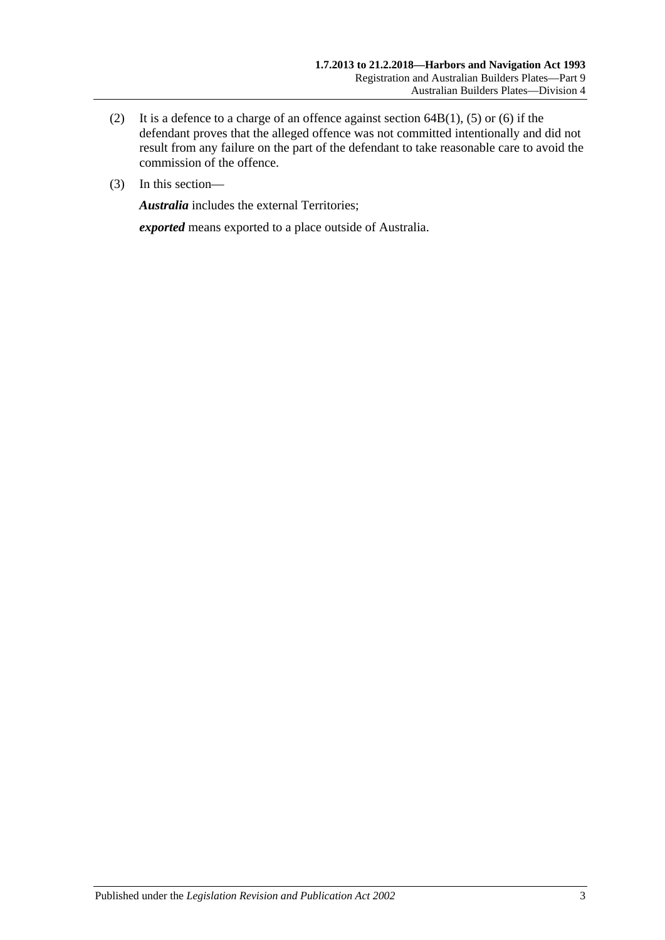- (2) It is a defence to a charge of an offence against [section](#page-43-0)  $64B(1)$ , [\(5\)](#page-43-1) or [\(6\)](#page-43-2) if the defendant proves that the alleged offence was not committed intentionally and did not result from any failure on the part of the defendant to take reasonable care to avoid the commission of the offence.
- (3) In this section—

*Australia* includes the external Territories;

*exported* means exported to a place outside of Australia.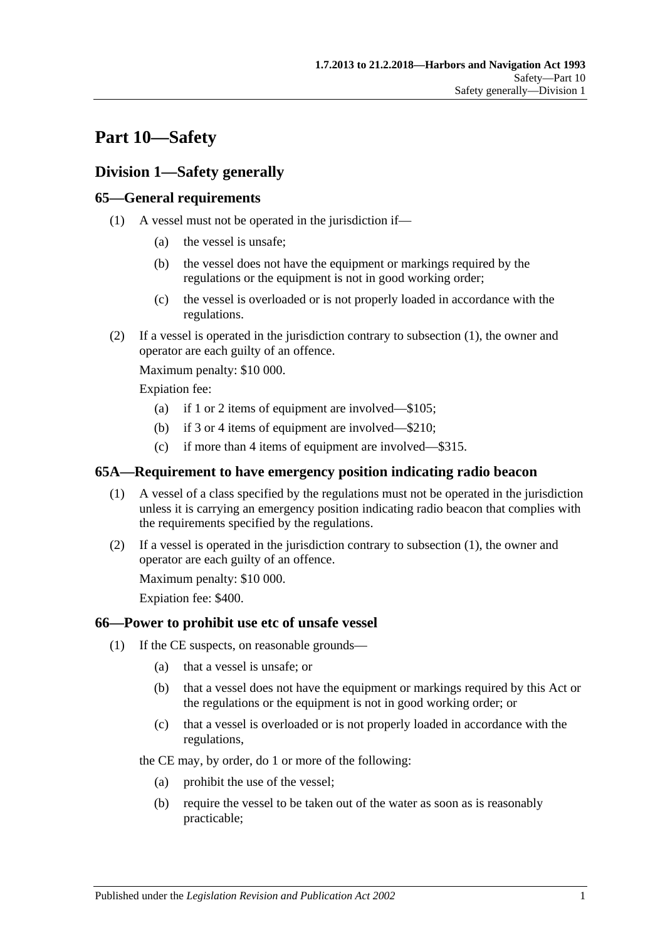# **Part 10—Safety**

## **Division 1—Safety generally**

## <span id="page-46-0"></span>**65—General requirements**

- (1) A vessel must not be operated in the jurisdiction if—
	- (a) the vessel is unsafe;
	- (b) the vessel does not have the equipment or markings required by the regulations or the equipment is not in good working order;
	- (c) the vessel is overloaded or is not properly loaded in accordance with the regulations.
- (2) If a vessel is operated in the jurisdiction contrary to [subsection](#page-46-0) (1), the owner and operator are each guilty of an offence.

Maximum penalty: \$10 000.

Expiation fee:

- (a) if 1 or 2 items of equipment are involved—\$105;
- (b) if 3 or 4 items of equipment are involved—\$210;
- (c) if more than 4 items of equipment are involved—\$315.

### <span id="page-46-1"></span>**65A—Requirement to have emergency position indicating radio beacon**

- (1) A vessel of a class specified by the regulations must not be operated in the jurisdiction unless it is carrying an emergency position indicating radio beacon that complies with the requirements specified by the regulations.
- (2) If a vessel is operated in the jurisdiction contrary to [subsection](#page-46-1) (1), the owner and operator are each guilty of an offence.

Maximum penalty: \$10 000.

Expiation fee: \$400.

## <span id="page-46-2"></span>**66—Power to prohibit use etc of unsafe vessel**

- (1) If the CE suspects, on reasonable grounds—
	- (a) that a vessel is unsafe; or
	- (b) that a vessel does not have the equipment or markings required by this Act or the regulations or the equipment is not in good working order; or
	- (c) that a vessel is overloaded or is not properly loaded in accordance with the regulations,

the CE may, by order, do 1 or more of the following:

- (a) prohibit the use of the vessel;
- (b) require the vessel to be taken out of the water as soon as is reasonably practicable;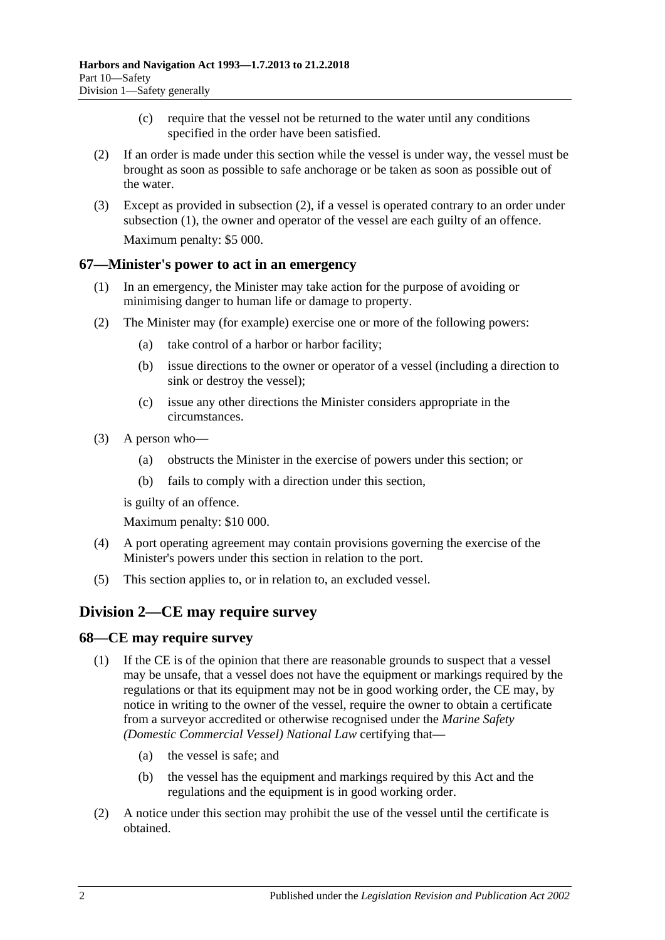- (c) require that the vessel not be returned to the water until any conditions specified in the order have been satisfied.
- <span id="page-47-0"></span>(2) If an order is made under this section while the vessel is under way, the vessel must be brought as soon as possible to safe anchorage or be taken as soon as possible out of the water.
- (3) Except as provided in [subsection](#page-47-0) (2), if a vessel is operated contrary to an order under [subsection](#page-46-2) (1), the owner and operator of the vessel are each guilty of an offence. Maximum penalty: \$5 000.

### **67—Minister's power to act in an emergency**

- (1) In an emergency, the Minister may take action for the purpose of avoiding or minimising danger to human life or damage to property.
- (2) The Minister may (for example) exercise one or more of the following powers:
	- (a) take control of a harbor or harbor facility;
	- (b) issue directions to the owner or operator of a vessel (including a direction to sink or destroy the vessel);
	- (c) issue any other directions the Minister considers appropriate in the circumstances.
- (3) A person who—
	- (a) obstructs the Minister in the exercise of powers under this section; or
	- (b) fails to comply with a direction under this section,

is guilty of an offence.

Maximum penalty: \$10 000.

- (4) A port operating agreement may contain provisions governing the exercise of the Minister's powers under this section in relation to the port.
- (5) This section applies to, or in relation to, an excluded vessel.

## **Division 2—CE may require survey**

#### **68—CE may require survey**

- (1) If the CE is of the opinion that there are reasonable grounds to suspect that a vessel may be unsafe, that a vessel does not have the equipment or markings required by the regulations or that its equipment may not be in good working order, the CE may, by notice in writing to the owner of the vessel, require the owner to obtain a certificate from a surveyor accredited or otherwise recognised under the *[Marine Safety](http://www.legislation.sa.gov.au/index.aspx?action=legref&type=act&legtitle=Marine%20Safety%20(Domestic%20Commercial%20Vessel)%20National%20Law)  [\(Domestic Commercial Vessel\) National Law](http://www.legislation.sa.gov.au/index.aspx?action=legref&type=act&legtitle=Marine%20Safety%20(Domestic%20Commercial%20Vessel)%20National%20Law)* certifying that—
	- (a) the vessel is safe; and
	- (b) the vessel has the equipment and markings required by this Act and the regulations and the equipment is in good working order.
- (2) A notice under this section may prohibit the use of the vessel until the certificate is obtained.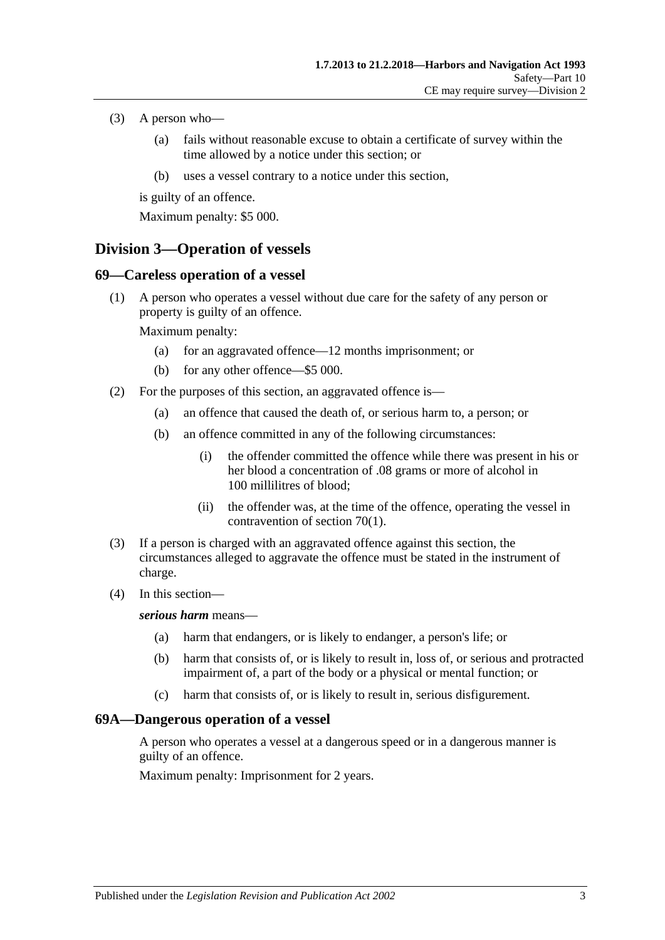- (3) A person who—
	- (a) fails without reasonable excuse to obtain a certificate of survey within the time allowed by a notice under this section; or
	- (b) uses a vessel contrary to a notice under this section,

is guilty of an offence.

Maximum penalty: \$5 000.

## **Division 3—Operation of vessels**

## **69—Careless operation of a vessel**

(1) A person who operates a vessel without due care for the safety of any person or property is guilty of an offence.

Maximum penalty:

- (a) for an aggravated offence—12 months imprisonment; or
- (b) for any other offence—\$5 000.
- (2) For the purposes of this section, an aggravated offence is—
	- (a) an offence that caused the death of, or serious harm to, a person; or
	- (b) an offence committed in any of the following circumstances:
		- (i) the offender committed the offence while there was present in his or her blood a concentration of .08 grams or more of alcohol in 100 millilitres of blood;
		- (ii) the offender was, at the time of the offence, operating the vessel in contravention of [section](#page-49-0) 70(1).
- (3) If a person is charged with an aggravated offence against this section, the circumstances alleged to aggravate the offence must be stated in the instrument of charge.
- (4) In this section—

#### *serious harm* means—

- (a) harm that endangers, or is likely to endanger, a person's life; or
- (b) harm that consists of, or is likely to result in, loss of, or serious and protracted impairment of, a part of the body or a physical or mental function; or
- (c) harm that consists of, or is likely to result in, serious disfigurement.

## **69A—Dangerous operation of a vessel**

A person who operates a vessel at a dangerous speed or in a dangerous manner is guilty of an offence.

Maximum penalty: Imprisonment for 2 years.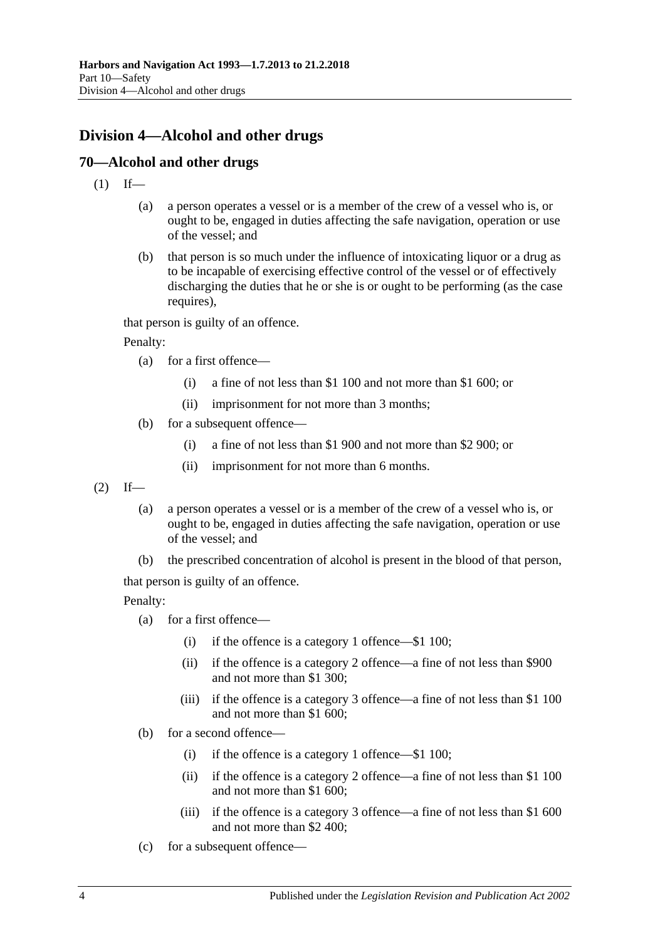## **Division 4—Alcohol and other drugs**

## <span id="page-49-0"></span>**70—Alcohol and other drugs**

- $(1)$  If—
	- (a) a person operates a vessel or is a member of the crew of a vessel who is, or ought to be, engaged in duties affecting the safe navigation, operation or use of the vessel; and
	- (b) that person is so much under the influence of intoxicating liquor or a drug as to be incapable of exercising effective control of the vessel or of effectively discharging the duties that he or she is or ought to be performing (as the case requires),

that person is guilty of an offence.

Penalty:

- (a) for a first offence—
	- (i) a fine of not less than \$1 100 and not more than \$1 600; or
	- (ii) imprisonment for not more than 3 months;
- (b) for a subsequent offence—
	- (i) a fine of not less than \$1 900 and not more than \$2 900; or
	- (ii) imprisonment for not more than 6 months.
- <span id="page-49-1"></span> $(2)$  If—
	- (a) a person operates a vessel or is a member of the crew of a vessel who is, or ought to be, engaged in duties affecting the safe navigation, operation or use of the vessel; and
	- (b) the prescribed concentration of alcohol is present in the blood of that person,

that person is guilty of an offence.

Penalty:

- (a) for a first offence—
	- (i) if the offence is a category 1 offence—\$1 100;
	- (ii) if the offence is a category 2 offence—a fine of not less than \$900 and not more than \$1 300;
	- (iii) if the offence is a category 3 offence—a fine of not less than \$1 100 and not more than \$1 600;
- (b) for a second offence—
	- (i) if the offence is a category 1 offence—\$1 100;
	- (ii) if the offence is a category 2 offence—a fine of not less than \$1 100 and not more than \$1 600;
	- (iii) if the offence is a category 3 offence—a fine of not less than \$1 600 and not more than \$2 400;
- (c) for a subsequent offence—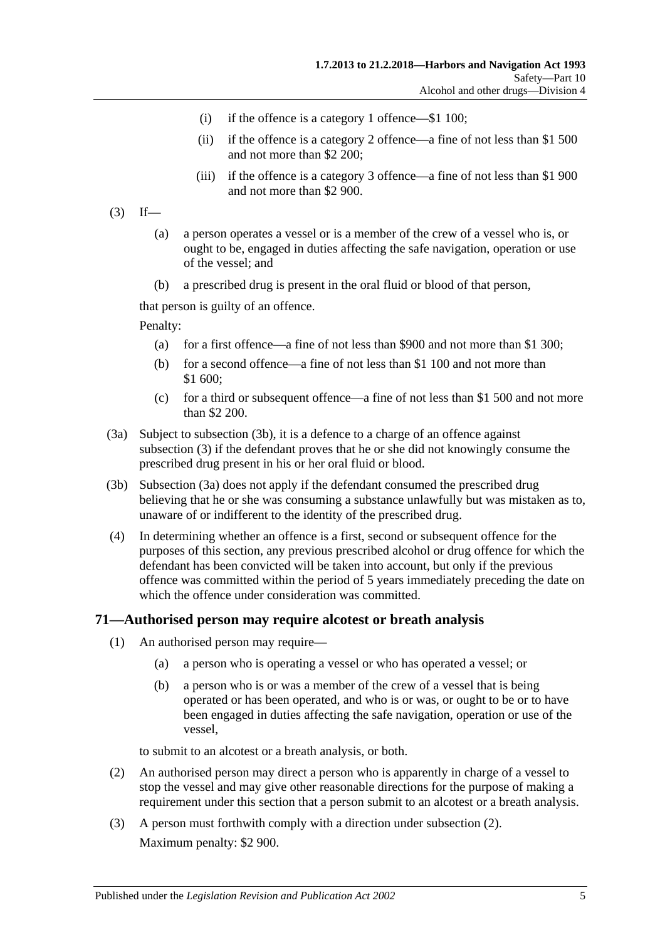- (i) if the offence is a category 1 offence—\$1 100;
- (ii) if the offence is a category 2 offence—a fine of not less than \$1 500 and not more than \$2 200;
- (iii) if the offence is a category 3 offence—a fine of not less than \$1 900 and not more than \$2 900.
- <span id="page-50-1"></span> $(3)$  If—
	- (a) a person operates a vessel or is a member of the crew of a vessel who is, or ought to be, engaged in duties affecting the safe navigation, operation or use of the vessel; and
	- (b) a prescribed drug is present in the oral fluid or blood of that person,

that person is guilty of an offence.

Penalty:

- (a) for a first offence—a fine of not less than \$900 and not more than \$1 300;
- (b) for a second offence—a fine of not less than \$1 100 and not more than \$1 600;
- (c) for a third or subsequent offence—a fine of not less than \$1 500 and not more than \$2 200.
- <span id="page-50-2"></span>(3a) Subject to [subsection](#page-50-0) (3b), it is a defence to a charge of an offence against [subsection](#page-50-1) (3) if the defendant proves that he or she did not knowingly consume the prescribed drug present in his or her oral fluid or blood.
- <span id="page-50-0"></span>(3b) [Subsection \(3a\)](#page-50-2) does not apply if the defendant consumed the prescribed drug believing that he or she was consuming a substance unlawfully but was mistaken as to, unaware of or indifferent to the identity of the prescribed drug.
- (4) In determining whether an offence is a first, second or subsequent offence for the purposes of this section, any previous prescribed alcohol or drug offence for which the defendant has been convicted will be taken into account, but only if the previous offence was committed within the period of 5 years immediately preceding the date on which the offence under consideration was committed.

#### <span id="page-50-5"></span><span id="page-50-4"></span>**71—Authorised person may require alcotest or breath analysis**

- (1) An authorised person may require—
	- (a) a person who is operating a vessel or who has operated a vessel; or
	- (b) a person who is or was a member of the crew of a vessel that is being operated or has been operated, and who is or was, or ought to be or to have been engaged in duties affecting the safe navigation, operation or use of the vessel,

to submit to an alcotest or a breath analysis, or both.

- <span id="page-50-3"></span>(2) An authorised person may direct a person who is apparently in charge of a vessel to stop the vessel and may give other reasonable directions for the purpose of making a requirement under this section that a person submit to an alcotest or a breath analysis.
- (3) A person must forthwith comply with a direction under [subsection](#page-50-3) (2). Maximum penalty: \$2 900.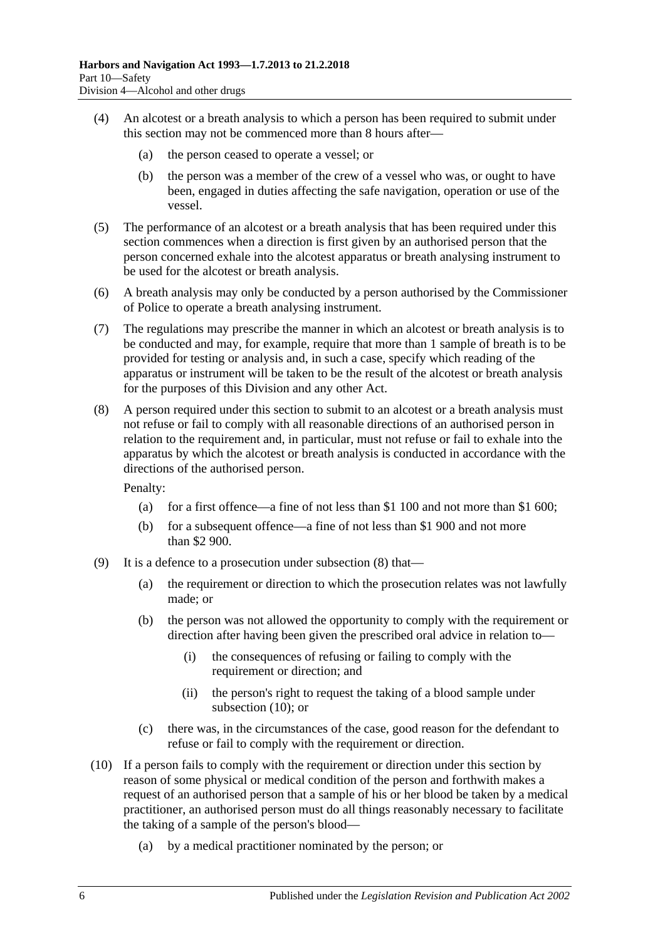- (4) An alcotest or a breath analysis to which a person has been required to submit under this section may not be commenced more than 8 hours after—
	- (a) the person ceased to operate a vessel; or
	- (b) the person was a member of the crew of a vessel who was, or ought to have been, engaged in duties affecting the safe navigation, operation or use of the vessel.
- (5) The performance of an alcotest or a breath analysis that has been required under this section commences when a direction is first given by an authorised person that the person concerned exhale into the alcotest apparatus or breath analysing instrument to be used for the alcotest or breath analysis.
- (6) A breath analysis may only be conducted by a person authorised by the Commissioner of Police to operate a breath analysing instrument.
- (7) The regulations may prescribe the manner in which an alcotest or breath analysis is to be conducted and may, for example, require that more than 1 sample of breath is to be provided for testing or analysis and, in such a case, specify which reading of the apparatus or instrument will be taken to be the result of the alcotest or breath analysis for the purposes of this Division and any other Act.
- <span id="page-51-0"></span>(8) A person required under this section to submit to an alcotest or a breath analysis must not refuse or fail to comply with all reasonable directions of an authorised person in relation to the requirement and, in particular, must not refuse or fail to exhale into the apparatus by which the alcotest or breath analysis is conducted in accordance with the directions of the authorised person.

Penalty:

- (a) for a first offence—a fine of not less than \$1 100 and not more than \$1 600;
- (b) for a subsequent offence—a fine of not less than \$1 900 and not more than \$2 900.
- (9) It is a defence to a prosecution under [subsection](#page-51-0) (8) that—
	- (a) the requirement or direction to which the prosecution relates was not lawfully made; or
	- (b) the person was not allowed the opportunity to comply with the requirement or direction after having been given the prescribed oral advice in relation to—
		- (i) the consequences of refusing or failing to comply with the requirement or direction; and
		- (ii) the person's right to request the taking of a blood sample under [subsection](#page-51-1) (10); or
	- (c) there was, in the circumstances of the case, good reason for the defendant to refuse or fail to comply with the requirement or direction.
- <span id="page-51-1"></span>(10) If a person fails to comply with the requirement or direction under this section by reason of some physical or medical condition of the person and forthwith makes a request of an authorised person that a sample of his or her blood be taken by a medical practitioner, an authorised person must do all things reasonably necessary to facilitate the taking of a sample of the person's blood—
	- (a) by a medical practitioner nominated by the person; or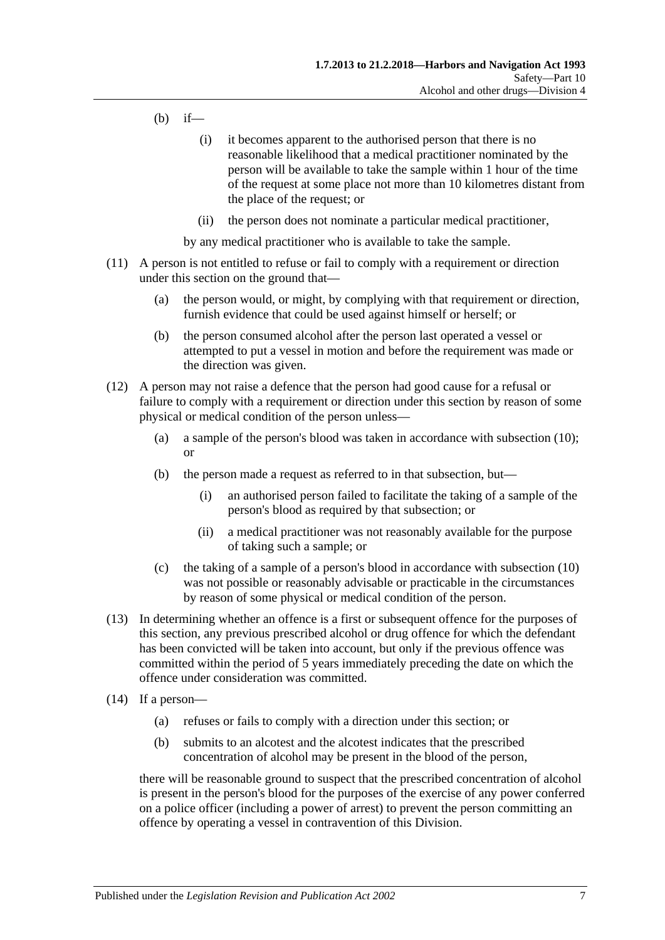- (b) if—
	- (i) it becomes apparent to the authorised person that there is no reasonable likelihood that a medical practitioner nominated by the person will be available to take the sample within 1 hour of the time of the request at some place not more than 10 kilometres distant from the place of the request; or
	- (ii) the person does not nominate a particular medical practitioner,

by any medical practitioner who is available to take the sample.

- (11) A person is not entitled to refuse or fail to comply with a requirement or direction under this section on the ground that—
	- (a) the person would, or might, by complying with that requirement or direction, furnish evidence that could be used against himself or herself; or
	- (b) the person consumed alcohol after the person last operated a vessel or attempted to put a vessel in motion and before the requirement was made or the direction was given.
- (12) A person may not raise a defence that the person had good cause for a refusal or failure to comply with a requirement or direction under this section by reason of some physical or medical condition of the person unless—
	- (a) a sample of the person's blood was taken in accordance with [subsection](#page-51-1) (10); or
	- (b) the person made a request as referred to in that subsection, but—
		- (i) an authorised person failed to facilitate the taking of a sample of the person's blood as required by that subsection; or
		- (ii) a medical practitioner was not reasonably available for the purpose of taking such a sample; or
	- (c) the taking of a sample of a person's blood in accordance with [subsection](#page-51-1) (10) was not possible or reasonably advisable or practicable in the circumstances by reason of some physical or medical condition of the person.
- (13) In determining whether an offence is a first or subsequent offence for the purposes of this section, any previous prescribed alcohol or drug offence for which the defendant has been convicted will be taken into account, but only if the previous offence was committed within the period of 5 years immediately preceding the date on which the offence under consideration was committed.
- <span id="page-52-0"></span>(14) If a person—
	- (a) refuses or fails to comply with a direction under this section; or
	- (b) submits to an alcotest and the alcotest indicates that the prescribed concentration of alcohol may be present in the blood of the person,

there will be reasonable ground to suspect that the prescribed concentration of alcohol is present in the person's blood for the purposes of the exercise of any power conferred on a police officer (including a power of arrest) to prevent the person committing an offence by operating a vessel in contravention of this Division.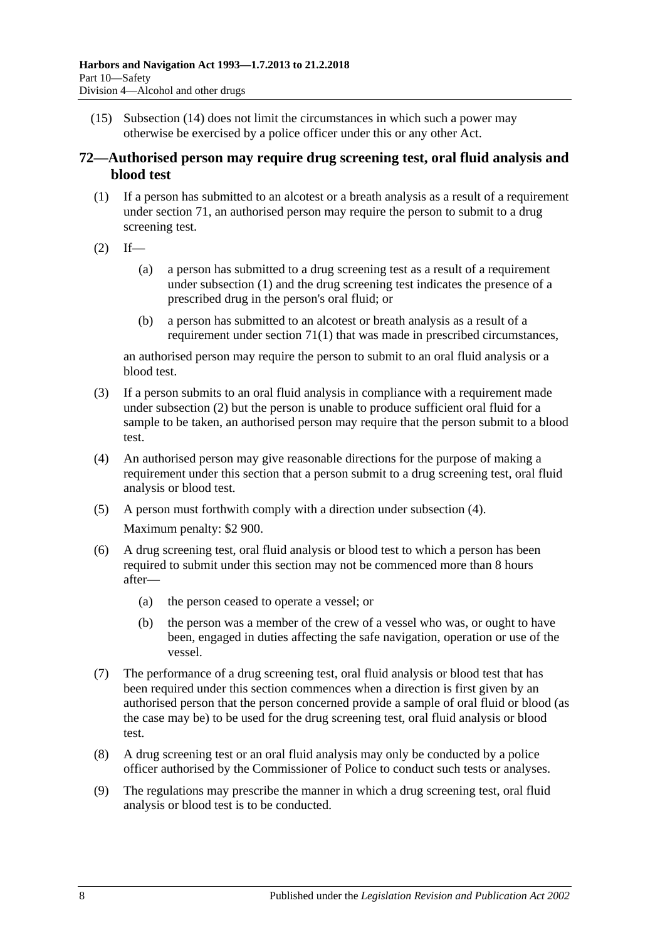(15) [Subsection \(14\)](#page-52-0) does not limit the circumstances in which such a power may otherwise be exercised by a police officer under this or any other Act.

## <span id="page-53-3"></span>**72—Authorised person may require drug screening test, oral fluid analysis and blood test**

- <span id="page-53-0"></span>(1) If a person has submitted to an alcotest or a breath analysis as a result of a requirement under [section](#page-50-4) 71, an authorised person may require the person to submit to a drug screening test.
- <span id="page-53-1"></span> $(2)$  If—
	- (a) a person has submitted to a drug screening test as a result of a requirement under [subsection](#page-53-0) (1) and the drug screening test indicates the presence of a prescribed drug in the person's oral fluid; or
	- (b) a person has submitted to an alcotest or breath analysis as a result of a requirement under [section](#page-50-5) 71(1) that was made in prescribed circumstances,

an authorised person may require the person to submit to an oral fluid analysis or a blood test.

- (3) If a person submits to an oral fluid analysis in compliance with a requirement made under [subsection](#page-53-1) (2) but the person is unable to produce sufficient oral fluid for a sample to be taken, an authorised person may require that the person submit to a blood test.
- <span id="page-53-2"></span>(4) An authorised person may give reasonable directions for the purpose of making a requirement under this section that a person submit to a drug screening test, oral fluid analysis or blood test.
- (5) A person must forthwith comply with a direction under [subsection](#page-53-2) (4). Maximum penalty: \$2 900.
- (6) A drug screening test, oral fluid analysis or blood test to which a person has been required to submit under this section may not be commenced more than 8 hours after—
	- (a) the person ceased to operate a vessel; or
	- (b) the person was a member of the crew of a vessel who was, or ought to have been, engaged in duties affecting the safe navigation, operation or use of the vessel.
- (7) The performance of a drug screening test, oral fluid analysis or blood test that has been required under this section commences when a direction is first given by an authorised person that the person concerned provide a sample of oral fluid or blood (as the case may be) to be used for the drug screening test, oral fluid analysis or blood test.
- (8) A drug screening test or an oral fluid analysis may only be conducted by a police officer authorised by the Commissioner of Police to conduct such tests or analyses.
- (9) The regulations may prescribe the manner in which a drug screening test, oral fluid analysis or blood test is to be conducted.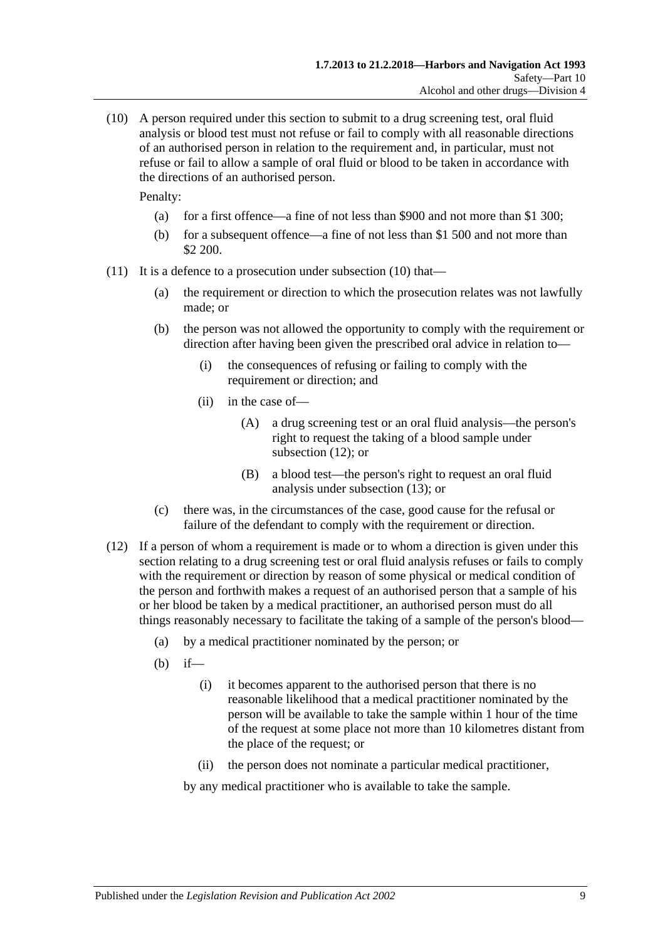<span id="page-54-0"></span>(10) A person required under this section to submit to a drug screening test, oral fluid analysis or blood test must not refuse or fail to comply with all reasonable directions of an authorised person in relation to the requirement and, in particular, must not refuse or fail to allow a sample of oral fluid or blood to be taken in accordance with the directions of an authorised person.

Penalty:

- (a) for a first offence—a fine of not less than \$900 and not more than \$1 300;
- (b) for a subsequent offence—a fine of not less than \$1 500 and not more than \$2 200.
- (11) It is a defence to a prosecution under [subsection](#page-54-0) (10) that—
	- (a) the requirement or direction to which the prosecution relates was not lawfully made; or
	- (b) the person was not allowed the opportunity to comply with the requirement or direction after having been given the prescribed oral advice in relation to—
		- (i) the consequences of refusing or failing to comply with the requirement or direction; and
		- (ii) in the case of—
			- (A) a drug screening test or an oral fluid analysis—the person's right to request the taking of a blood sample under [subsection](#page-54-1) (12); or
			- (B) a blood test—the person's right to request an oral fluid analysis under [subsection](#page-55-0) (13); or
	- (c) there was, in the circumstances of the case, good cause for the refusal or failure of the defendant to comply with the requirement or direction.
- <span id="page-54-1"></span>(12) If a person of whom a requirement is made or to whom a direction is given under this section relating to a drug screening test or oral fluid analysis refuses or fails to comply with the requirement or direction by reason of some physical or medical condition of the person and forthwith makes a request of an authorised person that a sample of his or her blood be taken by a medical practitioner, an authorised person must do all things reasonably necessary to facilitate the taking of a sample of the person's blood—
	- (a) by a medical practitioner nominated by the person; or
	- (b) if—
		- (i) it becomes apparent to the authorised person that there is no reasonable likelihood that a medical practitioner nominated by the person will be available to take the sample within 1 hour of the time of the request at some place not more than 10 kilometres distant from the place of the request; or
		- (ii) the person does not nominate a particular medical practitioner,

by any medical practitioner who is available to take the sample.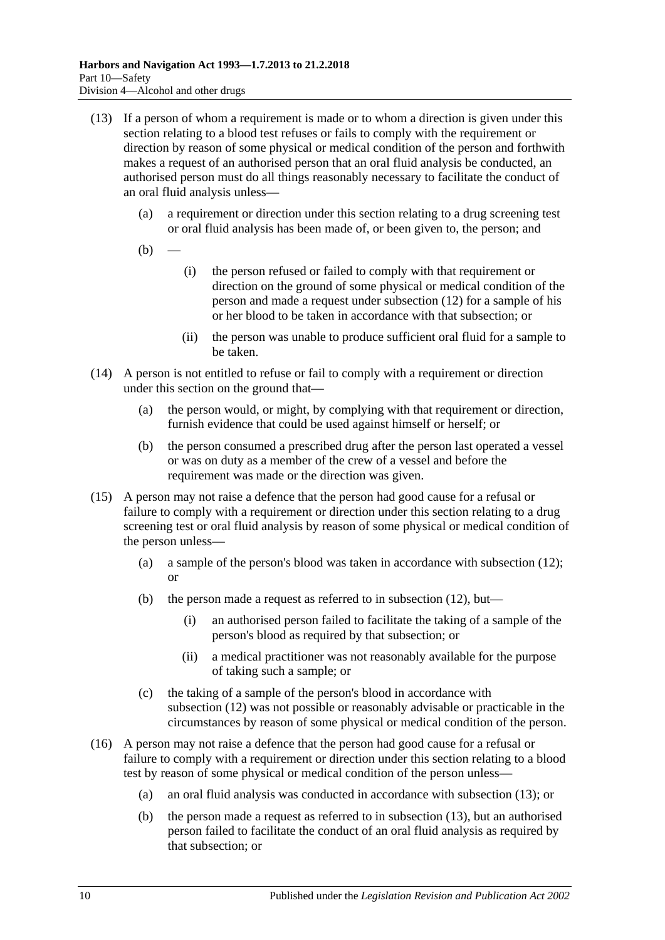- <span id="page-55-0"></span>(13) If a person of whom a requirement is made or to whom a direction is given under this section relating to a blood test refuses or fails to comply with the requirement or direction by reason of some physical or medical condition of the person and forthwith makes a request of an authorised person that an oral fluid analysis be conducted, an authorised person must do all things reasonably necessary to facilitate the conduct of an oral fluid analysis unless—
	- (a) a requirement or direction under this section relating to a drug screening test or oral fluid analysis has been made of, or been given to, the person; and
	- $(b)$
- (i) the person refused or failed to comply with that requirement or direction on the ground of some physical or medical condition of the person and made a request under [subsection](#page-54-1) (12) for a sample of his or her blood to be taken in accordance with that subsection; or
- (ii) the person was unable to produce sufficient oral fluid for a sample to be taken.
- (14) A person is not entitled to refuse or fail to comply with a requirement or direction under this section on the ground that—
	- (a) the person would, or might, by complying with that requirement or direction, furnish evidence that could be used against himself or herself; or
	- (b) the person consumed a prescribed drug after the person last operated a vessel or was on duty as a member of the crew of a vessel and before the requirement was made or the direction was given.
- (15) A person may not raise a defence that the person had good cause for a refusal or failure to comply with a requirement or direction under this section relating to a drug screening test or oral fluid analysis by reason of some physical or medical condition of the person unless—
	- (a) a sample of the person's blood was taken in accordance with [subsection](#page-54-1) (12); or
	- (b) the person made a request as referred to in [subsection](#page-54-1) (12), but—
		- (i) an authorised person failed to facilitate the taking of a sample of the person's blood as required by that subsection; or
		- (ii) a medical practitioner was not reasonably available for the purpose of taking such a sample; or
	- (c) the taking of a sample of the person's blood in accordance with [subsection](#page-54-1) (12) was not possible or reasonably advisable or practicable in the circumstances by reason of some physical or medical condition of the person.
- (16) A person may not raise a defence that the person had good cause for a refusal or failure to comply with a requirement or direction under this section relating to a blood test by reason of some physical or medical condition of the person unless—
	- (a) an oral fluid analysis was conducted in accordance with [subsection](#page-55-0) (13); or
	- (b) the person made a request as referred to in [subsection](#page-55-0) (13), but an authorised person failed to facilitate the conduct of an oral fluid analysis as required by that subsection; or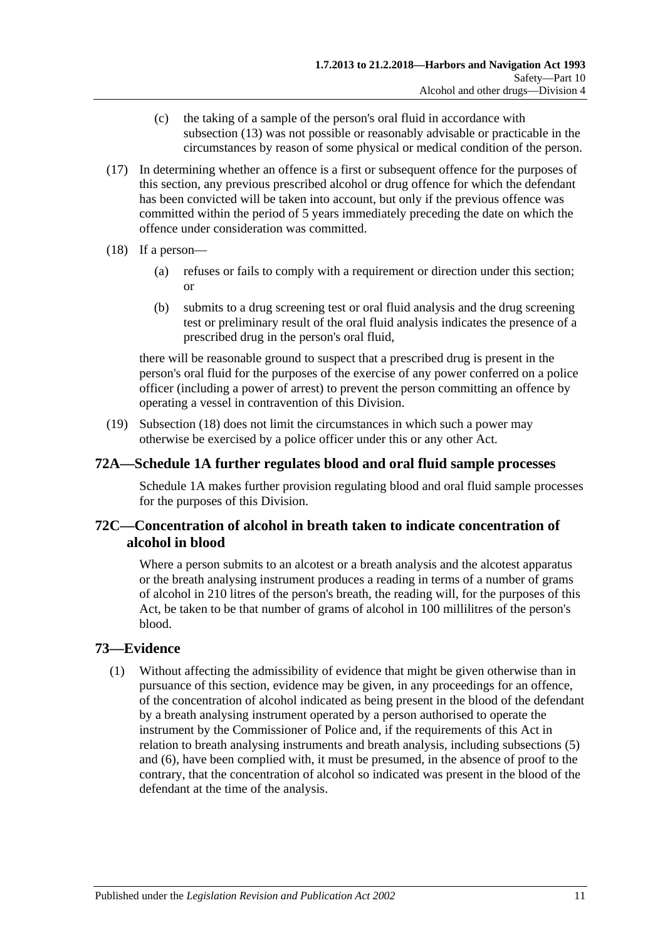- (c) the taking of a sample of the person's oral fluid in accordance with [subsection](#page-55-0) (13) was not possible or reasonably advisable or practicable in the circumstances by reason of some physical or medical condition of the person.
- (17) In determining whether an offence is a first or subsequent offence for the purposes of this section, any previous prescribed alcohol or drug offence for which the defendant has been convicted will be taken into account, but only if the previous offence was committed within the period of 5 years immediately preceding the date on which the offence under consideration was committed.
- <span id="page-56-0"></span>(18) If a person—
	- (a) refuses or fails to comply with a requirement or direction under this section; or
	- (b) submits to a drug screening test or oral fluid analysis and the drug screening test or preliminary result of the oral fluid analysis indicates the presence of a prescribed drug in the person's oral fluid,

there will be reasonable ground to suspect that a prescribed drug is present in the person's oral fluid for the purposes of the exercise of any power conferred on a police officer (including a power of arrest) to prevent the person committing an offence by operating a vessel in contravention of this Division.

(19) [Subsection](#page-56-0) (18) does not limit the circumstances in which such a power may otherwise be exercised by a police officer under this or any other Act.

## **72A[—Schedule 1A](#page-77-0) further regulates blood and oral fluid sample processes**

[Schedule 1A](#page-77-0) makes further provision regulating blood and oral fluid sample processes for the purposes of this Division.

## **72C—Concentration of alcohol in breath taken to indicate concentration of alcohol in blood**

Where a person submits to an alcotest or a breath analysis and the alcotest apparatus or the breath analysing instrument produces a reading in terms of a number of grams of alcohol in 210 litres of the person's breath, the reading will, for the purposes of this Act, be taken to be that number of grams of alcohol in 100 millilitres of the person's blood.

## <span id="page-56-1"></span>**73—Evidence**

(1) Without affecting the admissibility of evidence that might be given otherwise than in pursuance of this section, evidence may be given, in any proceedings for an offence, of the concentration of alcohol indicated as being present in the blood of the defendant by a breath analysing instrument operated by a person authorised to operate the instrument by the Commissioner of Police and, if the requirements of this Act in relation to breath analysing instruments and breath analysis, including [subsections \(5\)](#page-57-0) and [\(6\),](#page-57-1) have been complied with, it must be presumed, in the absence of proof to the contrary, that the concentration of alcohol so indicated was present in the blood of the defendant at the time of the analysis.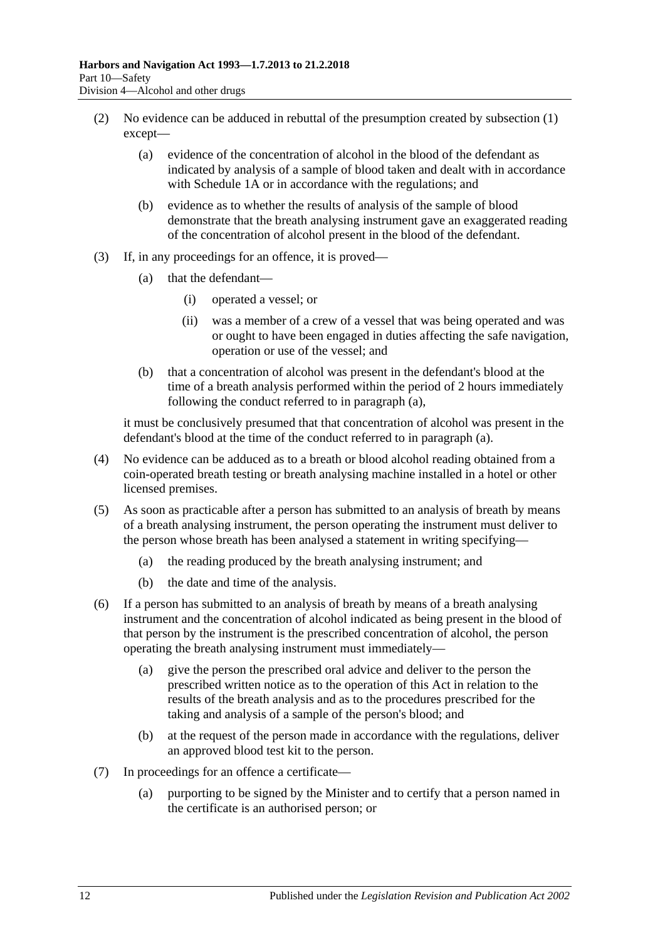- <span id="page-57-5"></span>(2) No evidence can be adduced in rebuttal of the presumption created by [subsection](#page-56-1) (1) except—
	- (a) evidence of the concentration of alcohol in the blood of the defendant as indicated by analysis of a sample of blood taken and dealt with in accordance with [Schedule 1A](#page-77-0) or in accordance with the regulations; and
	- (b) evidence as to whether the results of analysis of the sample of blood demonstrate that the breath analysing instrument gave an exaggerated reading of the concentration of alcohol present in the blood of the defendant.
- <span id="page-57-2"></span>(3) If, in any proceedings for an offence, it is proved—
	- (a) that the defendant—
		- (i) operated a vessel; or
		- (ii) was a member of a crew of a vessel that was being operated and was or ought to have been engaged in duties affecting the safe navigation, operation or use of the vessel; and
	- (b) that a concentration of alcohol was present in the defendant's blood at the time of a breath analysis performed within the period of 2 hours immediately following the conduct referred to in [paragraph](#page-57-2) (a),

it must be conclusively presumed that that concentration of alcohol was present in the defendant's blood at the time of the conduct referred to in [paragraph](#page-57-2) (a).

- (4) No evidence can be adduced as to a breath or blood alcohol reading obtained from a coin-operated breath testing or breath analysing machine installed in a hotel or other licensed premises.
- <span id="page-57-0"></span>(5) As soon as practicable after a person has submitted to an analysis of breath by means of a breath analysing instrument, the person operating the instrument must deliver to the person whose breath has been analysed a statement in writing specifying—
	- (a) the reading produced by the breath analysing instrument; and
	- (b) the date and time of the analysis.
- <span id="page-57-3"></span><span id="page-57-1"></span>(6) If a person has submitted to an analysis of breath by means of a breath analysing instrument and the concentration of alcohol indicated as being present in the blood of that person by the instrument is the prescribed concentration of alcohol, the person operating the breath analysing instrument must immediately—
	- (a) give the person the prescribed oral advice and deliver to the person the prescribed written notice as to the operation of this Act in relation to the results of the breath analysis and as to the procedures prescribed for the taking and analysis of a sample of the person's blood; and
	- (b) at the request of the person made in accordance with the regulations, deliver an approved blood test kit to the person.
- <span id="page-57-4"></span>(7) In proceedings for an offence a certificate—
	- (a) purporting to be signed by the Minister and to certify that a person named in the certificate is an authorised person; or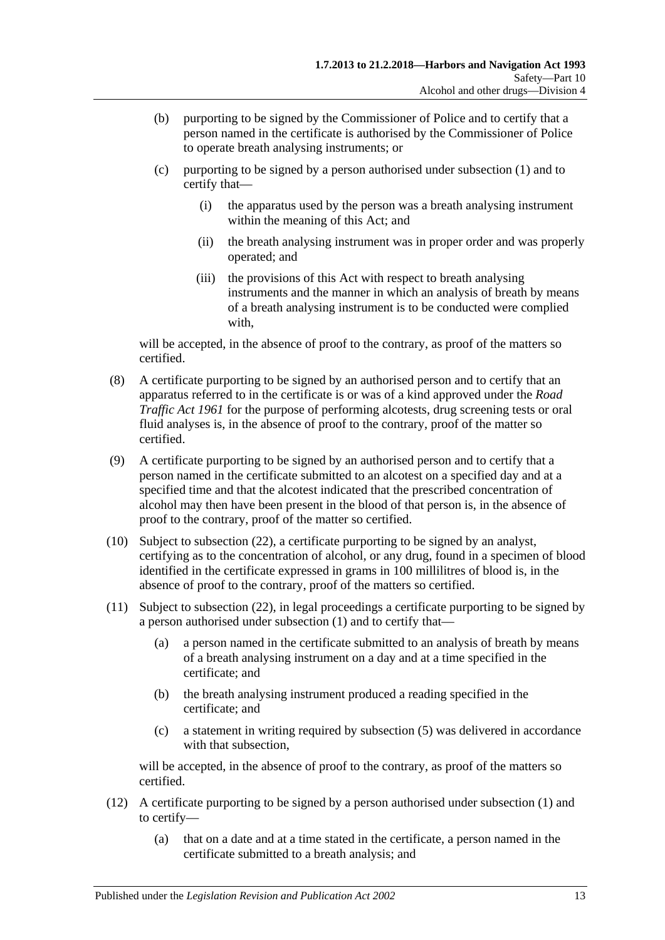- (b) purporting to be signed by the Commissioner of Police and to certify that a person named in the certificate is authorised by the Commissioner of Police to operate breath analysing instruments; or
- (c) purporting to be signed by a person authorised under [subsection](#page-56-1) (1) and to certify that—
	- (i) the apparatus used by the person was a breath analysing instrument within the meaning of this Act; and
	- (ii) the breath analysing instrument was in proper order and was properly operated; and
	- (iii) the provisions of this Act with respect to breath analysing instruments and the manner in which an analysis of breath by means of a breath analysing instrument is to be conducted were complied with,

will be accepted, in the absence of proof to the contrary, as proof of the matters so certified.

- (8) A certificate purporting to be signed by an authorised person and to certify that an apparatus referred to in the certificate is or was of a kind approved under the *[Road](http://www.legislation.sa.gov.au/index.aspx?action=legref&type=act&legtitle=Road%20Traffic%20Act%201961)  [Traffic Act](http://www.legislation.sa.gov.au/index.aspx?action=legref&type=act&legtitle=Road%20Traffic%20Act%201961) 1961* for the purpose of performing alcotests, drug screening tests or oral fluid analyses is, in the absence of proof to the contrary, proof of the matter so certified.
- (9) A certificate purporting to be signed by an authorised person and to certify that a person named in the certificate submitted to an alcotest on a specified day and at a specified time and that the alcotest indicated that the prescribed concentration of alcohol may then have been present in the blood of that person is, in the absence of proof to the contrary, proof of the matter so certified.
- <span id="page-58-0"></span>(10) Subject to [subsection](#page-60-0) (22), a certificate purporting to be signed by an analyst, certifying as to the concentration of alcohol, or any drug, found in a specimen of blood identified in the certificate expressed in grams in 100 millilitres of blood is, in the absence of proof to the contrary, proof of the matters so certified.
- <span id="page-58-1"></span>(11) Subject to [subsection](#page-60-0) (22), in legal proceedings a certificate purporting to be signed by a person authorised under [subsection](#page-56-1) (1) and to certify that—
	- (a) a person named in the certificate submitted to an analysis of breath by means of a breath analysing instrument on a day and at a time specified in the certificate; and
	- (b) the breath analysing instrument produced a reading specified in the certificate; and
	- (c) a statement in writing required by [subsection](#page-57-0) (5) was delivered in accordance with that subsection,

will be accepted, in the absence of proof to the contrary, as proof of the matters so certified.

- (12) A certificate purporting to be signed by a person authorised under [subsection](#page-56-1) (1) and to certify—
	- (a) that on a date and at a time stated in the certificate, a person named in the certificate submitted to a breath analysis; and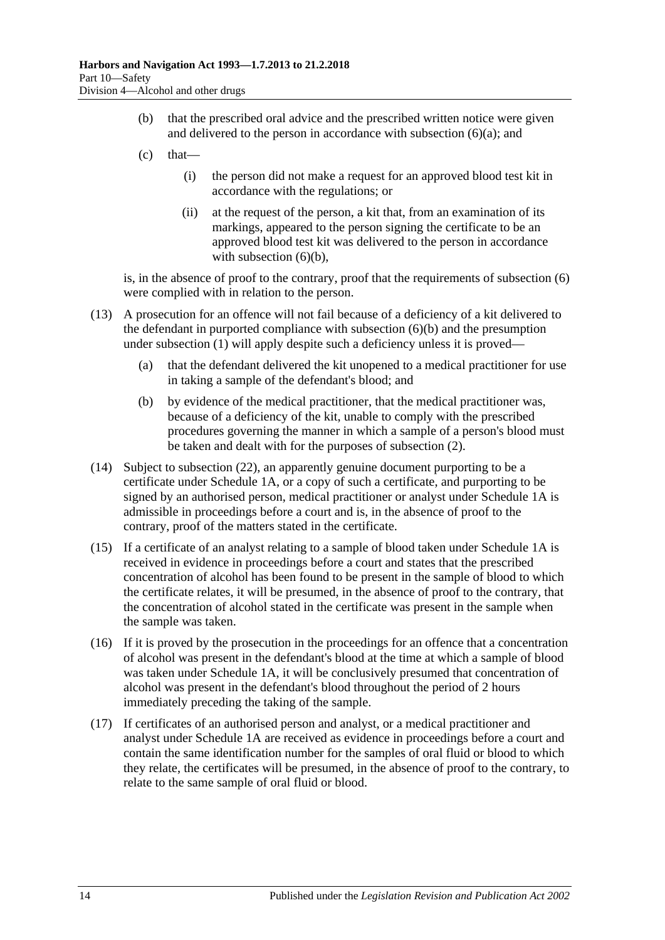- (b) that the prescribed oral advice and the prescribed written notice were given and delivered to the person in accordance with [subsection](#page-57-3)  $(6)(a)$ ; and
- $(c)$  that—
	- (i) the person did not make a request for an approved blood test kit in accordance with the regulations; or
	- (ii) at the request of the person, a kit that, from an examination of its markings, appeared to the person signing the certificate to be an approved blood test kit was delivered to the person in accordance with [subsection](#page-57-4)  $(6)(b)$ ,

is, in the absence of proof to the contrary, proof that the requirements of [subsection](#page-57-1) (6) were complied with in relation to the person.

- (13) A prosecution for an offence will not fail because of a deficiency of a kit delivered to the defendant in purported compliance with [subsection](#page-57-4) (6)(b) and the presumption under [subsection](#page-56-1) (1) will apply despite such a deficiency unless it is proved—
	- (a) that the defendant delivered the kit unopened to a medical practitioner for use in taking a sample of the defendant's blood; and
	- (b) by evidence of the medical practitioner, that the medical practitioner was, because of a deficiency of the kit, unable to comply with the prescribed procedures governing the manner in which a sample of a person's blood must be taken and dealt with for the purposes of [subsection](#page-57-5) (2).
- <span id="page-59-0"></span>(14) Subject to [subsection](#page-60-0) (22), an apparently genuine document purporting to be a certificate under [Schedule 1A,](#page-77-0) or a copy of such a certificate, and purporting to be signed by an authorised person, medical practitioner or analyst under [Schedule 1A](#page-77-0) is admissible in proceedings before a court and is, in the absence of proof to the contrary, proof of the matters stated in the certificate.
- (15) If a certificate of an analyst relating to a sample of blood taken under [Schedule 1A](#page-77-0) is received in evidence in proceedings before a court and states that the prescribed concentration of alcohol has been found to be present in the sample of blood to which the certificate relates, it will be presumed, in the absence of proof to the contrary, that the concentration of alcohol stated in the certificate was present in the sample when the sample was taken.
- (16) If it is proved by the prosecution in the proceedings for an offence that a concentration of alcohol was present in the defendant's blood at the time at which a sample of blood was taken under [Schedule 1A,](#page-77-0) it will be conclusively presumed that concentration of alcohol was present in the defendant's blood throughout the period of 2 hours immediately preceding the taking of the sample.
- (17) If certificates of an authorised person and analyst, or a medical practitioner and analyst under [Schedule 1A](#page-77-0) are received as evidence in proceedings before a court and contain the same identification number for the samples of oral fluid or blood to which they relate, the certificates will be presumed, in the absence of proof to the contrary, to relate to the same sample of oral fluid or blood.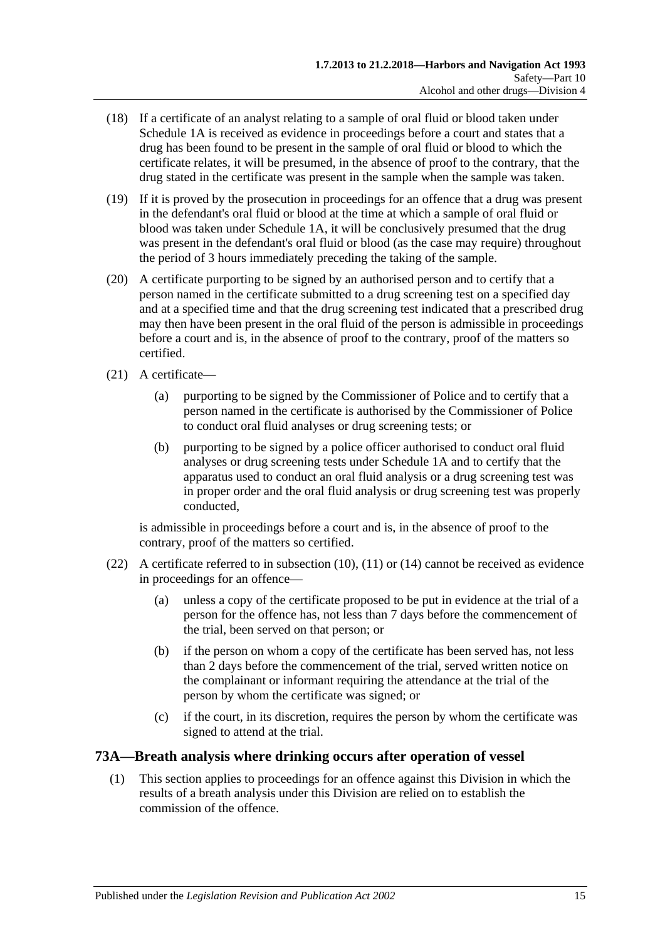- (18) If a certificate of an analyst relating to a sample of oral fluid or blood taken under [Schedule 1A](#page-77-0) is received as evidence in proceedings before a court and states that a drug has been found to be present in the sample of oral fluid or blood to which the certificate relates, it will be presumed, in the absence of proof to the contrary, that the drug stated in the certificate was present in the sample when the sample was taken.
- (19) If it is proved by the prosecution in proceedings for an offence that a drug was present in the defendant's oral fluid or blood at the time at which a sample of oral fluid or blood was taken under [Schedule 1A,](#page-77-0) it will be conclusively presumed that the drug was present in the defendant's oral fluid or blood (as the case may require) throughout the period of 3 hours immediately preceding the taking of the sample.
- (20) A certificate purporting to be signed by an authorised person and to certify that a person named in the certificate submitted to a drug screening test on a specified day and at a specified time and that the drug screening test indicated that a prescribed drug may then have been present in the oral fluid of the person is admissible in proceedings before a court and is, in the absence of proof to the contrary, proof of the matters so certified.
- (21) A certificate—
	- (a) purporting to be signed by the Commissioner of Police and to certify that a person named in the certificate is authorised by the Commissioner of Police to conduct oral fluid analyses or drug screening tests; or
	- (b) purporting to be signed by a police officer authorised to conduct oral fluid analyses or drug screening tests under [Schedule 1A](#page-77-0) and to certify that the apparatus used to conduct an oral fluid analysis or a drug screening test was in proper order and the oral fluid analysis or drug screening test was properly conducted,

is admissible in proceedings before a court and is, in the absence of proof to the contrary, proof of the matters so certified.

- <span id="page-60-0"></span>(22) A certificate referred to in [subsection](#page-58-0) (10), [\(11\)](#page-58-1) or [\(14\)](#page-59-0) cannot be received as evidence in proceedings for an offence—
	- (a) unless a copy of the certificate proposed to be put in evidence at the trial of a person for the offence has, not less than 7 days before the commencement of the trial, been served on that person; or
	- (b) if the person on whom a copy of the certificate has been served has, not less than 2 days before the commencement of the trial, served written notice on the complainant or informant requiring the attendance at the trial of the person by whom the certificate was signed; or
	- (c) if the court, in its discretion, requires the person by whom the certificate was signed to attend at the trial.

## **73A—Breath analysis where drinking occurs after operation of vessel**

(1) This section applies to proceedings for an offence against this Division in which the results of a breath analysis under this Division are relied on to establish the commission of the offence.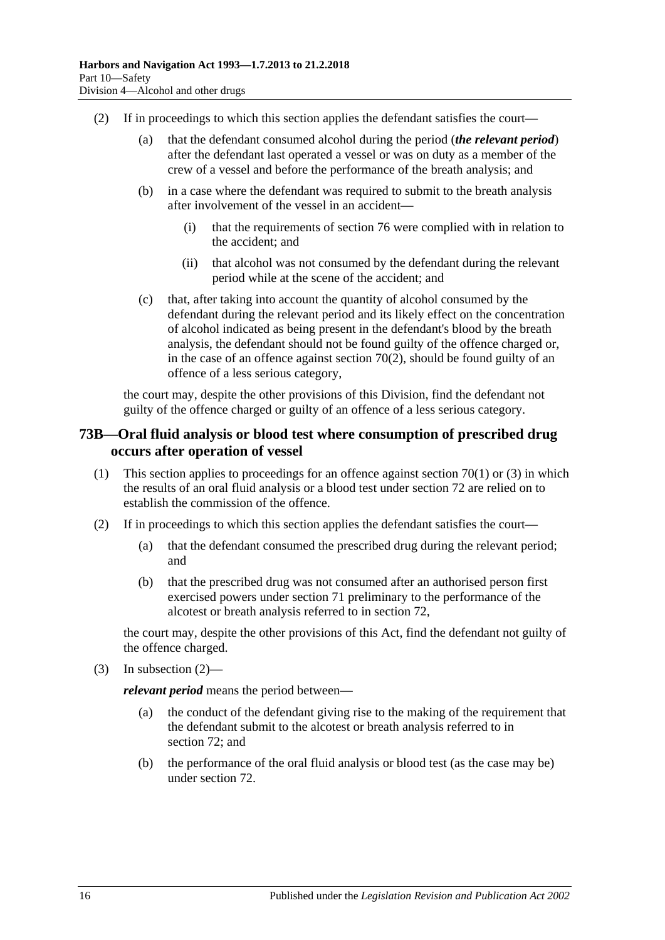- (2) If in proceedings to which this section applies the defendant satisfies the court—
	- (a) that the defendant consumed alcohol during the period (*the relevant period*) after the defendant last operated a vessel or was on duty as a member of the crew of a vessel and before the performance of the breath analysis; and
	- (b) in a case where the defendant was required to submit to the breath analysis after involvement of the vessel in an accident—
		- (i) that the requirements of [section](#page-64-0) 76 were complied with in relation to the accident; and
		- (ii) that alcohol was not consumed by the defendant during the relevant period while at the scene of the accident; and
	- (c) that, after taking into account the quantity of alcohol consumed by the defendant during the relevant period and its likely effect on the concentration of alcohol indicated as being present in the defendant's blood by the breath analysis, the defendant should not be found guilty of the offence charged or, in the case of an offence against [section](#page-49-1) 70(2), should be found guilty of an offence of a less serious category,

the court may, despite the other provisions of this Division, find the defendant not guilty of the offence charged or guilty of an offence of a less serious category.

### **73B—Oral fluid analysis or blood test where consumption of prescribed drug occurs after operation of vessel**

- (1) This section applies to proceedings for an offence against [section](#page-49-0) 70(1) or [\(3\)](#page-50-1) in which the results of an oral fluid analysis or a blood test under [section](#page-53-3) 72 are relied on to establish the commission of the offence.
- <span id="page-61-0"></span>(2) If in proceedings to which this section applies the defendant satisfies the court—
	- (a) that the defendant consumed the prescribed drug during the relevant period; and
	- (b) that the prescribed drug was not consumed after an authorised person first exercised powers under [section](#page-50-4) 71 preliminary to the performance of the alcotest or breath analysis referred to in [section](#page-53-3) 72,

the court may, despite the other provisions of this Act, find the defendant not guilty of the offence charged.

(3) In [subsection](#page-61-0)  $(2)$ —

*relevant period* means the period between—

- (a) the conduct of the defendant giving rise to the making of the requirement that the defendant submit to the alcotest or breath analysis referred to in [section](#page-53-3) 72; and
- (b) the performance of the oral fluid analysis or blood test (as the case may be) under [section](#page-53-3) 72.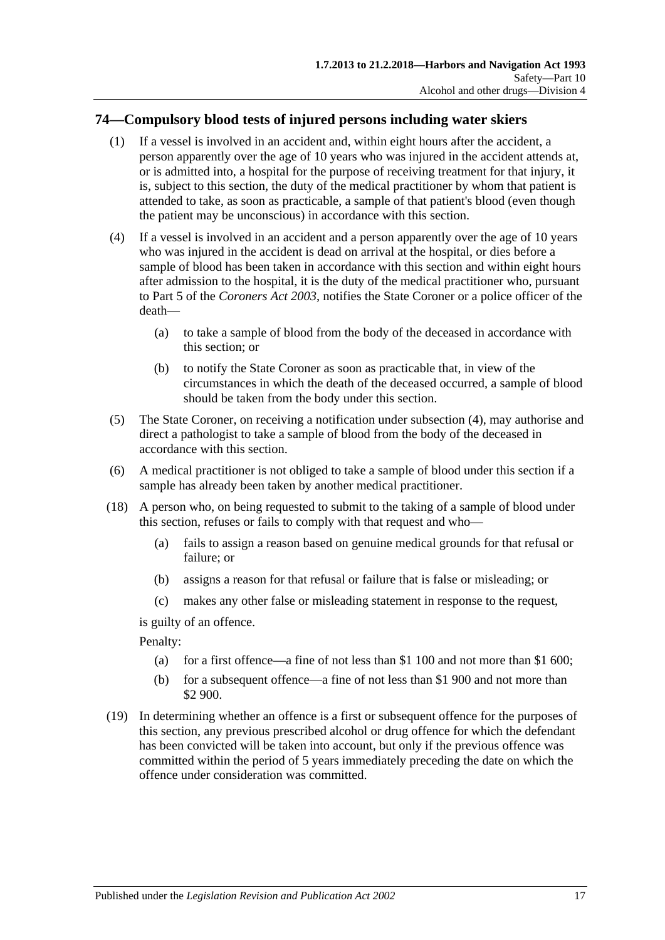## **74—Compulsory blood tests of injured persons including water skiers**

- (1) If a vessel is involved in an accident and, within eight hours after the accident, a person apparently over the age of 10 years who was injured in the accident attends at, or is admitted into, a hospital for the purpose of receiving treatment for that injury, it is, subject to this section, the duty of the medical practitioner by whom that patient is attended to take, as soon as practicable, a sample of that patient's blood (even though the patient may be unconscious) in accordance with this section.
- <span id="page-62-0"></span>(4) If a vessel is involved in an accident and a person apparently over the age of 10 years who was injured in the accident is dead on arrival at the hospital, or dies before a sample of blood has been taken in accordance with this section and within eight hours after admission to the hospital, it is the duty of the medical practitioner who, pursuant to Part 5 of the *[Coroners Act](http://www.legislation.sa.gov.au/index.aspx?action=legref&type=act&legtitle=Coroners%20Act%202003) 2003*, notifies the State Coroner or a police officer of the death—
	- (a) to take a sample of blood from the body of the deceased in accordance with this section; or
	- (b) to notify the State Coroner as soon as practicable that, in view of the circumstances in which the death of the deceased occurred, a sample of blood should be taken from the body under this section.
- (5) The State Coroner, on receiving a notification under [subsection](#page-62-0) (4), may authorise and direct a pathologist to take a sample of blood from the body of the deceased in accordance with this section.
- (6) A medical practitioner is not obliged to take a sample of blood under this section if a sample has already been taken by another medical practitioner.
- (18) A person who, on being requested to submit to the taking of a sample of blood under this section, refuses or fails to comply with that request and who—
	- (a) fails to assign a reason based on genuine medical grounds for that refusal or failure; or
	- (b) assigns a reason for that refusal or failure that is false or misleading; or
	- (c) makes any other false or misleading statement in response to the request,

is guilty of an offence.

Penalty:

- (a) for a first offence—a fine of not less than \$1 100 and not more than \$1 600;
- (b) for a subsequent offence—a fine of not less than \$1 900 and not more than \$2 900.
- (19) In determining whether an offence is a first or subsequent offence for the purposes of this section, any previous prescribed alcohol or drug offence for which the defendant has been convicted will be taken into account, but only if the previous offence was committed within the period of 5 years immediately preceding the date on which the offence under consideration was committed.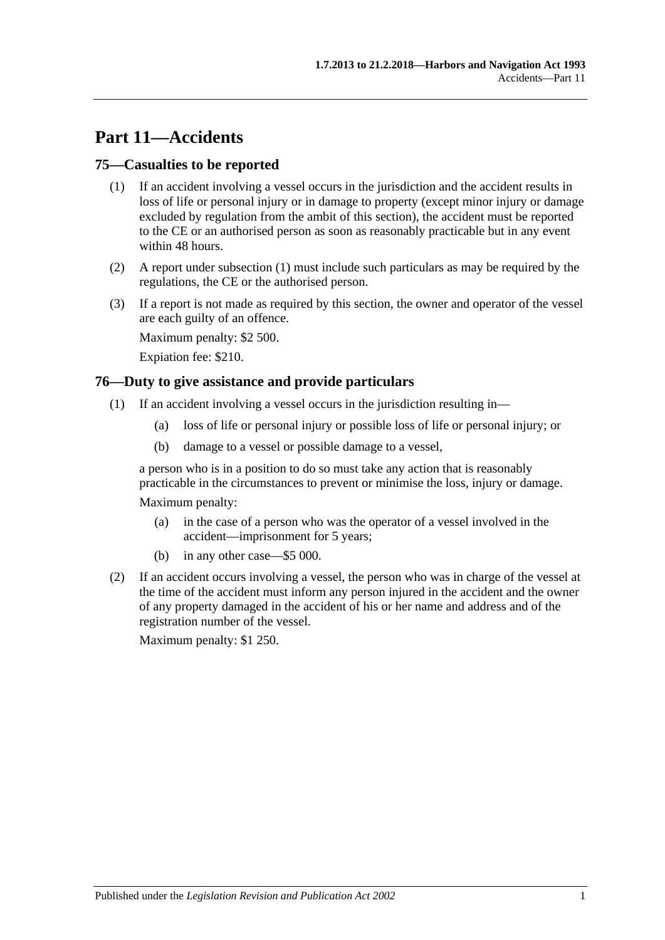# **Part 11—Accidents**

### <span id="page-64-1"></span>**75—Casualties to be reported**

- (1) If an accident involving a vessel occurs in the jurisdiction and the accident results in loss of life or personal injury or in damage to property (except minor injury or damage excluded by regulation from the ambit of this section), the accident must be reported to the CE or an authorised person as soon as reasonably practicable but in any event within 48 hours.
- (2) A report under [subsection](#page-64-1) (1) must include such particulars as may be required by the regulations, the CE or the authorised person.
- (3) If a report is not made as required by this section, the owner and operator of the vessel are each guilty of an offence.

Maximum penalty: \$2 500.

Expiation fee: \$210.

### <span id="page-64-0"></span>**76—Duty to give assistance and provide particulars**

- (1) If an accident involving a vessel occurs in the jurisdiction resulting in—
	- (a) loss of life or personal injury or possible loss of life or personal injury; or
	- (b) damage to a vessel or possible damage to a vessel,

a person who is in a position to do so must take any action that is reasonably practicable in the circumstances to prevent or minimise the loss, injury or damage.

Maximum penalty:

- (a) in the case of a person who was the operator of a vessel involved in the accident—imprisonment for 5 years;
- (b) in any other case—\$5 000.
- (2) If an accident occurs involving a vessel, the person who was in charge of the vessel at the time of the accident must inform any person injured in the accident and the owner of any property damaged in the accident of his or her name and address and of the registration number of the vessel.

Maximum penalty: \$1 250.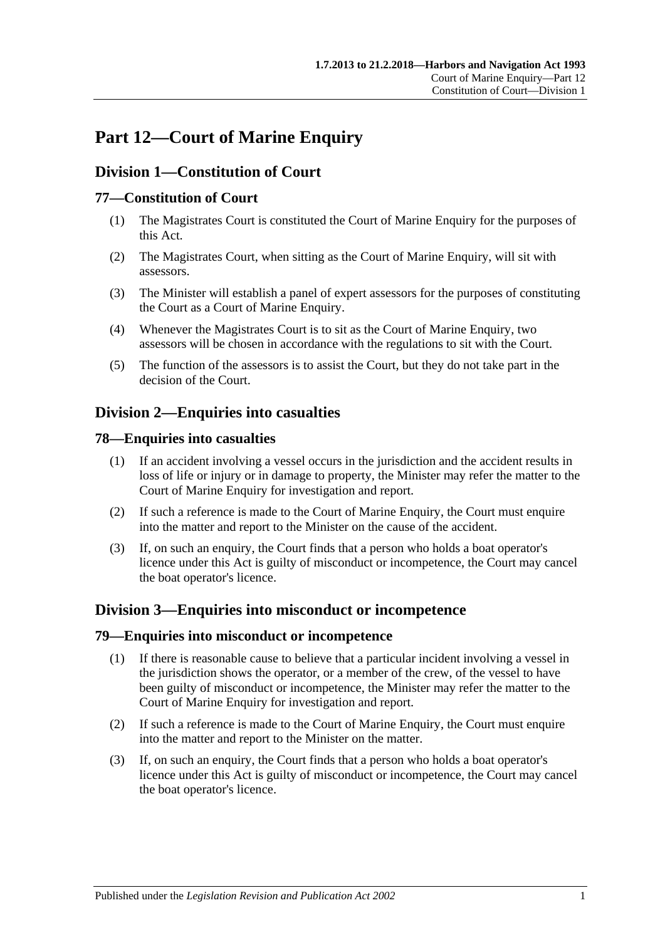# **Part 12—Court of Marine Enquiry**

## **Division 1—Constitution of Court**

## **77—Constitution of Court**

- (1) The Magistrates Court is constituted the Court of Marine Enquiry for the purposes of this Act.
- (2) The Magistrates Court, when sitting as the Court of Marine Enquiry, will sit with assessors.
- (3) The Minister will establish a panel of expert assessors for the purposes of constituting the Court as a Court of Marine Enquiry.
- (4) Whenever the Magistrates Court is to sit as the Court of Marine Enquiry, two assessors will be chosen in accordance with the regulations to sit with the Court.
- (5) The function of the assessors is to assist the Court, but they do not take part in the decision of the Court.

## **Division 2—Enquiries into casualties**

## **78—Enquiries into casualties**

- (1) If an accident involving a vessel occurs in the jurisdiction and the accident results in loss of life or injury or in damage to property, the Minister may refer the matter to the Court of Marine Enquiry for investigation and report.
- (2) If such a reference is made to the Court of Marine Enquiry, the Court must enquire into the matter and report to the Minister on the cause of the accident.
- (3) If, on such an enquiry, the Court finds that a person who holds a boat operator's licence under this Act is guilty of misconduct or incompetence, the Court may cancel the boat operator's licence.

## **Division 3—Enquiries into misconduct or incompetence**

### **79—Enquiries into misconduct or incompetence**

- (1) If there is reasonable cause to believe that a particular incident involving a vessel in the jurisdiction shows the operator, or a member of the crew, of the vessel to have been guilty of misconduct or incompetence, the Minister may refer the matter to the Court of Marine Enquiry for investigation and report.
- (2) If such a reference is made to the Court of Marine Enquiry, the Court must enquire into the matter and report to the Minister on the matter.
- (3) If, on such an enquiry, the Court finds that a person who holds a boat operator's licence under this Act is guilty of misconduct or incompetence, the Court may cancel the boat operator's licence.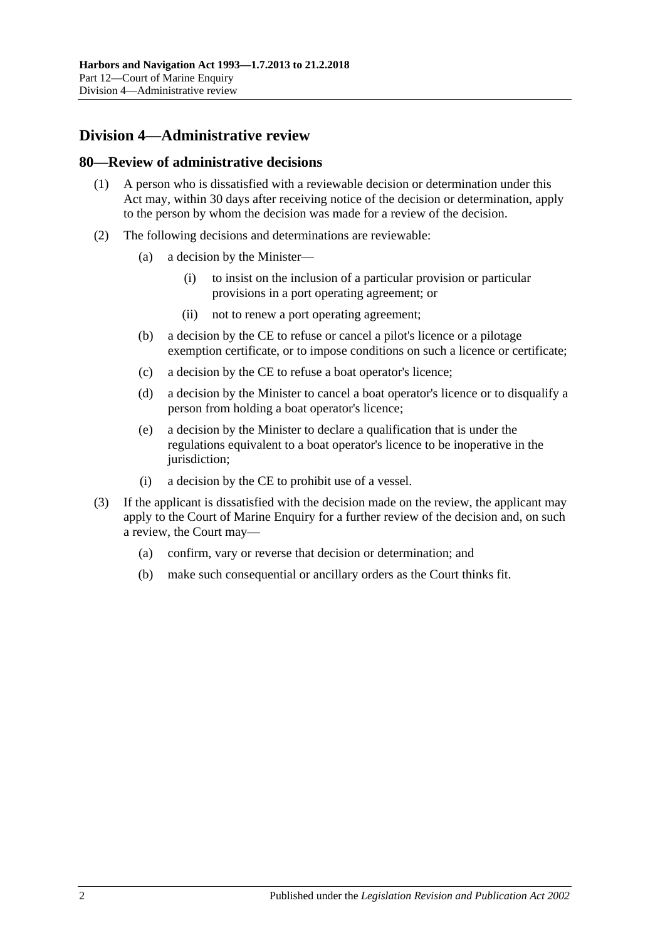## **Division 4—Administrative review**

### **80—Review of administrative decisions**

- (1) A person who is dissatisfied with a reviewable decision or determination under this Act may, within 30 days after receiving notice of the decision or determination, apply to the person by whom the decision was made for a review of the decision.
- (2) The following decisions and determinations are reviewable:
	- (a) a decision by the Minister—
		- (i) to insist on the inclusion of a particular provision or particular provisions in a port operating agreement; or
		- (ii) not to renew a port operating agreement;
	- (b) a decision by the CE to refuse or cancel a pilot's licence or a pilotage exemption certificate, or to impose conditions on such a licence or certificate;
	- (c) a decision by the CE to refuse a boat operator's licence;
	- (d) a decision by the Minister to cancel a boat operator's licence or to disqualify a person from holding a boat operator's licence;
	- (e) a decision by the Minister to declare a qualification that is under the regulations equivalent to a boat operator's licence to be inoperative in the jurisdiction;
	- (i) a decision by the CE to prohibit use of a vessel.
- (3) If the applicant is dissatisfied with the decision made on the review, the applicant may apply to the Court of Marine Enquiry for a further review of the decision and, on such a review, the Court may—
	- (a) confirm, vary or reverse that decision or determination; and
	- (b) make such consequential or ancillary orders as the Court thinks fit.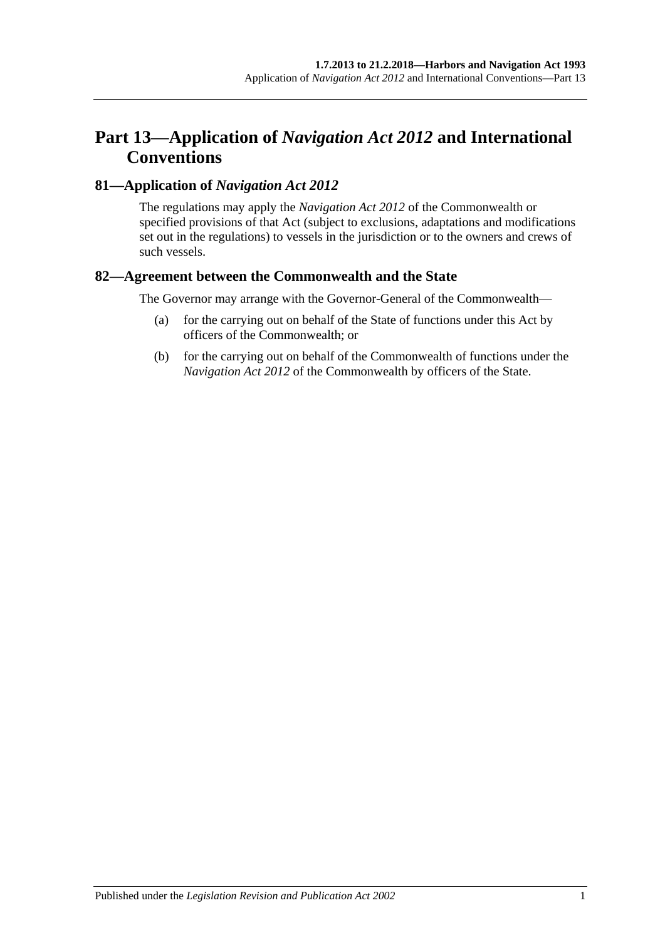# **Part 13—Application of** *Navigation Act 2012* **and International Conventions**

## **81—Application of** *Navigation Act 2012*

The regulations may apply the *Navigation Act 2012* of the Commonwealth or specified provisions of that Act (subject to exclusions, adaptations and modifications set out in the regulations) to vessels in the jurisdiction or to the owners and crews of such vessels.

## **82—Agreement between the Commonwealth and the State**

The Governor may arrange with the Governor-General of the Commonwealth—

- (a) for the carrying out on behalf of the State of functions under this Act by officers of the Commonwealth; or
- (b) for the carrying out on behalf of the Commonwealth of functions under the *Navigation Act 2012* of the Commonwealth by officers of the State.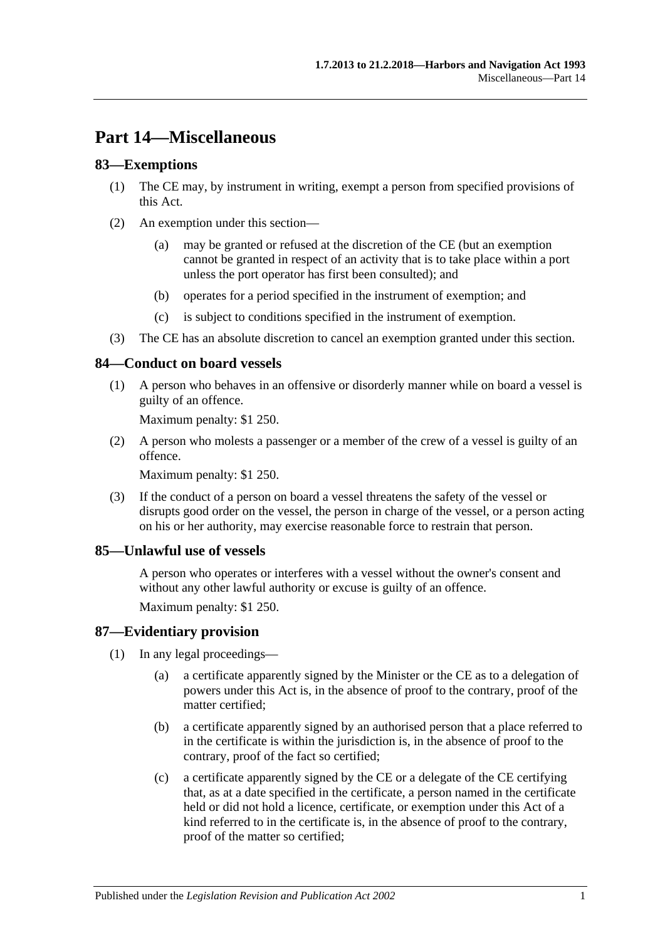# **Part 14—Miscellaneous**

### **83—Exemptions**

- (1) The CE may, by instrument in writing, exempt a person from specified provisions of this Act.
- (2) An exemption under this section—
	- (a) may be granted or refused at the discretion of the CE (but an exemption cannot be granted in respect of an activity that is to take place within a port unless the port operator has first been consulted); and
	- (b) operates for a period specified in the instrument of exemption; and
	- (c) is subject to conditions specified in the instrument of exemption.
- (3) The CE has an absolute discretion to cancel an exemption granted under this section.

### **84—Conduct on board vessels**

(1) A person who behaves in an offensive or disorderly manner while on board a vessel is guilty of an offence.

Maximum penalty: \$1 250.

(2) A person who molests a passenger or a member of the crew of a vessel is guilty of an offence.

Maximum penalty: \$1 250.

(3) If the conduct of a person on board a vessel threatens the safety of the vessel or disrupts good order on the vessel, the person in charge of the vessel, or a person acting on his or her authority, may exercise reasonable force to restrain that person.

#### **85—Unlawful use of vessels**

A person who operates or interferes with a vessel without the owner's consent and without any other lawful authority or excuse is guilty of an offence.

Maximum penalty: \$1 250.

#### **87—Evidentiary provision**

- (1) In any legal proceedings—
	- (a) a certificate apparently signed by the Minister or the CE as to a delegation of powers under this Act is, in the absence of proof to the contrary, proof of the matter certified;
	- (b) a certificate apparently signed by an authorised person that a place referred to in the certificate is within the jurisdiction is, in the absence of proof to the contrary, proof of the fact so certified;
	- (c) a certificate apparently signed by the CE or a delegate of the CE certifying that, as at a date specified in the certificate, a person named in the certificate held or did not hold a licence, certificate, or exemption under this Act of a kind referred to in the certificate is, in the absence of proof to the contrary, proof of the matter so certified;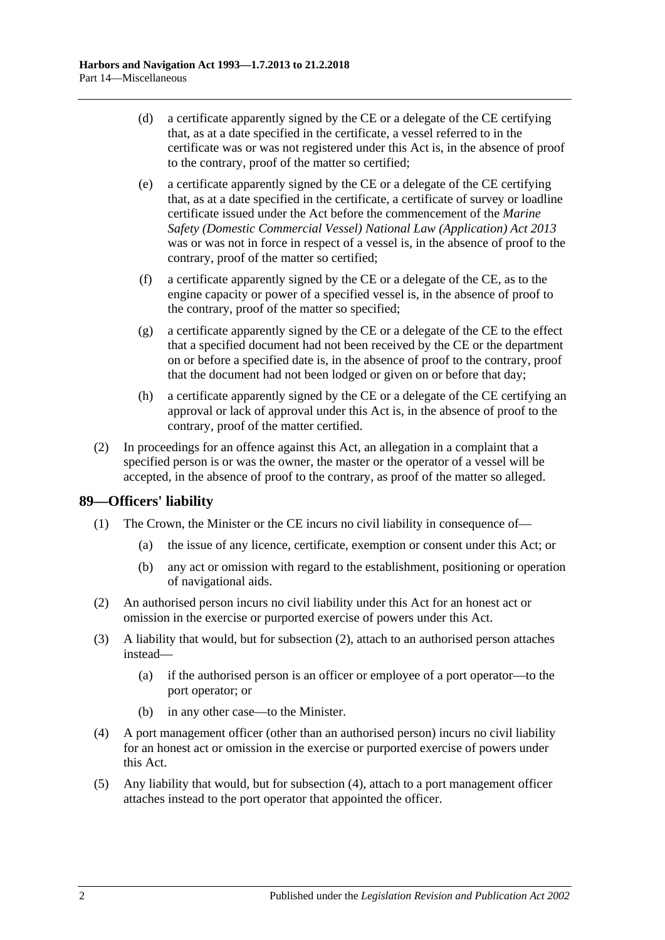- (d) a certificate apparently signed by the CE or a delegate of the CE certifying that, as at a date specified in the certificate, a vessel referred to in the certificate was or was not registered under this Act is, in the absence of proof to the contrary, proof of the matter so certified;
- (e) a certificate apparently signed by the CE or a delegate of the CE certifying that, as at a date specified in the certificate, a certificate of survey or loadline certificate issued under the Act before the commencement of the *[Marine](http://www.legislation.sa.gov.au/index.aspx?action=legref&type=act&legtitle=Marine%20Safety%20(Domestic%20Commercial%20Vessel)%20National%20Law%20(Application)%20Act%202013)  [Safety \(Domestic Commercial Vessel\) National Law \(Application\) Act](http://www.legislation.sa.gov.au/index.aspx?action=legref&type=act&legtitle=Marine%20Safety%20(Domestic%20Commercial%20Vessel)%20National%20Law%20(Application)%20Act%202013) 2013* was or was not in force in respect of a vessel is, in the absence of proof to the contrary, proof of the matter so certified;
- (f) a certificate apparently signed by the CE or a delegate of the CE, as to the engine capacity or power of a specified vessel is, in the absence of proof to the contrary, proof of the matter so specified;
- (g) a certificate apparently signed by the CE or a delegate of the CE to the effect that a specified document had not been received by the CE or the department on or before a specified date is, in the absence of proof to the contrary, proof that the document had not been lodged or given on or before that day;
- (h) a certificate apparently signed by the CE or a delegate of the CE certifying an approval or lack of approval under this Act is, in the absence of proof to the contrary, proof of the matter certified.
- (2) In proceedings for an offence against this Act, an allegation in a complaint that a specified person is or was the owner, the master or the operator of a vessel will be accepted, in the absence of proof to the contrary, as proof of the matter so alleged.

## **89—Officers' liability**

- (1) The Crown, the Minister or the CE incurs no civil liability in consequence of—
	- (a) the issue of any licence, certificate, exemption or consent under this Act; or
	- (b) any act or omission with regard to the establishment, positioning or operation of navigational aids.
- <span id="page-71-0"></span>(2) An authorised person incurs no civil liability under this Act for an honest act or omission in the exercise or purported exercise of powers under this Act.
- (3) A liability that would, but for [subsection](#page-71-0) (2), attach to an authorised person attaches instead—
	- (a) if the authorised person is an officer or employee of a port operator—to the port operator; or
	- (b) in any other case—to the Minister.
- <span id="page-71-1"></span>(4) A port management officer (other than an authorised person) incurs no civil liability for an honest act or omission in the exercise or purported exercise of powers under this Act.
- (5) Any liability that would, but for [subsection](#page-71-1) (4), attach to a port management officer attaches instead to the port operator that appointed the officer.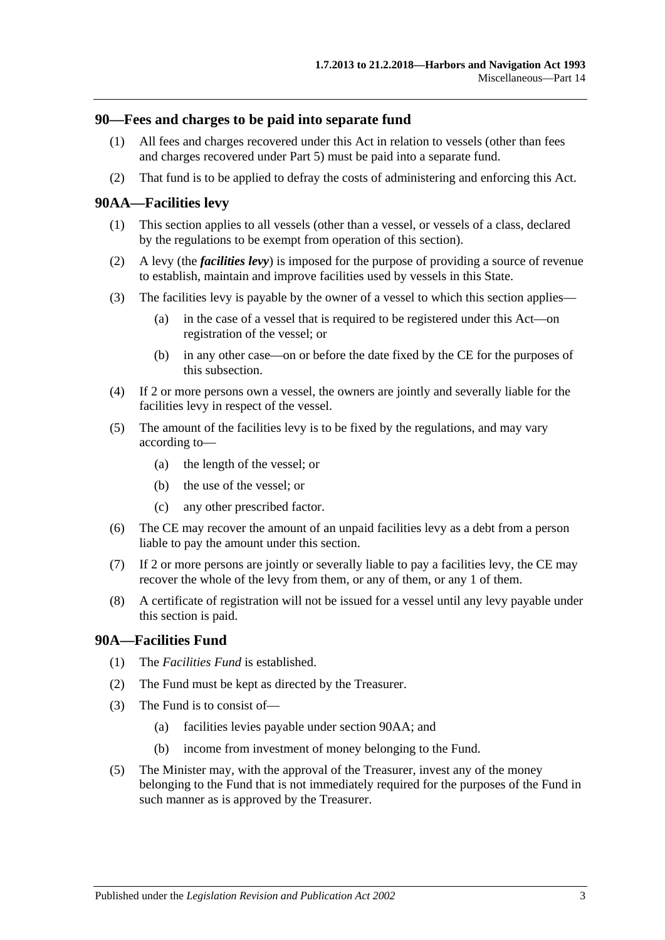## **90—Fees and charges to be paid into separate fund**

- (1) All fees and charges recovered under this Act in relation to vessels (other than fees and charges recovered under [Part 5\)](#page-24-0) must be paid into a separate fund.
- (2) That fund is to be applied to defray the costs of administering and enforcing this Act.

## <span id="page-72-0"></span>**90AA—Facilities levy**

- (1) This section applies to all vessels (other than a vessel, or vessels of a class, declared by the regulations to be exempt from operation of this section).
- (2) A levy (the *facilities levy*) is imposed for the purpose of providing a source of revenue to establish, maintain and improve facilities used by vessels in this State.
- (3) The facilities levy is payable by the owner of a vessel to which this section applies—
	- (a) in the case of a vessel that is required to be registered under this Act—on registration of the vessel; or
	- (b) in any other case—on or before the date fixed by the CE for the purposes of this subsection.
- (4) If 2 or more persons own a vessel, the owners are jointly and severally liable for the facilities levy in respect of the vessel.
- (5) The amount of the facilities levy is to be fixed by the regulations, and may vary according to—
	- (a) the length of the vessel; or
	- (b) the use of the vessel; or
	- (c) any other prescribed factor.
- (6) The CE may recover the amount of an unpaid facilities levy as a debt from a person liable to pay the amount under this section.
- (7) If 2 or more persons are jointly or severally liable to pay a facilities levy, the CE may recover the whole of the levy from them, or any of them, or any 1 of them.
- (8) A certificate of registration will not be issued for a vessel until any levy payable under this section is paid.

### **90A—Facilities Fund**

- (1) The *Facilities Fund* is established.
- (2) The Fund must be kept as directed by the Treasurer.
- (3) The Fund is to consist of—
	- (a) facilities levies payable under [section](#page-72-0) 90AA; and
	- (b) income from investment of money belonging to the Fund.
- (5) The Minister may, with the approval of the Treasurer, invest any of the money belonging to the Fund that is not immediately required for the purposes of the Fund in such manner as is approved by the Treasurer.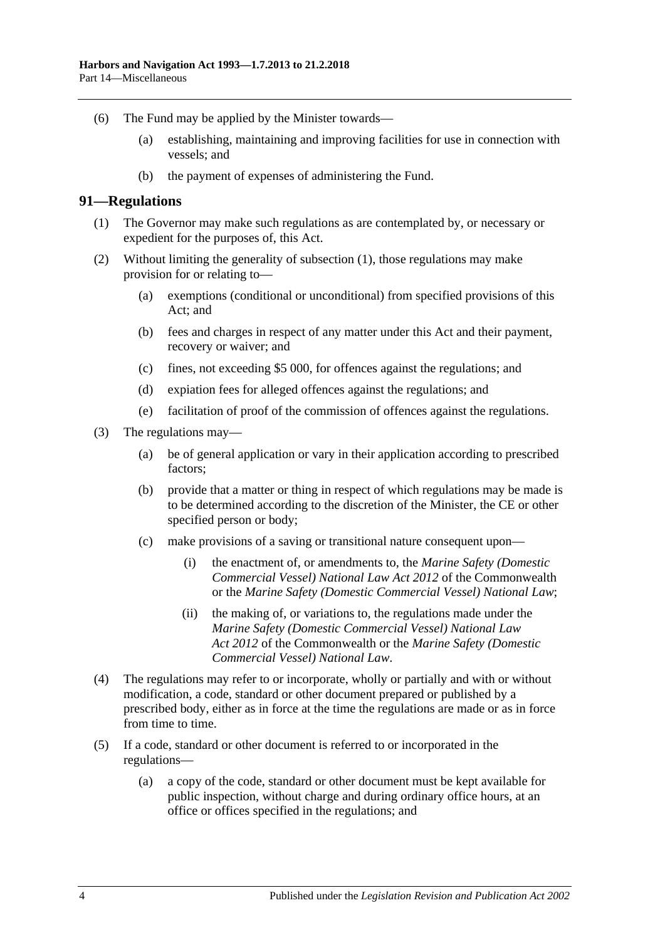- (6) The Fund may be applied by the Minister towards—
	- (a) establishing, maintaining and improving facilities for use in connection with vessels; and
	- (b) the payment of expenses of administering the Fund.

#### <span id="page-73-0"></span>**91—Regulations**

- (1) The Governor may make such regulations as are contemplated by, or necessary or expedient for the purposes of, this Act.
- (2) Without limiting the generality of [subsection](#page-73-0) (1), those regulations may make provision for or relating to—
	- (a) exemptions (conditional or unconditional) from specified provisions of this Act; and
	- (b) fees and charges in respect of any matter under this Act and their payment, recovery or waiver; and
	- (c) fines, not exceeding \$5 000, for offences against the regulations; and
	- (d) expiation fees for alleged offences against the regulations; and
	- (e) facilitation of proof of the commission of offences against the regulations.
- (3) The regulations may—
	- (a) be of general application or vary in their application according to prescribed factors;
	- (b) provide that a matter or thing in respect of which regulations may be made is to be determined according to the discretion of the Minister, the CE or other specified person or body;
	- (c) make provisions of a saving or transitional nature consequent upon—
		- (i) the enactment of, or amendments to, the *Marine Safety (Domestic Commercial Vessel) National Law Act 2012* of the Commonwealth or the *[Marine Safety \(Domestic Commercial Vessel\) National Law](http://www.legislation.sa.gov.au/index.aspx?action=legref&type=act&legtitle=Marine%20Safety%20(Domestic%20Commercial%20Vessel)%20National%20Law)*;
		- (ii) the making of, or variations to, the regulations made under the *Marine Safety (Domestic Commercial Vessel) National Law Act 2012* of the Commonwealth or the *[Marine Safety \(Domestic](http://www.legislation.sa.gov.au/index.aspx?action=legref&type=act&legtitle=Marine%20Safety%20(Domestic%20Commercial%20Vessel)%20National%20Law)  [Commercial Vessel\) National Law](http://www.legislation.sa.gov.au/index.aspx?action=legref&type=act&legtitle=Marine%20Safety%20(Domestic%20Commercial%20Vessel)%20National%20Law)*.
- (4) The regulations may refer to or incorporate, wholly or partially and with or without modification, a code, standard or other document prepared or published by a prescribed body, either as in force at the time the regulations are made or as in force from time to time.
- (5) If a code, standard or other document is referred to or incorporated in the regulations—
	- (a) a copy of the code, standard or other document must be kept available for public inspection, without charge and during ordinary office hours, at an office or offices specified in the regulations; and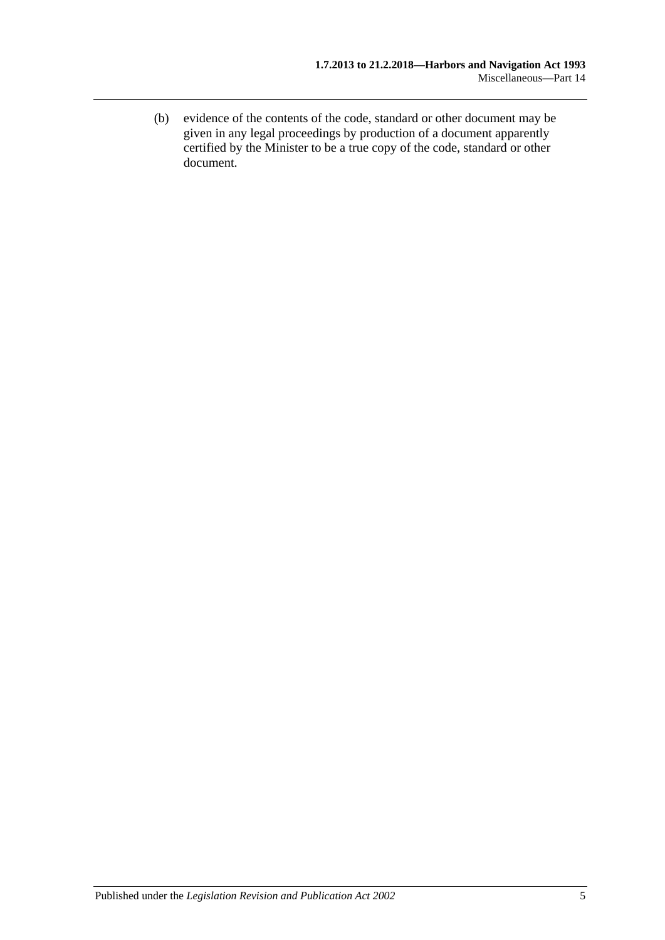(b) evidence of the contents of the code, standard or other document may be given in any legal proceedings by production of a document apparently certified by the Minister to be a true copy of the code, standard or other document.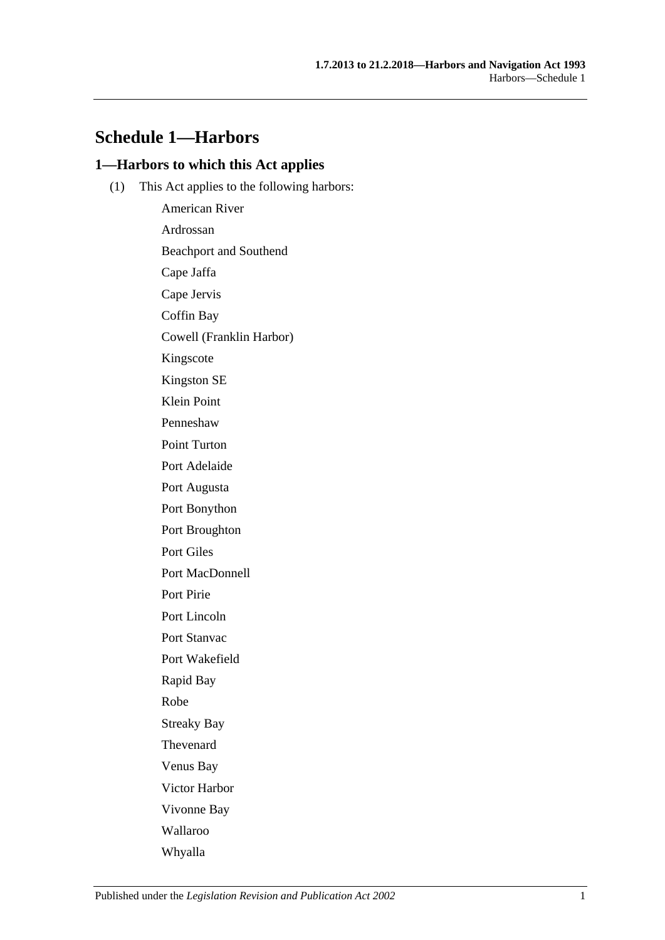# **Schedule 1—Harbors**

## **1—Harbors to which this Act applies**

(1) This Act applies to the following harbors:

American River Ardrossan Beachport and Southend Cape Jaffa Cape Jervis Coffin Bay Cowell (Franklin Harbor) Kingscote Kingston SE Klein Point Penneshaw Point Turton Port Adelaide Port Augusta Port Bonython Port Broughton Port Giles Port MacDonnell Port Pirie Port Lincoln Port Stanvac Port Wakefield Rapid Bay Robe Streaky Bay Thevenard Venus Bay Victor Harbor Vivonne Bay Wallaroo Whyalla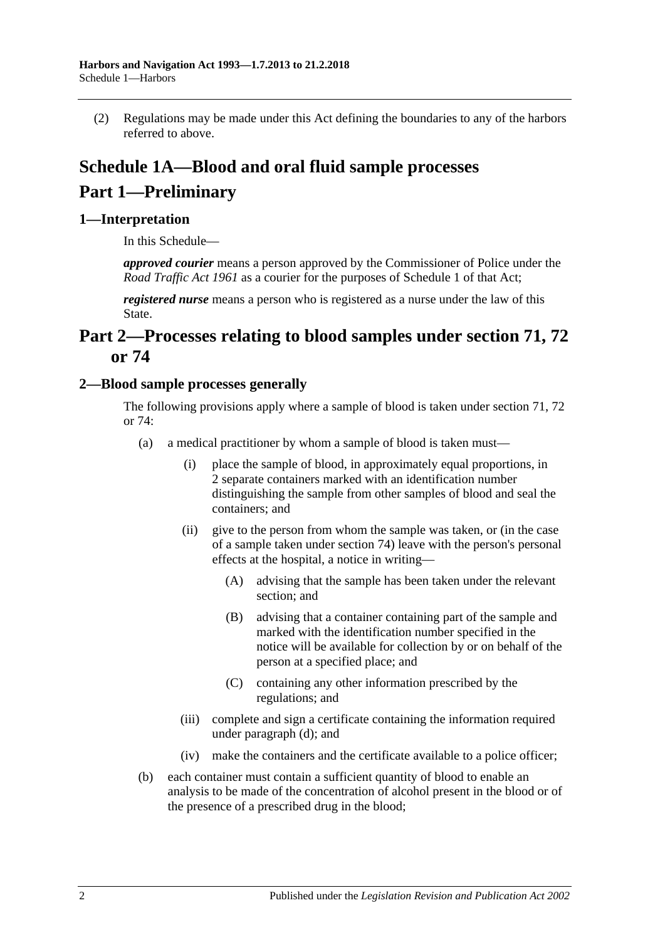(2) Regulations may be made under this Act defining the boundaries to any of the harbors referred to above.

# **Schedule 1A—Blood and oral fluid sample processes Part 1—Preliminary**

## **1—Interpretation**

In this Schedule—

*approved courier* means a person approved by the Commissioner of Police under the *[Road Traffic Act](http://www.legislation.sa.gov.au/index.aspx?action=legref&type=act&legtitle=Road%20Traffic%20Act%201961) 1961* as a courier for the purposes of Schedule 1 of that Act;

*registered nurse* means a person who is registered as a nurse under the law of this State.

# **Part 2—Processes relating to blood samples under [section](#page-50-0) 71, [72](#page-53-0) or [74](#page-62-0)**

## <span id="page-77-0"></span>**2—Blood sample processes generally**

The following provisions apply where a sample of blood is taken under [section](#page-50-0) 71, [72](#page-53-0) or [74:](#page-62-0)

- (a) a medical practitioner by whom a sample of blood is taken must—
	- (i) place the sample of blood, in approximately equal proportions, in 2 separate containers marked with an identification number distinguishing the sample from other samples of blood and seal the containers; and
	- (ii) give to the person from whom the sample was taken, or (in the case of a sample taken under [section](#page-62-0) 74) leave with the person's personal effects at the hospital, a notice in writing—
		- (A) advising that the sample has been taken under the relevant section; and
		- (B) advising that a container containing part of the sample and marked with the identification number specified in the notice will be available for collection by or on behalf of the person at a specified place; and
		- (C) containing any other information prescribed by the regulations; and
	- (iii) complete and sign a certificate containing the information required under [paragraph](#page-78-0) (d); and
	- (iv) make the containers and the certificate available to a police officer;
- (b) each container must contain a sufficient quantity of blood to enable an analysis to be made of the concentration of alcohol present in the blood or of the presence of a prescribed drug in the blood;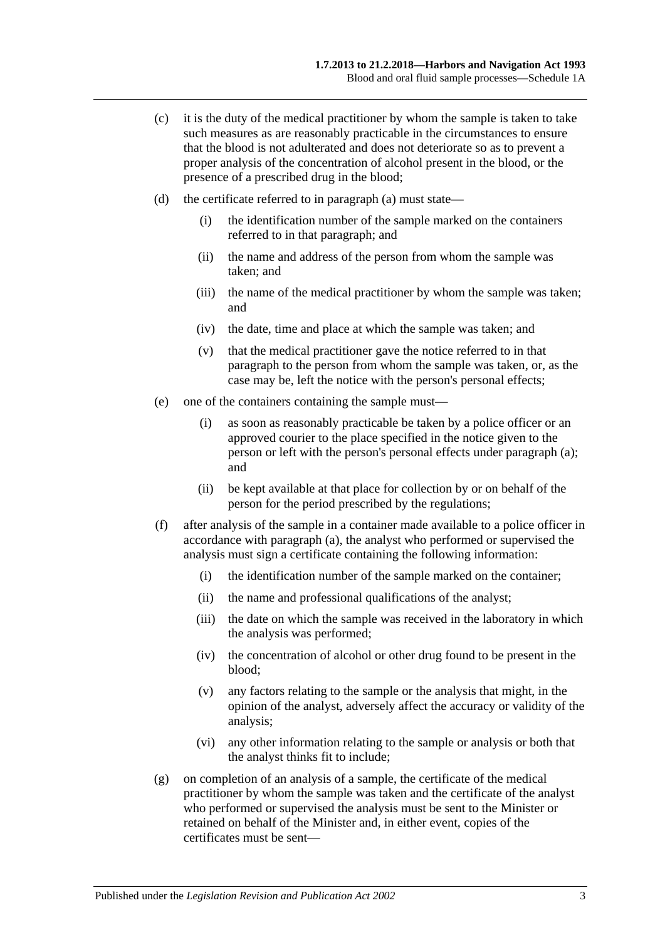- (c) it is the duty of the medical practitioner by whom the sample is taken to take such measures as are reasonably practicable in the circumstances to ensure that the blood is not adulterated and does not deteriorate so as to prevent a proper analysis of the concentration of alcohol present in the blood, or the presence of a prescribed drug in the blood;
- <span id="page-78-0"></span>(d) the certificate referred to in [paragraph](#page-77-0) (a) must state—
	- (i) the identification number of the sample marked on the containers referred to in that paragraph; and
	- (ii) the name and address of the person from whom the sample was taken; and
	- (iii) the name of the medical practitioner by whom the sample was taken; and
	- (iv) the date, time and place at which the sample was taken; and
	- (v) that the medical practitioner gave the notice referred to in that paragraph to the person from whom the sample was taken, or, as the case may be, left the notice with the person's personal effects;
- (e) one of the containers containing the sample must—
	- (i) as soon as reasonably practicable be taken by a police officer or an approved courier to the place specified in the notice given to the person or left with the person's personal effects under [paragraph](#page-77-0) (a); and
	- (ii) be kept available at that place for collection by or on behalf of the person for the period prescribed by the regulations;
- (f) after analysis of the sample in a container made available to a police officer in accordance with [paragraph](#page-77-0) (a), the analyst who performed or supervised the analysis must sign a certificate containing the following information:
	- (i) the identification number of the sample marked on the container;
	- (ii) the name and professional qualifications of the analyst;
	- (iii) the date on which the sample was received in the laboratory in which the analysis was performed;
	- (iv) the concentration of alcohol or other drug found to be present in the blood;
	- (v) any factors relating to the sample or the analysis that might, in the opinion of the analyst, adversely affect the accuracy or validity of the analysis;
	- (vi) any other information relating to the sample or analysis or both that the analyst thinks fit to include;
- (g) on completion of an analysis of a sample, the certificate of the medical practitioner by whom the sample was taken and the certificate of the analyst who performed or supervised the analysis must be sent to the Minister or retained on behalf of the Minister and, in either event, copies of the certificates must be sent—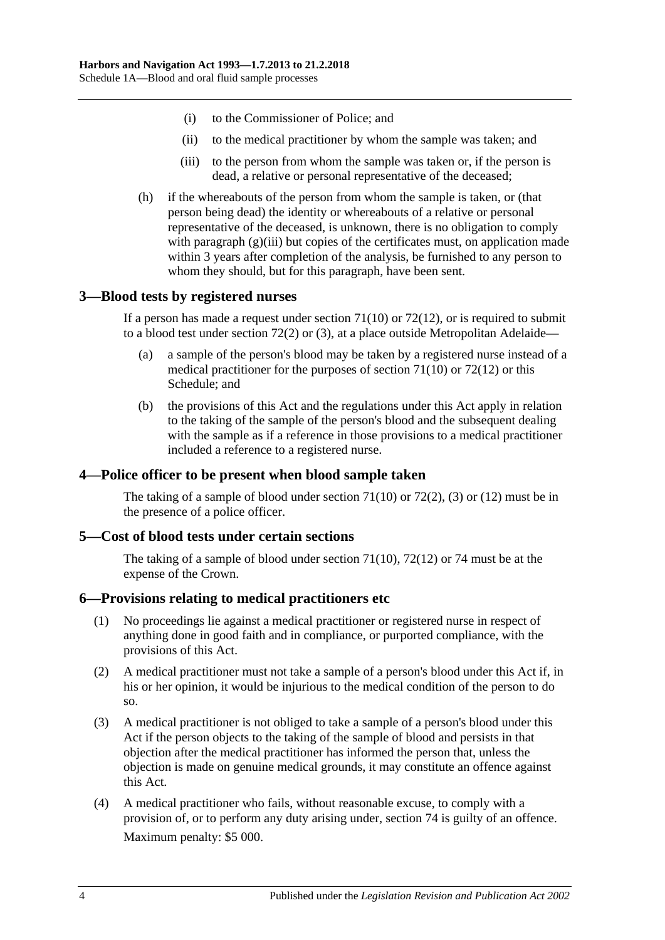- (i) to the Commissioner of Police; and
- (ii) to the medical practitioner by whom the sample was taken; and
- (iii) to the person from whom the sample was taken or, if the person is dead, a relative or personal representative of the deceased;
- <span id="page-79-0"></span>(h) if the whereabouts of the person from whom the sample is taken, or (that person being dead) the identity or whereabouts of a relative or personal representative of the deceased, is unknown, there is no obligation to comply with [paragraph](#page-79-0) (g)(iii) but copies of the certificates must, on application made within 3 years after completion of the analysis, be furnished to any person to whom they should, but for this paragraph, have been sent.

## **3—Blood tests by registered nurses**

If a person has made a request under [section](#page-51-0)  $71(10)$  or  $72(12)$ , or is required to submit to a blood test under [section](#page-53-1) 72(2) or [\(3\),](#page-53-2) at a place outside Metropolitan Adelaide—

- (a) a sample of the person's blood may be taken by a registered nurse instead of a medical practitioner for the purposes of [section](#page-51-0) 71(10) or [72\(12\)](#page-54-0) or this Schedule; and
- (b) the provisions of this Act and the regulations under this Act apply in relation to the taking of the sample of the person's blood and the subsequent dealing with the sample as if a reference in those provisions to a medical practitioner included a reference to a registered nurse.

## **4—Police officer to be present when blood sample taken**

The taking of a sample of blood under [section](#page-51-0)  $71(10)$  or  $72(2)$ , [\(3\)](#page-53-2) or [\(12\)](#page-54-0) must be in the presence of a police officer.

## **5—Cost of blood tests under certain sections**

The taking of a sample of blood under [section](#page-51-0) 71(10), [72\(12\)](#page-54-0) or [74](#page-62-0) must be at the expense of the Crown.

### **6—Provisions relating to medical practitioners etc**

- (1) No proceedings lie against a medical practitioner or registered nurse in respect of anything done in good faith and in compliance, or purported compliance, with the provisions of this Act.
- (2) A medical practitioner must not take a sample of a person's blood under this Act if, in his or her opinion, it would be injurious to the medical condition of the person to do so.
- (3) A medical practitioner is not obliged to take a sample of a person's blood under this Act if the person objects to the taking of the sample of blood and persists in that objection after the medical practitioner has informed the person that, unless the objection is made on genuine medical grounds, it may constitute an offence against this Act.
- <span id="page-79-1"></span>(4) A medical practitioner who fails, without reasonable excuse, to comply with a provision of, or to perform any duty arising under, [section](#page-62-0) 74 is guilty of an offence. Maximum penalty: \$5 000.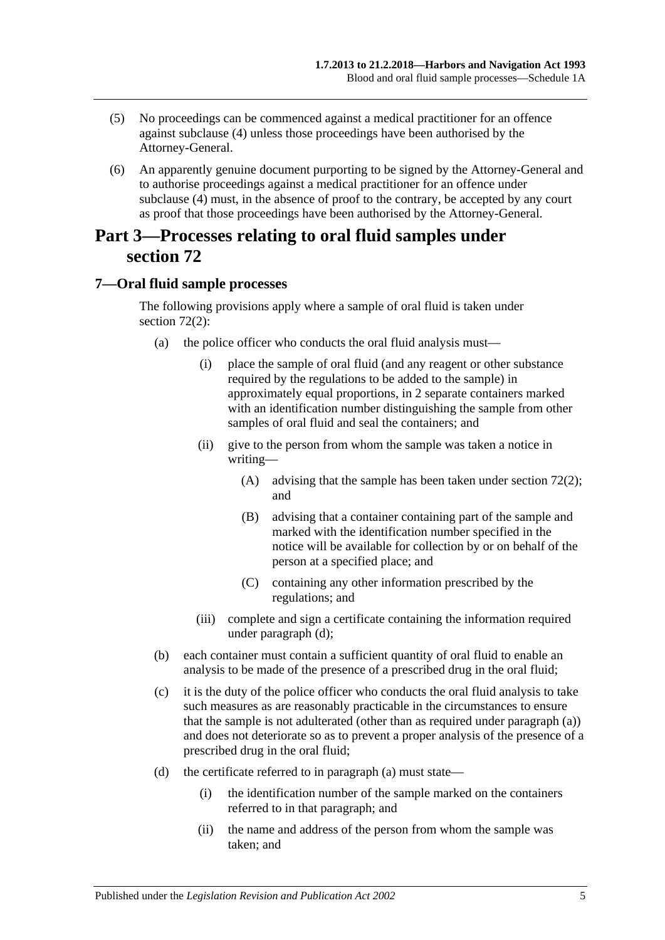- (5) No proceedings can be commenced against a medical practitioner for an offence against [subclause](#page-79-1) (4) unless those proceedings have been authorised by the Attorney-General.
- (6) An apparently genuine document purporting to be signed by the Attorney-General and to authorise proceedings against a medical practitioner for an offence under [subclause](#page-79-1) (4) must, in the absence of proof to the contrary, be accepted by any court as proof that those proceedings have been authorised by the Attorney-General.

# **Part 3—Processes relating to oral fluid samples under [section](#page-53-0) 72**

## <span id="page-80-0"></span>**7—Oral fluid sample processes**

The following provisions apply where a sample of oral fluid is taken under [section](#page-53-1) 72(2):

- (a) the police officer who conducts the oral fluid analysis must—
	- (i) place the sample of oral fluid (and any reagent or other substance required by the regulations to be added to the sample) in approximately equal proportions, in 2 separate containers marked with an identification number distinguishing the sample from other samples of oral fluid and seal the containers; and
	- (ii) give to the person from whom the sample was taken a notice in writing—
		- (A) advising that the sample has been taken under [section](#page-53-1) 72(2); and
		- (B) advising that a container containing part of the sample and marked with the identification number specified in the notice will be available for collection by or on behalf of the person at a specified place; and
		- (C) containing any other information prescribed by the regulations; and
	- (iii) complete and sign a certificate containing the information required under [paragraph](#page-78-0) (d);
- (b) each container must contain a sufficient quantity of oral fluid to enable an analysis to be made of the presence of a prescribed drug in the oral fluid;
- (c) it is the duty of the police officer who conducts the oral fluid analysis to take such measures as are reasonably practicable in the circumstances to ensure that the sample is not adulterated (other than as required under [paragraph](#page-80-0) (a)) and does not deteriorate so as to prevent a proper analysis of the presence of a prescribed drug in the oral fluid;
- (d) the certificate referred to in [paragraph](#page-77-0) (a) must state—
	- (i) the identification number of the sample marked on the containers referred to in that paragraph; and
	- (ii) the name and address of the person from whom the sample was taken; and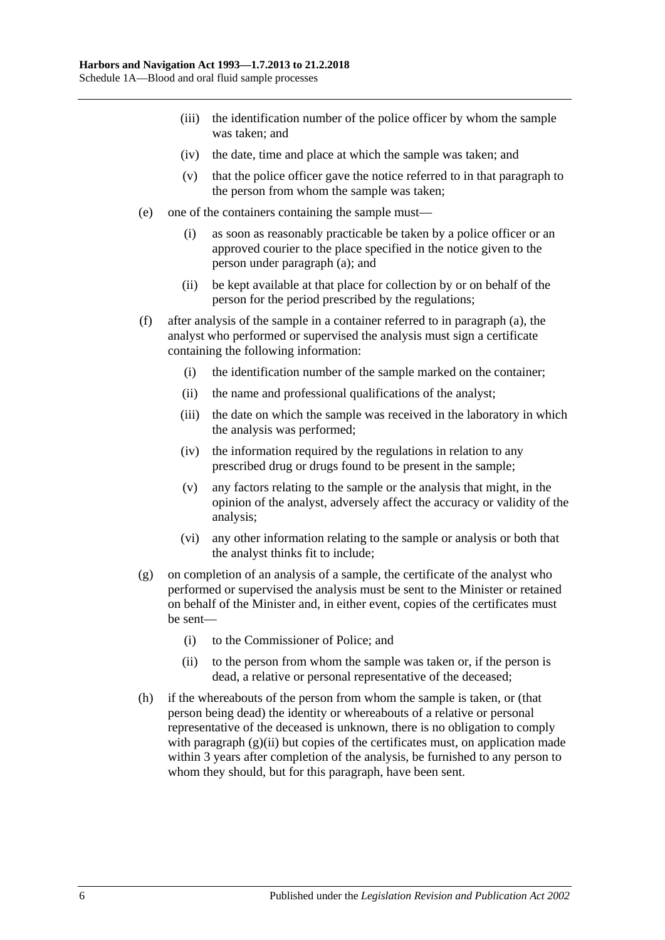- (iii) the identification number of the police officer by whom the sample was taken; and
- (iv) the date, time and place at which the sample was taken; and
- (v) that the police officer gave the notice referred to in that paragraph to the person from whom the sample was taken;
- (e) one of the containers containing the sample must—
	- (i) as soon as reasonably practicable be taken by a police officer or an approved courier to the place specified in the notice given to the person under [paragraph](#page-80-0) (a); and
	- (ii) be kept available at that place for collection by or on behalf of the person for the period prescribed by the regulations;
- (f) after analysis of the sample in a container referred to in [paragraph](#page-80-0) (a), the analyst who performed or supervised the analysis must sign a certificate containing the following information:
	- (i) the identification number of the sample marked on the container;
	- (ii) the name and professional qualifications of the analyst;
	- (iii) the date on which the sample was received in the laboratory in which the analysis was performed;
	- (iv) the information required by the regulations in relation to any prescribed drug or drugs found to be present in the sample;
	- (v) any factors relating to the sample or the analysis that might, in the opinion of the analyst, adversely affect the accuracy or validity of the analysis;
	- (vi) any other information relating to the sample or analysis or both that the analyst thinks fit to include;
- (g) on completion of an analysis of a sample, the certificate of the analyst who performed or supervised the analysis must be sent to the Minister or retained on behalf of the Minister and, in either event, copies of the certificates must be sent—
	- (i) to the Commissioner of Police; and
	- (ii) to the person from whom the sample was taken or, if the person is dead, a relative or personal representative of the deceased;
- <span id="page-81-0"></span>(h) if the whereabouts of the person from whom the sample is taken, or (that person being dead) the identity or whereabouts of a relative or personal representative of the deceased is unknown, there is no obligation to comply with [paragraph](#page-81-0)  $(g)(ii)$  but copies of the certificates must, on application made within 3 years after completion of the analysis, be furnished to any person to whom they should, but for this paragraph, have been sent.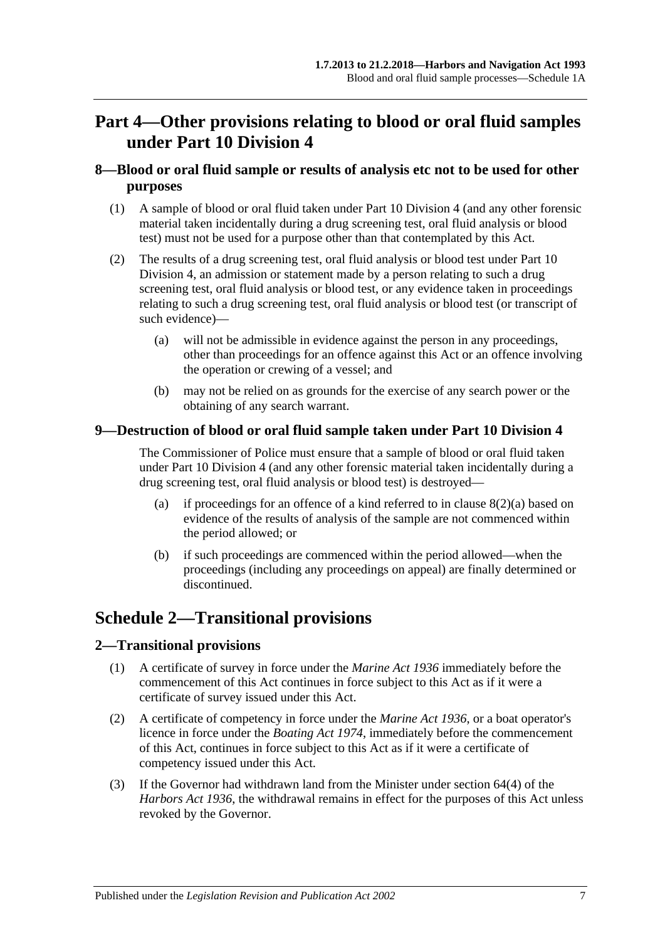# **Part 4—Other provisions relating to blood or oral fluid samples under [Part 10 Division 4](#page-49-0)**

## **8—Blood or oral fluid sample or results of analysis etc not to be used for other purposes**

- (1) A sample of blood or oral fluid taken under [Part 10 Division 4](#page-49-0) (and any other forensic material taken incidentally during a drug screening test, oral fluid analysis or blood test) must not be used for a purpose other than that contemplated by this Act.
- <span id="page-82-0"></span>(2) The results of a drug screening test, oral fluid analysis or blood test under [Part 10](#page-49-0)  [Division 4,](#page-49-0) an admission or statement made by a person relating to such a drug screening test, oral fluid analysis or blood test, or any evidence taken in proceedings relating to such a drug screening test, oral fluid analysis or blood test (or transcript of such evidence)—
	- (a) will not be admissible in evidence against the person in any proceedings, other than proceedings for an offence against this Act or an offence involving the operation or crewing of a vessel; and
	- (b) may not be relied on as grounds for the exercise of any search power or the obtaining of any search warrant.

## **9—Destruction of blood or oral fluid sample taken under [Part 10 Division 4](#page-49-0)**

The Commissioner of Police must ensure that a sample of blood or oral fluid taken under [Part 10 Division 4](#page-49-0) (and any other forensic material taken incidentally during a drug screening test, oral fluid analysis or blood test) is destroyed—

- (a) if proceedings for an offence of a kind referred to in clause  $8(2)(a)$  based on evidence of the results of analysis of the sample are not commenced within the period allowed; or
- (b) if such proceedings are commenced within the period allowed—when the proceedings (including any proceedings on appeal) are finally determined or discontinued.

# **Schedule 2—Transitional provisions**

## **2—Transitional provisions**

- (1) A certificate of survey in force under the *[Marine Act](http://www.legislation.sa.gov.au/index.aspx?action=legref&type=act&legtitle=Marine%20Act%201936) 1936* immediately before the commencement of this Act continues in force subject to this Act as if it were a certificate of survey issued under this Act.
- (2) A certificate of competency in force under the *[Marine Act](http://www.legislation.sa.gov.au/index.aspx?action=legref&type=act&legtitle=Marine%20Act%201936) 1936*, or a boat operator's licence in force under the *[Boating Act](http://www.legislation.sa.gov.au/index.aspx?action=legref&type=act&legtitle=Boating%20Act%201974) 1974*, immediately before the commencement of this Act, continues in force subject to this Act as if it were a certificate of competency issued under this Act.
- (3) If the Governor had withdrawn land from the Minister under section 64(4) of the *[Harbors Act](http://www.legislation.sa.gov.au/index.aspx?action=legref&type=act&legtitle=Harbors%20Act%201936) 1936*, the withdrawal remains in effect for the purposes of this Act unless revoked by the Governor.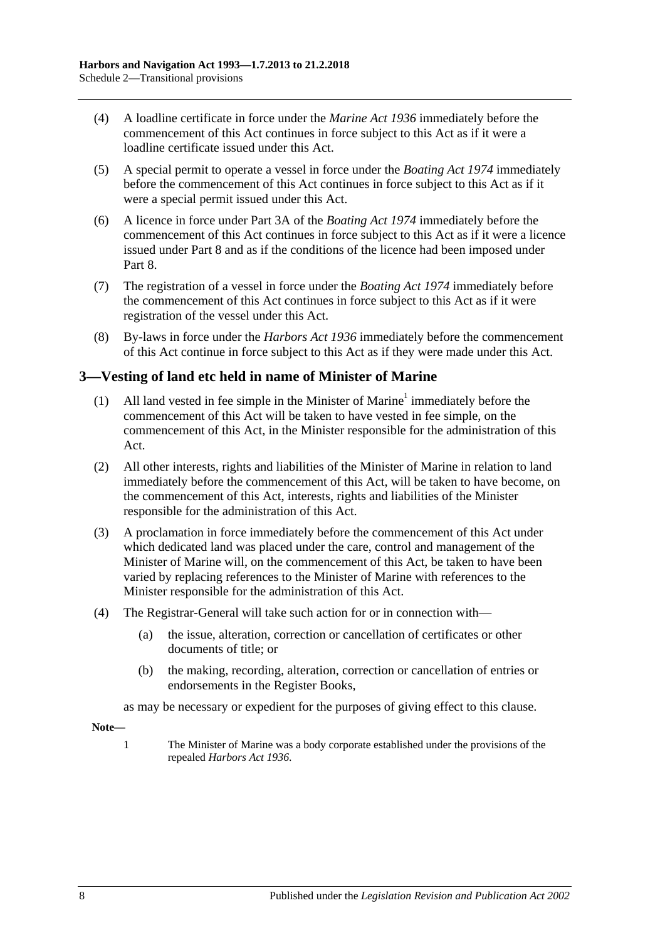- (4) A loadline certificate in force under the *[Marine Act](http://www.legislation.sa.gov.au/index.aspx?action=legref&type=act&legtitle=Marine%20Act%201936) 1936* immediately before the commencement of this Act continues in force subject to this Act as if it were a loadline certificate issued under this Act.
- (5) A special permit to operate a vessel in force under the *[Boating Act](http://www.legislation.sa.gov.au/index.aspx?action=legref&type=act&legtitle=Boating%20Act%201974) 1974* immediately before the commencement of this Act continues in force subject to this Act as if it were a special permit issued under this Act.
- (6) A licence in force under Part 3A of the *[Boating Act](http://www.legislation.sa.gov.au/index.aspx?action=legref&type=act&legtitle=Boating%20Act%201974) 1974* immediately before the commencement of this Act continues in force subject to this Act as if it were a licence issued under [Part 8](#page-40-0) and as if the conditions of the licence had been imposed under [Part](#page-40-0) 8.
- (7) The registration of a vessel in force under the *[Boating Act](http://www.legislation.sa.gov.au/index.aspx?action=legref&type=act&legtitle=Boating%20Act%201974) 1974* immediately before the commencement of this Act continues in force subject to this Act as if it were registration of the vessel under this Act.
- (8) By-laws in force under the *[Harbors Act](http://www.legislation.sa.gov.au/index.aspx?action=legref&type=act&legtitle=Harbors%20Act%201936) 1936* immediately before the commencement of this Act continue in force subject to this Act as if they were made under this Act.

## **3—Vesting of land etc held in name of Minister of Marine**

- (1) All land vested in fee simple in the Minister of Marine<sup>1</sup> immediately before the commencement of this Act will be taken to have vested in fee simple, on the commencement of this Act, in the Minister responsible for the administration of this Act.
- (2) All other interests, rights and liabilities of the Minister of Marine in relation to land immediately before the commencement of this Act, will be taken to have become, on the commencement of this Act, interests, rights and liabilities of the Minister responsible for the administration of this Act.
- (3) A proclamation in force immediately before the commencement of this Act under which dedicated land was placed under the care, control and management of the Minister of Marine will, on the commencement of this Act, be taken to have been varied by replacing references to the Minister of Marine with references to the Minister responsible for the administration of this Act.
- (4) The Registrar-General will take such action for or in connection with—
	- (a) the issue, alteration, correction or cancellation of certificates or other documents of title; or
	- (b) the making, recording, alteration, correction or cancellation of entries or endorsements in the Register Books,

as may be necessary or expedient for the purposes of giving effect to this clause.

**Note—**

1 The Minister of Marine was a body corporate established under the provisions of the repealed *[Harbors Act](http://www.legislation.sa.gov.au/index.aspx?action=legref&type=act&legtitle=Harbors%20Act%201936) 1936*.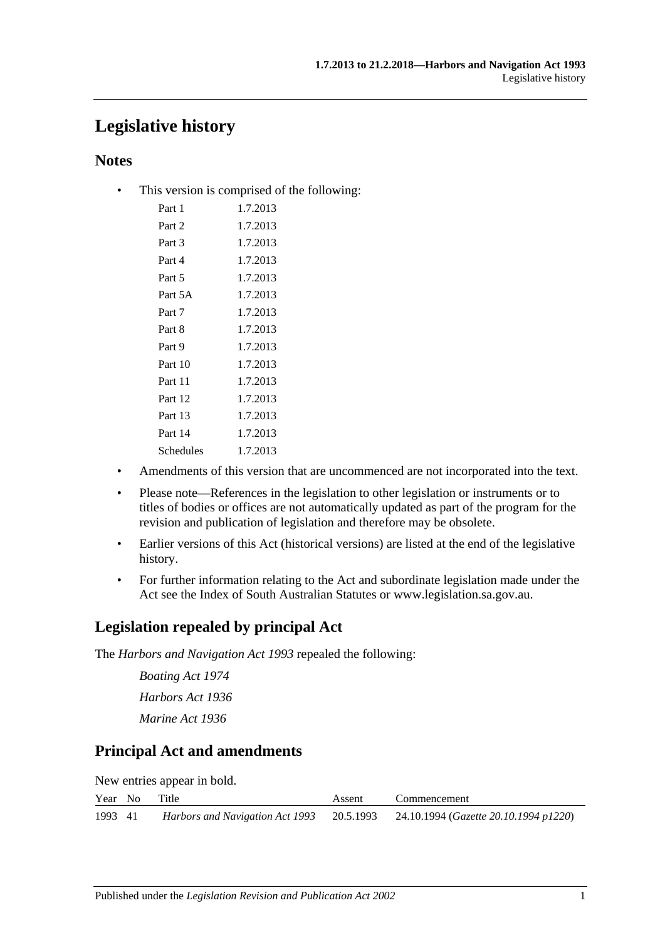# **Legislative history**

## **Notes**

• This version is comprised of the following:

| Part 1    | 1.7.2013 |
|-----------|----------|
| Part 2    | 1.7.2013 |
| Part 3    | 1.7.2013 |
| Part 4    | 1.7.2013 |
| Part 5    | 1.7.2013 |
| Part 5A   | 1.7.2013 |
| Part 7    | 1.7.2013 |
| Part 8    | 1.7.2013 |
| Part 9    | 1.7.2013 |
| Part 10   | 1.7.2013 |
| Part 11   | 1.7.2013 |
| Part 12   | 1.7.2013 |
| Part 13   | 1.7.2013 |
| Part 14   | 1.7.2013 |
| Schedules | 1.7.2013 |
|           |          |

- Amendments of this version that are uncommenced are not incorporated into the text.
- Please note—References in the legislation to other legislation or instruments or to titles of bodies or offices are not automatically updated as part of the program for the revision and publication of legislation and therefore may be obsolete.
- Earlier versions of this Act (historical versions) are listed at the end of the legislative history.
- For further information relating to the Act and subordinate legislation made under the Act see the Index of South Australian Statutes or www.legislation.sa.gov.au.

## **Legislation repealed by principal Act**

The *Harbors and Navigation Act 1993* repealed the following:

*Boating Act 1974 Harbors Act 1936 Marine Act 1936*

## **Principal Act and amendments**

| New entries appear in bold. |  |  |
|-----------------------------|--|--|
|                             |  |  |

|         | Year No Title | Assent | Commencement                                                                    |
|---------|---------------|--------|---------------------------------------------------------------------------------|
| 1993 41 |               |        | Harbors and Navigation Act 1993 20.5.1993 24.10.1994 (Gazette 20.10.1994 p1220) |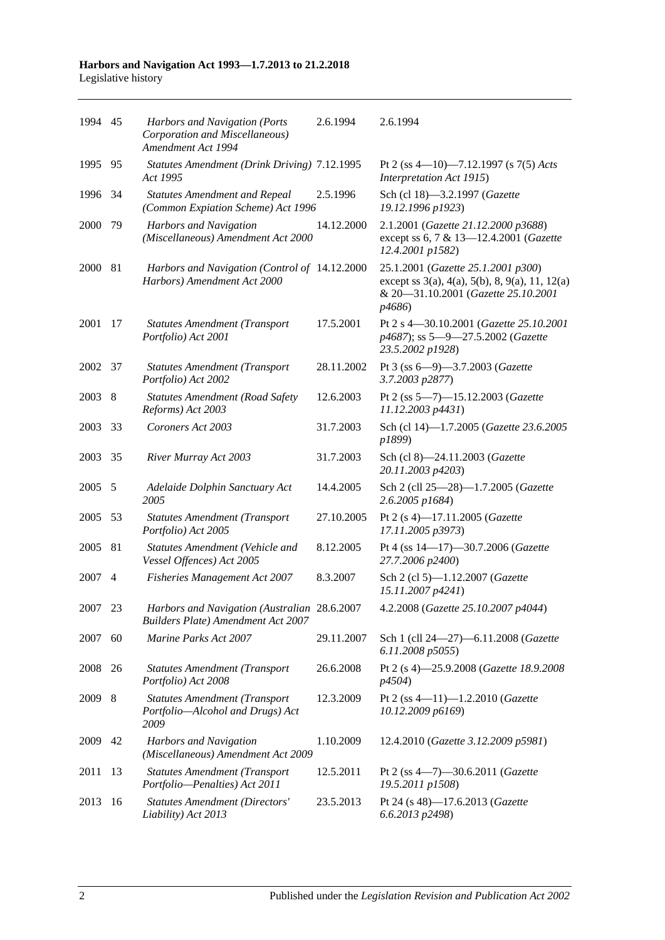| 1994 45 |     | Harbors and Navigation (Ports<br>Corporation and Miscellaneous)<br>Amendment Act 1994     | 2.6.1994   | 2.6.1994                                                                                                                              |
|---------|-----|-------------------------------------------------------------------------------------------|------------|---------------------------------------------------------------------------------------------------------------------------------------|
| 1995    | 95  | Statutes Amendment (Drink Driving) 7.12.1995<br>Act 1995                                  |            | Pt 2 (ss 4-10)-7.12.1997 (s 7(5) Acts<br>Interpretation Act 1915)                                                                     |
| 1996    | 34  | <b>Statutes Amendment and Repeal</b><br>(Common Expiation Scheme) Act 1996                | 2.5.1996   | Sch (cl 18)-3.2.1997 (Gazette<br>19.12.1996 p1923)                                                                                    |
| 2000    | 79  | <b>Harbors and Navigation</b><br>(Miscellaneous) Amendment Act 2000                       | 14.12.2000 | 2.1.2001 (Gazette 21.12.2000 p3688)<br>except ss 6, 7 & 13-12.4.2001 (Gazette<br>12.4.2001 p1582)                                     |
| 2000    | -81 | Harbors and Navigation (Control of 14.12.2000<br>Harbors) Amendment Act 2000              |            | 25.1.2001 (Gazette 25.1.2001 p300)<br>except ss 3(a), 4(a), 5(b), 8, 9(a), 11, 12(a)<br>& 20-31.10.2001 (Gazette 25.10.2001<br>p4686) |
| 2001    | 17  | <b>Statutes Amendment (Transport</b><br>Portfolio) Act 2001                               | 17.5.2001  | Pt 2 s 4-30.10.2001 (Gazette 25.10.2001<br>p4687); ss 5-9-27.5.2002 (Gazette<br>23.5.2002 p1928)                                      |
| 2002    | 37  | <b>Statutes Amendment (Transport</b><br>Portfolio) Act 2002                               | 28.11.2002 | Pt 3 (ss 6-9)-3.7.2003 (Gazette<br>3.7.2003 p2877)                                                                                    |
| 2003    | 8   | <b>Statutes Amendment (Road Safety</b><br>Reforms) Act 2003                               | 12.6.2003  | Pt 2 (ss 5-7)-15.12.2003 (Gazette<br>11.12.2003 p4431)                                                                                |
| 2003    | 33  | Coroners Act 2003                                                                         | 31.7.2003  | Sch (cl 14)-1.7.2005 (Gazette 23.6.2005<br>p1899)                                                                                     |
| 2003    | 35  | River Murray Act 2003                                                                     | 31.7.2003  | Sch (cl 8)-24.11.2003 (Gazette<br>20.11.2003 p4203)                                                                                   |
| 2005    | 5   | Adelaide Dolphin Sanctuary Act<br>2005                                                    | 14.4.2005  | Sch 2 (cll 25-28)-1.7.2005 (Gazette<br>2.6.2005 p1684)                                                                                |
| 2005    | 53  | <b>Statutes Amendment (Transport</b><br>Portfolio) Act 2005                               | 27.10.2005 | Pt 2 (s 4)-17.11.2005 (Gazette<br>17.11.2005 p3973)                                                                                   |
| 2005    | 81  | Statutes Amendment (Vehicle and<br>Vessel Offences) Act 2005                              | 8.12.2005  | Pt 4 (ss 14-17)-30.7.2006 (Gazette<br>27.7.2006 p2400)                                                                                |
| 2007    | 4   | <b>Fisheries Management Act 2007</b>                                                      | 8.3.2007   | Sch 2 (cl 5)-1.12.2007 (Gazette<br>15.11.2007 p4241)                                                                                  |
| 2007    | 23  | Harbors and Navigation (Australian 28.6.2007<br><b>Builders Plate) Amendment Act 2007</b> |            | 4.2.2008 (Gazette 25.10.2007 p4044)                                                                                                   |
| 2007    | 60  | Marine Parks Act 2007                                                                     | 29.11.2007 | Sch 1 (cll 24-27)-6.11.2008 (Gazette<br>6.11.2008 p5055)                                                                              |
| 2008    | 26  | <b>Statutes Amendment (Transport</b><br>Portfolio) Act 2008                               | 26.6.2008  | Pt 2 (s 4)-25.9.2008 (Gazette 18.9.2008<br><i>p4504</i> )                                                                             |
| 2009    | 8   | <b>Statutes Amendment (Transport</b><br>Portfolio-Alcohol and Drugs) Act<br>2009          | 12.3.2009  | Pt 2 (ss $4-11$ )-1.2.2010 ( <i>Gazette</i><br>10.12.2009 p6169)                                                                      |
| 2009    | 42  | Harbors and Navigation<br>(Miscellaneous) Amendment Act 2009                              | 1.10.2009  | 12.4.2010 (Gazette 3.12.2009 p5981)                                                                                                   |
| 2011    | 13  | <b>Statutes Amendment (Transport</b><br>Portfolio-Penalties) Act 2011                     | 12.5.2011  | Pt 2 (ss $4-7$ )-30.6.2011 (Gazette<br>19.5.2011 p1508)                                                                               |
| 2013    | 16  | <b>Statutes Amendment (Directors'</b><br>Liability) Act 2013                              | 23.5.2013  | Pt 24 (s 48)-17.6.2013 (Gazette<br>6.6.2013 p2498)                                                                                    |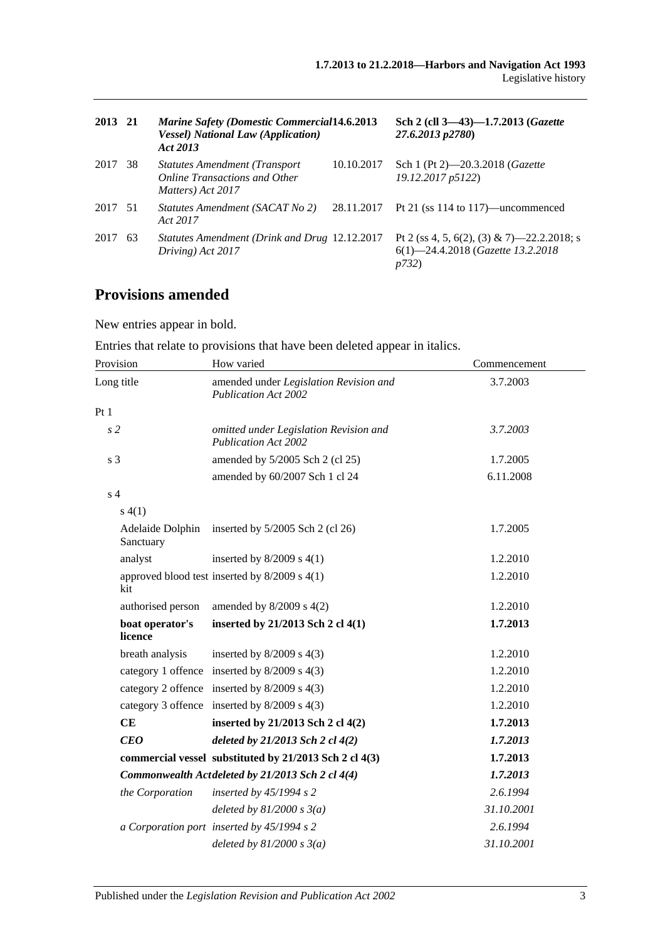| 2013 21 |    | <b>Marine Safety (Domestic Commercial 14.6.2013)</b><br><b>Vessel)</b> National Law (Application)<br>Act 2013 |            | Sch 2 (cll 3-43)-1.7.2013 (Gazette<br>27.6.2013 p2780)                                           |
|---------|----|---------------------------------------------------------------------------------------------------------------|------------|--------------------------------------------------------------------------------------------------|
| 2017    | 38 | <b>Statutes Amendment (Transport</b> )<br><b>Online Transactions and Other</b><br>Matters) Act 2017           | 10.10.2017 | Sch 1 (Pt 2)—20.3.2018 ( <i>Gazette</i><br>19.12.2017 p5122)                                     |
| 2017 51 |    | Statutes Amendment (SACAT No 2)<br>Act 2017                                                                   | 28.11.2017 | Pt 21 (ss $114$ to $117$ )—uncommenced                                                           |
| 2017    | 63 | Statutes Amendment (Drink and Drug 12.12.2017)<br>Driving) Act 2017                                           |            | Pt 2 (ss 4, 5, 6(2), (3) & 7)—22.2.2018; s<br>6(1)-24.4.2018 (Gazette 13.2.2018<br><i>p</i> 732) |

# **Provisions amended**

New entries appear in bold.

Entries that relate to provisions that have been deleted appear in italics.

| Provision                     | How varied                                                            | Commencement |
|-------------------------------|-----------------------------------------------------------------------|--------------|
| Long title                    | amended under Legislation Revision and<br><b>Publication Act 2002</b> | 3.7.2003     |
| Pt1                           |                                                                       |              |
| s <sub>2</sub>                | omitted under Legislation Revision and<br><b>Publication Act 2002</b> | 3.7.2003     |
| s <sub>3</sub>                | amended by 5/2005 Sch 2 (cl 25)                                       | 1.7.2005     |
|                               | amended by 60/2007 Sch 1 cl 24                                        | 6.11.2008    |
| s <sub>4</sub>                |                                                                       |              |
| s(4(1)                        |                                                                       |              |
| Adelaide Dolphin<br>Sanctuary | inserted by $5/2005$ Sch 2 (cl 26)                                    | 1.7.2005     |
| analyst                       | inserted by $8/2009$ s $4(1)$                                         | 1.2.2010     |
| kit                           | approved blood test inserted by 8/2009 s 4(1)                         | 1.2.2010     |
| authorised person             | amended by $8/2009$ s $4(2)$                                          | 1.2.2010     |
| boat operator's<br>licence    | inserted by 21/2013 Sch 2 cl 4(1)                                     | 1.7.2013     |
| breath analysis               | inserted by $8/2009$ s $4(3)$                                         | 1.2.2010     |
|                               | category 1 offence inserted by 8/2009 s 4(3)                          | 1.2.2010     |
|                               | category 2 offence inserted by 8/2009 s 4(3)                          | 1.2.2010     |
|                               | category 3 offence inserted by 8/2009 s 4(3)                          | 1.2.2010     |
| CE                            | inserted by 21/2013 Sch 2 cl 4(2)                                     | 1.7.2013     |
| <b>CEO</b>                    | deleted by 21/2013 Sch 2 cl 4(2)                                      | 1.7.2013     |
|                               | commercial vessel substituted by 21/2013 Sch 2 cl 4(3)                | 1.7.2013     |
|                               | Commonwealth Actdeleted by 21/2013 Sch 2 cl 4(4)                      | 1.7.2013     |
| the Corporation               | inserted by $45/1994 s 2$                                             | 2.6.1994     |
|                               | deleted by $81/2000 s 3(a)$                                           | 31.10.2001   |
|                               | a Corporation port inserted by 45/1994 s 2                            | 2.6.1994     |
|                               | deleted by $81/2000 s 3(a)$                                           | 31.10.2001   |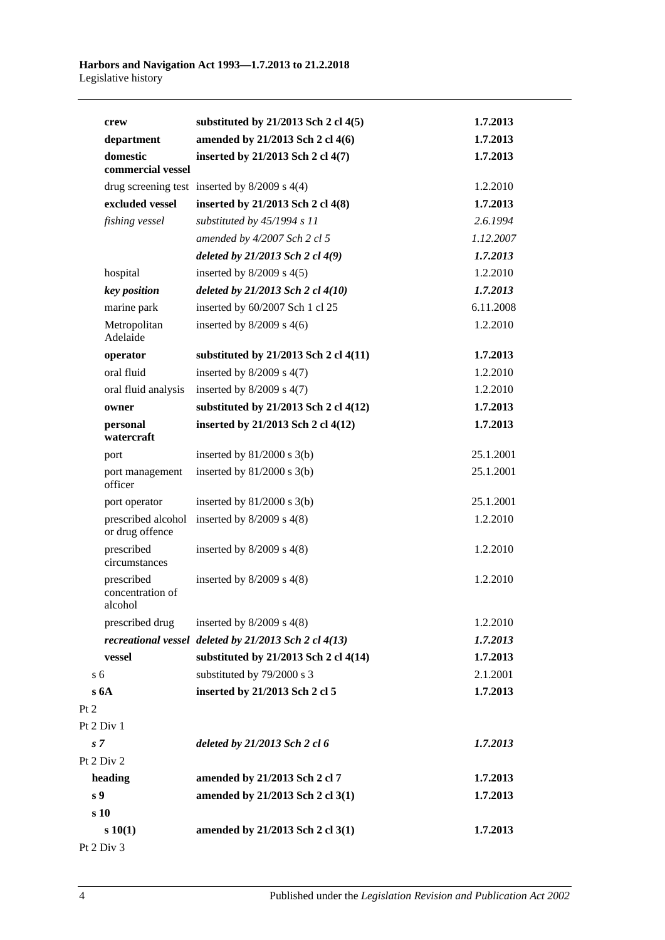|                | crew                                      | substituted by $21/2013$ Sch 2 cl $4(5)$              | 1.7.2013  |
|----------------|-------------------------------------------|-------------------------------------------------------|-----------|
|                | department                                | amended by 21/2013 Sch 2 cl 4(6)                      | 1.7.2013  |
|                | domestic<br>commercial vessel             | inserted by 21/2013 Sch 2 cl 4(7)                     | 1.7.2013  |
|                |                                           | drug screening test inserted by $8/2009$ s $4(4)$     | 1.2.2010  |
|                | excluded vessel                           | inserted by 21/2013 Sch 2 cl 4(8)                     | 1.7.2013  |
|                | fishing vessel                            | substituted by $45/1994 s 11$                         | 2.6.1994  |
|                |                                           | amended by $4/2007$ Sch 2 cl 5                        | 1.12.2007 |
|                |                                           | deleted by 21/2013 Sch 2 cl 4(9)                      | 1.7.2013  |
|                | hospital                                  | inserted by $8/2009$ s $4(5)$                         | 1.2.2010  |
|                | key position                              | deleted by $21/2013$ Sch 2 cl $4(10)$                 | 1.7.2013  |
|                | marine park                               | inserted by 60/2007 Sch 1 cl 25                       | 6.11.2008 |
|                | Metropolitan<br>Adelaide                  | inserted by $8/2009$ s $4(6)$                         | 1.2.2010  |
|                | operator                                  | substituted by 21/2013 Sch 2 cl 4(11)                 | 1.7.2013  |
|                | oral fluid                                | inserted by $8/2009$ s $4(7)$                         | 1.2.2010  |
|                | oral fluid analysis                       | inserted by $8/2009$ s $4(7)$                         | 1.2.2010  |
|                | owner                                     | substituted by 21/2013 Sch 2 cl 4(12)                 | 1.7.2013  |
|                | personal<br>watercraft                    | inserted by 21/2013 Sch 2 cl 4(12)                    | 1.7.2013  |
|                | port                                      | inserted by $81/2000$ s $3(b)$                        | 25.1.2001 |
|                | port management<br>officer                | inserted by $81/2000$ s $3(b)$                        | 25.1.2001 |
|                | port operator                             | inserted by $81/2000$ s $3(b)$                        | 25.1.2001 |
|                | prescribed alcohol<br>or drug offence     | inserted by $8/2009$ s $4(8)$                         | 1.2.2010  |
|                | prescribed<br>circumstances               | inserted by $8/2009$ s $4(8)$                         | 1.2.2010  |
|                | prescribed<br>concentration of<br>alcohol | inserted by $8/2009$ s $4(8)$                         | 1.2.2010  |
|                | prescribed drug                           | inserted by $8/2009$ s $4(8)$                         | 1.2.2010  |
|                |                                           | recreational vessel deleted by 21/2013 Sch 2 cl 4(13) | 1.7.2013  |
|                | vessel                                    | substituted by 21/2013 Sch 2 cl 4(14)                 | 1.7.2013  |
| s <sub>6</sub> |                                           | substituted by 79/2000 s 3                            | 2.1.2001  |
|                | s6A                                       | inserted by 21/2013 Sch 2 cl 5                        | 1.7.2013  |
| Pt 2           |                                           |                                                       |           |
|                | Pt 2 Div 1                                |                                                       |           |
| s <sub>7</sub> |                                           | deleted by 21/2013 Sch 2 cl 6                         | 1.7.2013  |
|                | Pt 2 Div 2                                |                                                       |           |
|                | heading                                   | amended by 21/2013 Sch 2 cl 7                         | 1.7.2013  |
| s <sub>9</sub> |                                           | amended by 21/2013 Sch 2 cl 3(1)                      | 1.7.2013  |
|                | s 10                                      |                                                       |           |
|                | s 10(1)                                   | amended by 21/2013 Sch 2 cl 3(1)                      | 1.7.2013  |
|                |                                           |                                                       |           |

Pt 2 Div 3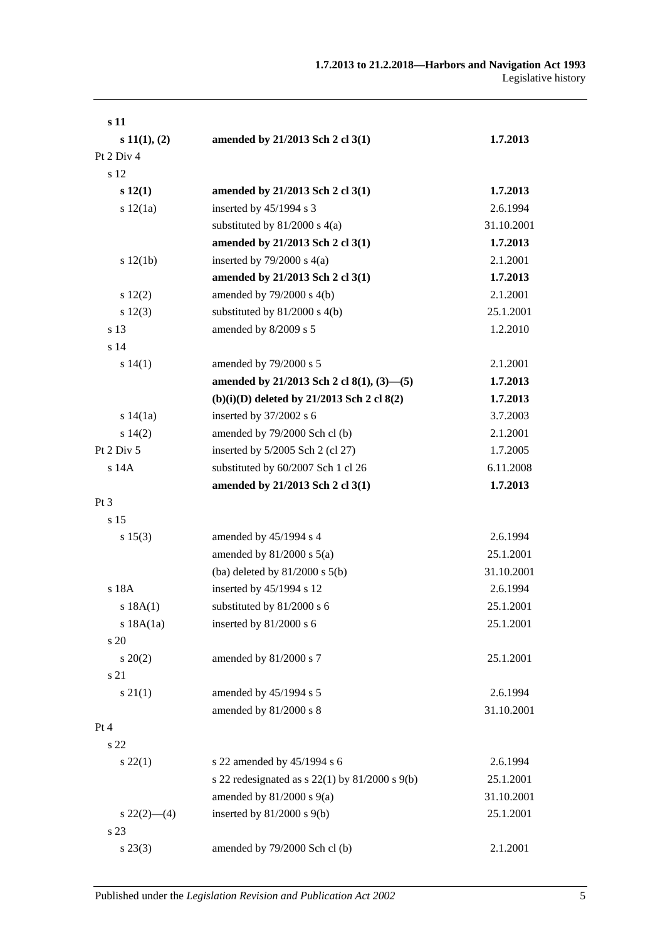| s 11            |                                                      |            |
|-----------------|------------------------------------------------------|------------|
| $s\ 11(1), (2)$ | amended by 21/2013 Sch 2 cl 3(1)                     | 1.7.2013   |
| Pt 2 Div 4      |                                                      |            |
| s 12            |                                                      |            |
| s(12(1))        | amended by 21/2013 Sch 2 cl 3(1)                     | 1.7.2013   |
| s 12(1a)        | inserted by 45/1994 s 3                              | 2.6.1994   |
|                 | substituted by $81/2000$ s $4(a)$                    | 31.10.2001 |
|                 | amended by 21/2013 Sch 2 cl 3(1)                     | 1.7.2013   |
| s 12(1b)        | inserted by $79/2000$ s $4(a)$                       | 2.1.2001   |
|                 | amended by 21/2013 Sch 2 cl 3(1)                     | 1.7.2013   |
| 12(2)           | amended by $79/2000$ s $4(b)$                        | 2.1.2001   |
| s 12(3)         | substituted by $81/2000$ s $4(b)$                    | 25.1.2001  |
| s 13            | amended by 8/2009 s 5                                | 1.2.2010   |
| s <sub>14</sub> |                                                      |            |
| s 14(1)         | amended by 79/2000 s 5                               | 2.1.2001   |
|                 | amended by 21/2013 Sch 2 cl 8(1), (3)-(5)            | 1.7.2013   |
|                 | $(b)(i)(D)$ deleted by 21/2013 Sch 2 cl 8(2)         | 1.7.2013   |
| s 14(1a)        | inserted by 37/2002 s 6                              | 3.7.2003   |
| s 14(2)         | amended by 79/2000 Sch cl (b)                        | 2.1.2001   |
| Pt $2$ Div $5$  | inserted by $5/2005$ Sch 2 (cl 27)                   | 1.7.2005   |
| $s$ 14 $A$      | substituted by 60/2007 Sch 1 cl 26                   | 6.11.2008  |
|                 | amended by 21/2013 Sch 2 cl 3(1)                     | 1.7.2013   |
| Pt 3            |                                                      |            |
| s <sub>15</sub> |                                                      |            |
| s 15(3)         | amended by 45/1994 s 4                               | 2.6.1994   |
|                 | amended by $81/2000$ s $5(a)$                        | 25.1.2001  |
|                 | (ba) deleted by $81/2000$ s $5(b)$                   | 31.10.2001 |
| s 18A           | inserted by 45/1994 s 12                             | 2.6.1994   |
| s 18A(1)        | substituted by 81/2000 s 6                           | 25.1.2001  |
| s 18A(1a)       | inserted by 81/2000 s 6                              | 25.1.2001  |
| s 20            |                                                      |            |
| $s \ 20(2)$     | amended by 81/2000 s 7                               | 25.1.2001  |
| s 21            |                                                      |            |
| $s \, 21(1)$    | amended by 45/1994 s 5                               | 2.6.1994   |
|                 | amended by 81/2000 s 8                               | 31.10.2001 |
| Pt 4            |                                                      |            |
| s 22            |                                                      |            |
| $s\,22(1)$      | s 22 amended by 45/1994 s 6                          | 2.6.1994   |
|                 | s 22 redesignated as s $22(1)$ by $81/2000$ s $9(b)$ | 25.1.2001  |
|                 | amended by $81/2000$ s $9(a)$                        | 31.10.2001 |
| $s\,22(2)$ —(4) | inserted by $81/2000$ s $9(b)$                       | 25.1.2001  |
| s 23            |                                                      |            |
| $s\,23(3)$      | amended by 79/2000 Sch cl (b)                        | 2.1.2001   |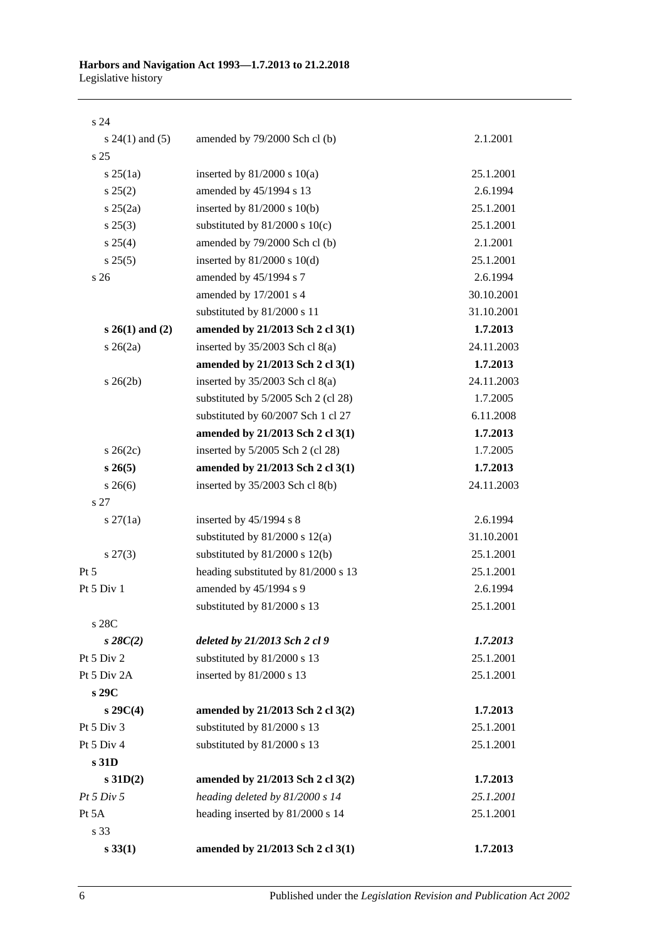s 24

| $s 24(1)$ and (5)   | amended by 79/2000 Sch cl (b)       | 2.1.2001   |
|---------------------|-------------------------------------|------------|
| s <sub>25</sub>     |                                     |            |
| $s \, 25(1a)$       | inserted by $81/2000$ s $10(a)$     | 25.1.2001  |
| $s\,25(2)$          | amended by 45/1994 s 13             | 2.6.1994   |
| $s \; 25(2a)$       | inserted by $81/2000$ s $10(b)$     | 25.1.2001  |
| $s\,25(3)$          | substituted by $81/2000$ s $10(c)$  | 25.1.2001  |
| $s \; 25(4)$        | amended by 79/2000 Sch cl (b)       | 2.1.2001   |
| s 25(5)             | inserted by $81/2000$ s $10(d)$     | 25.1.2001  |
| s <sub>26</sub>     | amended by 45/1994 s 7              | 2.6.1994   |
|                     | amended by 17/2001 s 4              | 30.10.2001 |
|                     | substituted by 81/2000 s 11         | 31.10.2001 |
| $s 26(1)$ and $(2)$ | amended by 21/2013 Sch 2 cl 3(1)    | 1.7.2013   |
| $s \; 26(2a)$       | inserted by $35/2003$ Sch cl $8(a)$ | 24.11.2003 |
|                     | amended by 21/2013 Sch 2 cl 3(1)    | 1.7.2013   |
| $s \; 26(2b)$       | inserted by $35/2003$ Sch cl $8(a)$ | 24.11.2003 |
|                     | substituted by 5/2005 Sch 2 (cl 28) | 1.7.2005   |
|                     | substituted by 60/2007 Sch 1 cl 27  | 6.11.2008  |
|                     | amended by 21/2013 Sch 2 cl 3(1)    | 1.7.2013   |
| $s \; 26(2c)$       | inserted by 5/2005 Sch 2 (cl 28)    | 1.7.2005   |
| $s\,26(5)$          | amended by 21/2013 Sch 2 cl 3(1)    | 1.7.2013   |
| $s \; 26(6)$        | inserted by 35/2003 Sch cl 8(b)     | 24.11.2003 |
| s 27                |                                     |            |
| $s \, 27(1a)$       | inserted by $45/1994$ s 8           | 2.6.1994   |
|                     | substituted by $81/2000$ s $12(a)$  | 31.10.2001 |
| $s\,27(3)$          | substituted by $81/2000$ s $12(b)$  | 25.1.2001  |
| Pt 5                | heading substituted by 81/2000 s 13 | 25.1.2001  |
| Pt 5 Div 1          | amended by 45/1994 s 9              | 2.6.1994   |
|                     | substituted by 81/2000 s 13         | 25.1.2001  |
| s 28C               |                                     |            |
| $s\,28C(2)$         | deleted by 21/2013 Sch 2 cl 9       | 1.7.2013   |
| Pt 5 Div 2          | substituted by 81/2000 s 13         | 25.1.2001  |
| Pt 5 Div 2A         | inserted by 81/2000 s 13            | 25.1.2001  |
| s 29C               |                                     |            |
| $s\,29C(4)$         | amended by 21/2013 Sch 2 cl 3(2)    | 1.7.2013   |
| Pt 5 Div 3          | substituted by 81/2000 s 13         | 25.1.2001  |
| Pt 5 Div 4          | substituted by 81/2000 s 13         | 25.1.2001  |
| s 31D               |                                     |            |
| $s$ 31D(2)          | amended by 21/2013 Sch 2 cl 3(2)    | 1.7.2013   |
| Pt 5 Div 5          | heading deleted by 81/2000 s 14     | 25.1.2001  |
| Pt 5A               | heading inserted by 81/2000 s 14    | 25.1.2001  |
| s 33                |                                     |            |
| $s\,33(1)$          | amended by 21/2013 Sch 2 cl 3(1)    | 1.7.2013   |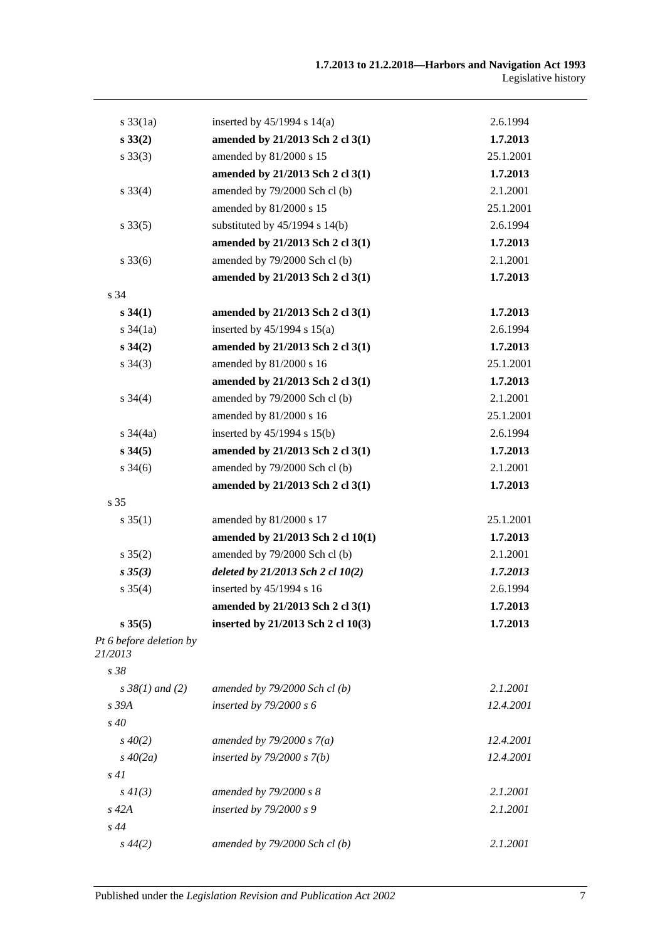| $s \frac{33}{1a}$                  | inserted by $45/1994$ s $14(a)$    | 2.6.1994  |
|------------------------------------|------------------------------------|-----------|
| $s\,33(2)$                         | amended by 21/2013 Sch 2 cl 3(1)   | 1.7.2013  |
| $s \, 33(3)$                       | amended by 81/2000 s 15            | 25.1.2001 |
|                                    | amended by 21/2013 Sch 2 cl 3(1)   | 1.7.2013  |
| $s \frac{33(4)}{4}$                | amended by 79/2000 Sch cl (b)      | 2.1.2001  |
|                                    | amended by 81/2000 s 15            | 25.1.2001 |
| $s \, 33(5)$                       | substituted by $45/1994$ s $14(b)$ | 2.6.1994  |
|                                    | amended by 21/2013 Sch 2 cl 3(1)   | 1.7.2013  |
| $s \, 33(6)$                       | amended by 79/2000 Sch cl (b)      | 2.1.2001  |
|                                    | amended by 21/2013 Sch 2 cl 3(1)   | 1.7.2013  |
| s 34                               |                                    |           |
| $s\,34(1)$                         | amended by 21/2013 Sch 2 cl 3(1)   | 1.7.2013  |
| $s \frac{34}{1a}$                  | inserted by $45/1994$ s $15(a)$    | 2.6.1994  |
| $s \, 34(2)$                       | amended by 21/2013 Sch 2 cl 3(1)   | 1.7.2013  |
| $s \; 34(3)$                       | amended by 81/2000 s 16            | 25.1.2001 |
|                                    | amended by 21/2013 Sch 2 cl 3(1)   | 1.7.2013  |
| $s \, 34(4)$                       | amended by 79/2000 Sch cl (b)      | 2.1.2001  |
|                                    | amended by 81/2000 s 16            | 25.1.2001 |
| $s \frac{34}{4a}$                  | inserted by $45/1994$ s $15(b)$    | 2.6.1994  |
| $s\,34(5)$                         | amended by 21/2013 Sch 2 cl 3(1)   | 1.7.2013  |
| $s \frac{34(6)}{2}$                | amended by 79/2000 Sch cl (b)      | 2.1.2001  |
|                                    | amended by 21/2013 Sch 2 cl 3(1)   | 1.7.2013  |
| s 35                               |                                    |           |
| $s \, 35(1)$                       | amended by 81/2000 s 17            | 25.1.2001 |
|                                    | amended by 21/2013 Sch 2 cl 10(1)  | 1.7.2013  |
| $s \, 35(2)$                       | amended by 79/2000 Sch cl (b)      | 2.1.2001  |
| $s\,35(3)$                         | deleted by 21/2013 Sch 2 cl 10(2)  | 1.7.2013  |
| $s \; 35(4)$                       | inserted by 45/1994 s 16           | 2.6.1994  |
|                                    | amended by 21/2013 Sch 2 cl 3(1)   | 1.7.2013  |
| $s \, 35(5)$                       | inserted by 21/2013 Sch 2 cl 10(3) | 1.7.2013  |
| Pt 6 before deletion by<br>21/2013 |                                    |           |
| s 38                               |                                    |           |
| $s \, 38(1)$ and (2)               | amended by $79/2000$ Sch cl(b)     | 2.1.2001  |
| s 39A                              | inserted by $79/2000 s 6$          | 12.4.2001 |
| $s\,40$                            |                                    |           |
| $s\,40(2)$                         | amended by $79/2000 s 7(a)$        | 12.4.2001 |
| $s\,40(2a)$                        | inserted by $79/2000 s 7(b)$       | 12.4.2001 |
| s41                                |                                    |           |
| $s\,4I(3)$                         | amended by 79/2000 s 8             | 2.1.2001  |
| $s$ 42 $A$                         | inserted by $79/2000 s$ 9          | 2.1.2001  |
| s44                                |                                    |           |
| $s\,44(2)$                         | amended by 79/2000 Sch cl (b)      | 2.1.2001  |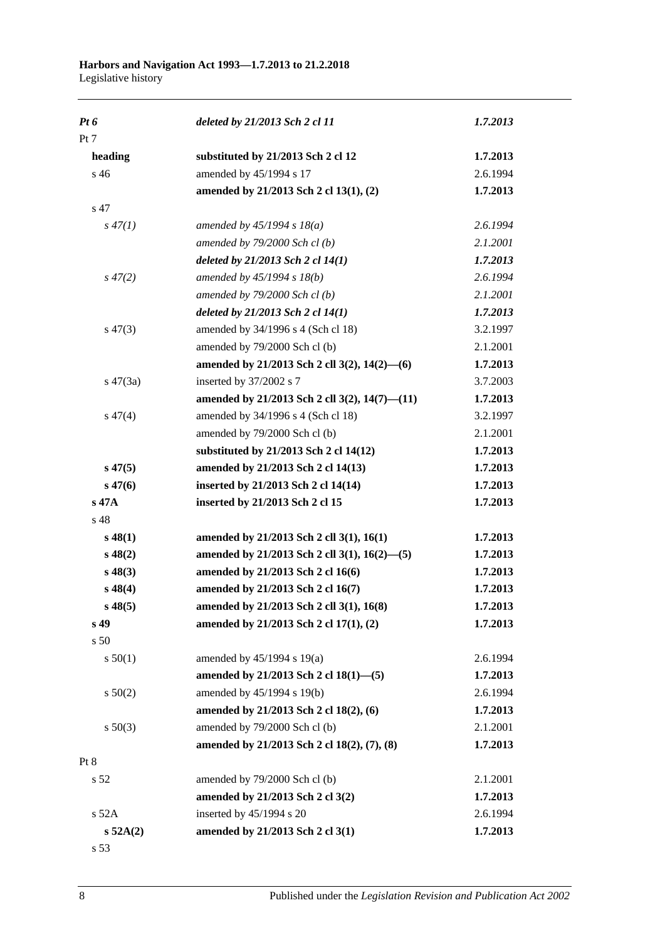| $Pt\,6$     | deleted by 21/2013 Sch 2 cl 11                | 1.7.2013 |
|-------------|-----------------------------------------------|----------|
| Pt 7        |                                               |          |
| heading     | substituted by 21/2013 Sch 2 cl 12            | 1.7.2013 |
| s 46        | amended by 45/1994 s 17                       | 2.6.1994 |
|             | amended by 21/2013 Sch 2 cl 13(1), (2)        | 1.7.2013 |
| s 47        |                                               |          |
| $s\,47(1)$  | amended by $45/1994 s 18(a)$                  | 2.6.1994 |
|             | amended by $79/2000$ Sch cl(b)                | 2.1.2001 |
|             | deleted by 21/2013 Sch 2 cl 14(1)             | 1.7.2013 |
| $s\,47(2)$  | amended by 45/1994 s 18(b)                    | 2.6.1994 |
|             | amended by $79/2000$ Sch cl(b)                | 2.1.2001 |
|             | deleted by 21/2013 Sch 2 cl 14(1)             | 1.7.2013 |
| $s\,47(3)$  | amended by 34/1996 s 4 (Sch cl 18)            | 3.2.1997 |
|             | amended by 79/2000 Sch cl (b)                 | 2.1.2001 |
|             | amended by 21/2013 Sch 2 cll 3(2), 14(2)–(6)  | 1.7.2013 |
| $s\ 47(3a)$ | inserted by 37/2002 s 7                       | 3.7.2003 |
|             | amended by 21/2013 Sch 2 cll 3(2), 14(7)-(11) | 1.7.2013 |
| $s\,47(4)$  | amended by 34/1996 s 4 (Sch cl 18)            | 3.2.1997 |
|             | amended by 79/2000 Sch cl (b)                 | 2.1.2001 |
|             | substituted by 21/2013 Sch 2 cl 14(12)        | 1.7.2013 |
| $s\,47(5)$  | amended by 21/2013 Sch 2 cl 14(13)            | 1.7.2013 |
| $s\,47(6)$  | inserted by 21/2013 Sch 2 cl 14(14)           | 1.7.2013 |
| s 47A       | inserted by 21/2013 Sch 2 cl 15               | 1.7.2013 |
| s 48        |                                               |          |
| $s\,48(1)$  | amended by 21/2013 Sch 2 cll 3(1), 16(1)      | 1.7.2013 |
| $s\,48(2)$  | amended by 21/2013 Sch 2 cll 3(1), 16(2)-(5)  | 1.7.2013 |
| $s\,48(3)$  | amended by 21/2013 Sch 2 cl 16(6)             | 1.7.2013 |
| $s\,48(4)$  | amended by 21/2013 Sch 2 cl 16(7)             | 1.7.2013 |
| $s\,48(5)$  | amended by 21/2013 Sch 2 cll 3(1), 16(8)      | 1.7.2013 |
| s 49        | amended by 21/2013 Sch 2 cl 17(1), (2)        | 1.7.2013 |
| s 50        |                                               |          |
| s 50(1)     | amended by 45/1994 s 19(a)                    | 2.6.1994 |
|             | amended by 21/2013 Sch 2 cl 18(1)-(5)         | 1.7.2013 |
| s 50(2)     | amended by 45/1994 s 19(b)                    | 2.6.1994 |
|             | amended by 21/2013 Sch 2 cl 18(2), (6)        | 1.7.2013 |
| $s\ 50(3)$  | amended by 79/2000 Sch cl (b)                 | 2.1.2001 |
|             | amended by 21/2013 Sch 2 cl 18(2), (7), (8)   | 1.7.2013 |
| Pt 8        |                                               |          |
| s 52        | amended by 79/2000 Sch cl (b)                 | 2.1.2001 |
|             | amended by 21/2013 Sch 2 cl 3(2)              | 1.7.2013 |
| $s$ 52A     | inserted by 45/1994 s 20                      | 2.6.1994 |
| s 52A(2)    | amended by 21/2013 Sch 2 cl 3(1)              | 1.7.2013 |
| s 53        |                                               |          |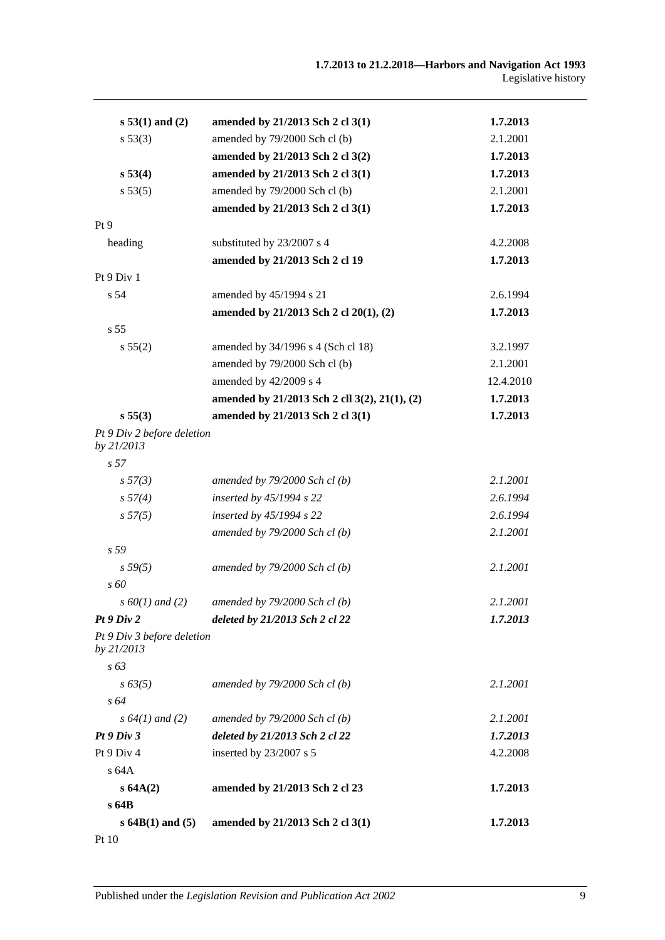| $s 53(1)$ and (2)                        | amended by 21/2013 Sch 2 cl 3(1)              | 1.7.2013  |
|------------------------------------------|-----------------------------------------------|-----------|
| s 53(3)                                  | amended by 79/2000 Sch cl (b)                 | 2.1.2001  |
|                                          | amended by 21/2013 Sch 2 cl 3(2)              | 1.7.2013  |
| s 53(4)                                  | amended by 21/2013 Sch 2 cl 3(1)              | 1.7.2013  |
| s 53(5)                                  | amended by 79/2000 Sch cl (b)                 | 2.1.2001  |
|                                          | amended by 21/2013 Sch 2 cl 3(1)              | 1.7.2013  |
| Pt 9                                     |                                               |           |
| heading                                  | substituted by 23/2007 s 4                    | 4.2.2008  |
|                                          | amended by 21/2013 Sch 2 cl 19                | 1.7.2013  |
| Pt 9 Div 1                               |                                               |           |
| s 54                                     | amended by 45/1994 s 21                       | 2.6.1994  |
|                                          | amended by 21/2013 Sch 2 cl 20(1), (2)        | 1.7.2013  |
| s 55                                     |                                               |           |
| s 55(2)                                  | amended by 34/1996 s 4 (Sch cl 18)            | 3.2.1997  |
|                                          | amended by 79/2000 Sch cl (b)                 | 2.1.2001  |
|                                          | amended by 42/2009 s 4                        | 12.4.2010 |
|                                          | amended by 21/2013 Sch 2 cll 3(2), 21(1), (2) | 1.7.2013  |
| s 55(3)                                  | amended by 21/2013 Sch 2 cl 3(1)              | 1.7.2013  |
| Pt 9 Div 2 before deletion<br>by 21/2013 |                                               |           |
| s <sub>57</sub>                          |                                               |           |
| s 57(3)                                  | amended by $79/2000$ Sch cl(b)                | 2.1.2001  |
| s 57(4)                                  | inserted by $45/1994$ s 22                    | 2.6.1994  |
| s 57(5)                                  | inserted by $45/1994$ s 22                    | 2.6.1994  |
|                                          | amended by $79/2000$ Sch cl(b)                | 2.1.2001  |
| s 59                                     |                                               |           |
| s 59(5)                                  | amended by $79/2000$ Sch cl (b)               | 2.1.2001  |
| $s\,60$                                  |                                               |           |
| $s\,60(1)$ and (2)                       | amended by $79/2000$ Sch cl(b)                | 2.1.2001  |
| Pt9 Div2                                 | deleted by 21/2013 Sch 2 cl 22                | 1.7.2013  |
| Pt 9 Div 3 before deletion<br>by 21/2013 |                                               |           |
| $s\,63$                                  |                                               |           |
| $s\,63(5)$                               | amended by $79/2000$ Sch cl(b)                | 2.1.2001  |
| $s\,64$                                  |                                               |           |
| s $64(1)$ and (2)                        | amended by $79/2000$ Sch cl(b)                | 2.1.2001  |
| Pt9 Div3                                 | deleted by 21/2013 Sch 2 cl 22                | 1.7.2013  |
| Pt 9 Div 4                               | inserted by 23/2007 s 5                       | 4.2.2008  |
| s 64A                                    |                                               |           |
| s 64A(2)                                 | amended by 21/2013 Sch 2 cl 23                | 1.7.2013  |
| s64B                                     |                                               |           |
| $s$ 64B(1) and (5)                       | amended by 21/2013 Sch 2 cl 3(1)              | 1.7.2013  |
| Pt 10                                    |                                               |           |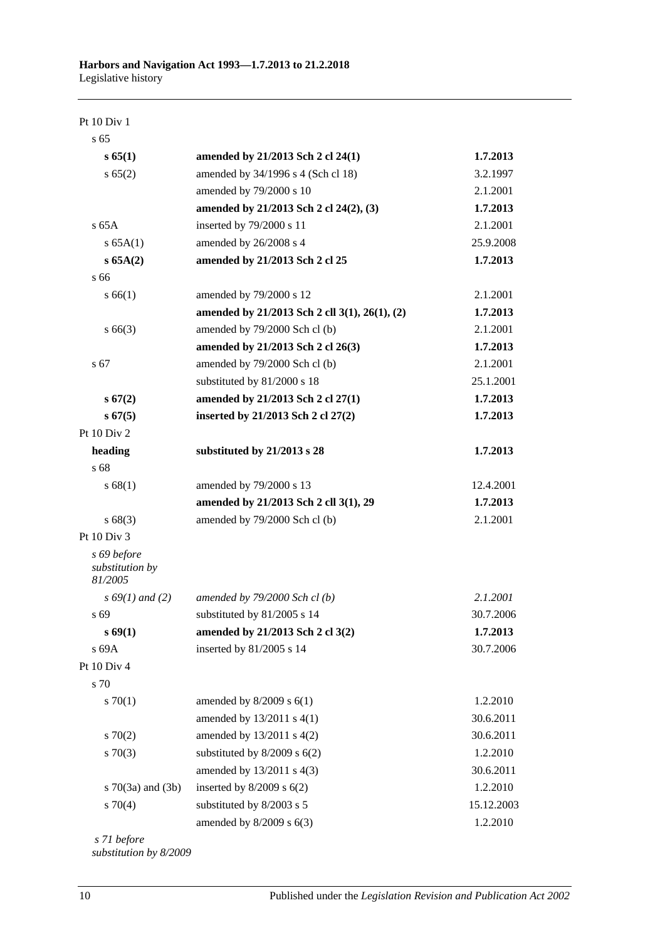Pt 10 Div 1

| s <sub>65</sub>                           |                                               |            |
|-------------------------------------------|-----------------------------------------------|------------|
| s 65(1)                                   | amended by 21/2013 Sch 2 cl 24(1)             | 1.7.2013   |
| s 65(2)                                   | amended by 34/1996 s 4 (Sch cl 18)            | 3.2.1997   |
|                                           | amended by 79/2000 s 10                       | 2.1.2001   |
|                                           | amended by 21/2013 Sch 2 cl 24(2), (3)        | 1.7.2013   |
| $s$ 65A                                   | inserted by 79/2000 s 11                      | 2.1.2001   |
| s 65A(1)                                  | amended by 26/2008 s 4                        | 25.9.2008  |
| s 65A(2)                                  | amended by 21/2013 Sch 2 cl 25                | 1.7.2013   |
| s 66                                      |                                               |            |
| s 66(1)                                   | amended by 79/2000 s 12                       | 2.1.2001   |
|                                           | amended by 21/2013 Sch 2 cll 3(1), 26(1), (2) | 1.7.2013   |
| $s\,66(3)$                                | amended by 79/2000 Sch cl (b)                 | 2.1.2001   |
|                                           | amended by 21/2013 Sch 2 cl 26(3)             | 1.7.2013   |
| s 67                                      | amended by 79/2000 Sch cl (b)                 | 2.1.2001   |
|                                           | substituted by 81/2000 s 18                   | 25.1.2001  |
| s 67(2)                                   | amended by 21/2013 Sch 2 cl 27(1)             | 1.7.2013   |
| s 67(5)                                   | inserted by 21/2013 Sch 2 cl 27(2)            | 1.7.2013   |
| Pt 10 Div 2                               |                                               |            |
| heading                                   | substituted by 21/2013 s 28                   | 1.7.2013   |
| s 68                                      |                                               |            |
| s 68(1)                                   | amended by 79/2000 s 13                       | 12.4.2001  |
|                                           | amended by 21/2013 Sch 2 cll 3(1), 29         | 1.7.2013   |
| s 68(3)                                   | amended by 79/2000 Sch cl (b)                 | 2.1.2001   |
| Pt 10 Div 3                               |                                               |            |
| s 69 before<br>substitution by<br>81/2005 |                                               |            |
| $s\,69(1)$ and (2)                        | amended by $79/2000$ Sch cl(b)                | 2.1.2001   |
| s 69                                      | substituted by 81/2005 s 14                   | 30.7.2006  |
| $s \, 69(1)$                              | amended by 21/2013 Sch 2 cl 3(2)              | 1.7.2013   |
| s 69A                                     | inserted by 81/2005 s 14                      | 30.7.2006  |
| Pt 10 Div 4                               |                                               |            |
| s 70                                      |                                               |            |
| 570(1)                                    | amended by $8/2009$ s $6(1)$                  | 1.2.2010   |
|                                           | amended by 13/2011 s 4(1)                     | 30.6.2011  |
| $s \, 70(2)$                              | amended by 13/2011 s 4(2)                     | 30.6.2011  |
| $s \, 70(3)$                              | substituted by $8/2009$ s $6(2)$              | 1.2.2010   |
|                                           | amended by 13/2011 s 4(3)                     | 30.6.2011  |
| s $70(3a)$ and $(3b)$                     | inserted by $8/2009$ s $6(2)$                 | 1.2.2010   |
| $s \, 70(4)$                              | substituted by 8/2003 s 5                     | 15.12.2003 |
|                                           | amended by 8/2009 s 6(3)                      | 1.2.2010   |
| $71$ hafan                                |                                               |            |

*s 71 before substitution by 8/2009*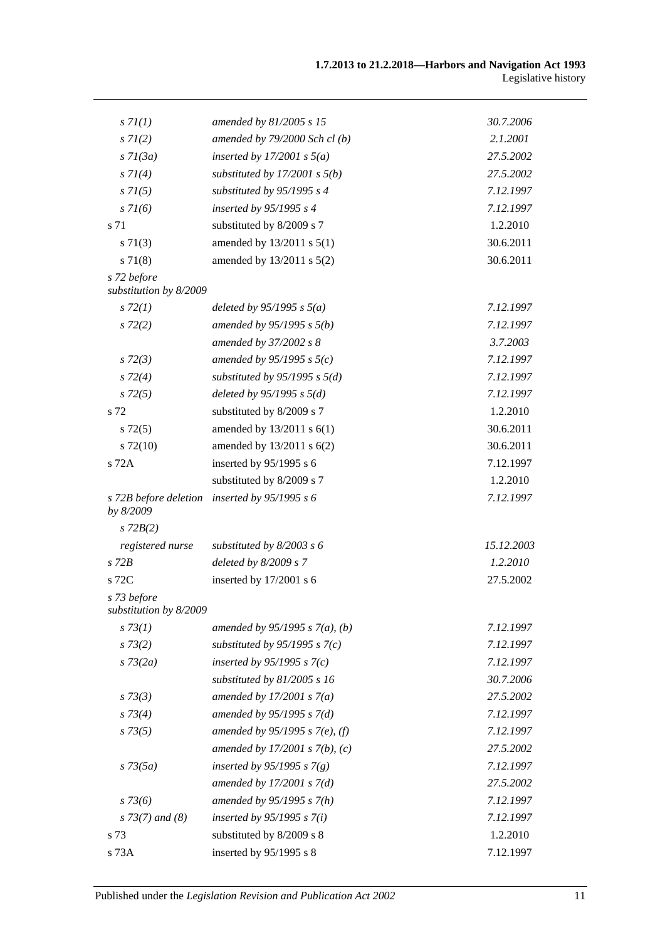| s 7I(1)                               | amended by 81/2005 s 15           | 30.7.2006  |
|---------------------------------------|-----------------------------------|------------|
| $s \, 7l(2)$                          | amended by $79/2000$ Sch cl (b)   | 2.1.2001   |
| $s \, 7l(3a)$                         | inserted by $17/2001$ s $5(a)$    | 27.5.2002  |
| $s \, 7I(4)$                          | substituted by $17/2001$ s $5(b)$ | 27.5.2002  |
| $s \, 7I(5)$                          | substituted by $95/1995 s 4$      | 7.12.1997  |
| $s \, 71(6)$                          | inserted by 95/1995 s 4           | 7.12.1997  |
| s 71                                  | substituted by 8/2009 s 7         | 1.2.2010   |
| $s \, 71(3)$                          | amended by 13/2011 s 5(1)         | 30.6.2011  |
| s 71(8)                               | amended by 13/2011 s 5(2)         | 30.6.2011  |
| s 72 before                           |                                   |            |
| substitution by 8/2009                |                                   |            |
| $s\,72(1)$                            | deleted by $95/1995$ s $5(a)$     | 7.12.1997  |
| $s\,72(2)$                            | amended by $95/1995 s 5(b)$       | 7.12.1997  |
|                                       | amended by 37/2002 s 8            | 3.7.2003   |
| $s\,72(3)$                            | amended by 95/1995 s $5(c)$       | 7.12.1997  |
| $s\,72(4)$                            | substituted by $95/1995$ s $5(d)$ | 7.12.1997  |
| $s\,72(5)$                            | deleted by $95/1995 s 5(d)$       | 7.12.1997  |
| s 72                                  | substituted by 8/2009 s 7         | 1.2.2010   |
| $s\,72(5)$                            | amended by $13/2011$ s $6(1)$     | 30.6.2011  |
| $s\ 72(10)$                           | amended by 13/2011 s 6(2)         | 30.6.2011  |
| s 72A                                 | inserted by 95/1995 s 6           | 7.12.1997  |
|                                       | substituted by 8/2009 s 7         | 1.2.2010   |
| s 72B before deletion<br>by 8/2009    | inserted by $95/1995 s 6$         | 7.12.1997  |
| $s$ 72 $B(2)$                         |                                   |            |
| registered nurse                      | substituted by $8/2003$ s 6       | 15.12.2003 |
| $s$ 72 $B$                            | deleted by $8/2009 s 7$           | 1.2.2010   |
| $s$ 72C                               | inserted by 17/2001 s 6           | 27.5.2002  |
| s 73 before<br>substitution by 8/2009 |                                   |            |
| $s \, 73(1)$                          | amended by $95/1995 s 7(a)$ , (b) | 7.12.1997  |
| $s \, 73(2)$                          | substituted by $95/1995$ s $7(c)$ | 7.12.1997  |
| $s \, 73(2a)$                         | inserted by $95/1995 s 7(c)$      | 7.12.1997  |
|                                       | substituted by 81/2005 s 16       | 30.7.2006  |
| $s \, 73(3)$                          | amended by $17/2001 s 7(a)$       | 27.5.2002  |
| $s \, 73(4)$                          | amended by $95/1995 s 7(d)$       | 7.12.1997  |
| $s \, 73(5)$                          | amended by 95/1995 s 7(e), (f)    | 7.12.1997  |
|                                       | amended by $17/2001 s 7(b)$ , (c) | 27.5.2002  |
| $s \, 73(5a)$                         | inserted by 95/1995 s $7(g)$      | 7.12.1997  |
|                                       | amended by $17/2001 s 7(d)$       | 27.5.2002  |
| $s \, 73(6)$                          | amended by $95/1995 s 7(h)$       | 7.12.1997  |
| $s$ 73(7) and (8)                     | inserted by $95/1995$ s $7(i)$    | 7.12.1997  |
| s 73                                  | substituted by 8/2009 s 8         | 1.2.2010   |
| s 73A                                 | inserted by 95/1995 s 8           | 7.12.1997  |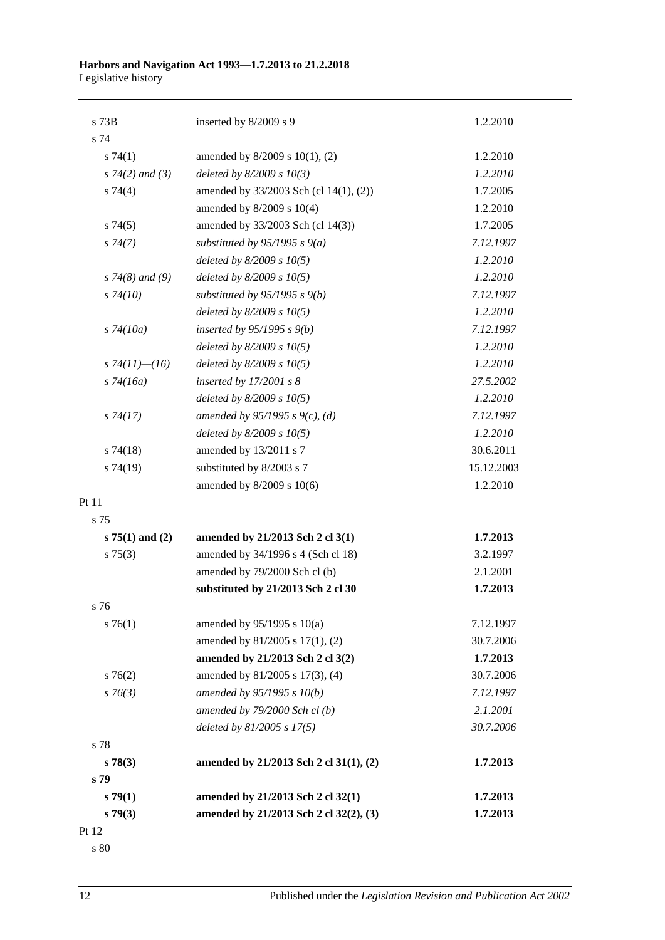| s 73B                | inserted by 8/2009 s 9                 | 1.2.2010   |
|----------------------|----------------------------------------|------------|
| s 74                 |                                        |            |
| $s \, 74(1)$         | amended by 8/2009 s 10(1), (2)         | 1.2.2010   |
| $s \, 74(2)$ and (3) | deleted by $8/2009 s 10(3)$            | 1.2.2010   |
| s 74(4)              | amended by 33/2003 Sch (cl 14(1), (2)) | 1.7.2005   |
|                      | amended by 8/2009 s 10(4)              | 1.2.2010   |
| s74(5)               | amended by 33/2003 Sch (cl 14(3))      | 1.7.2005   |
| s74(7)               | substituted by $95/1995$ s $9(a)$      | 7.12.1997  |
|                      | deleted by $8/2009 s 10(5)$            | 1.2.2010   |
| $s$ 74(8) and (9)    | deleted by $8/2009 s 10(5)$            | 1.2.2010   |
| $s\,74(10)$          | substituted by $95/1995$ s $9(b)$      | 7.12.1997  |
|                      | deleted by $8/2009 s 10(5)$            | 1.2.2010   |
| $s\,74(10a)$         | inserted by $95/1995 s 9(b)$           | 7.12.1997  |
|                      | deleted by $8/2009 s 10(5)$            | 1.2.2010   |
| s $74(11)$ — $(16)$  | deleted by $8/2009 s 10(5)$            | 1.2.2010   |
| $s\,74(16a)$         | inserted by $17/2001 s 8$              | 27.5.2002  |
|                      | deleted by $8/2009 s 10(5)$            | 1.2.2010   |
| $s\,74(17)$          | amended by 95/1995 s 9(c), (d)         | 7.12.1997  |
|                      | deleted by $8/2009 s 10(5)$            | 1.2.2010   |
| $s\,74(18)$          | amended by 13/2011 s 7                 | 30.6.2011  |
| s74(19)              | substituted by 8/2003 s 7              | 15.12.2003 |
|                      | amended by 8/2009 s 10(6)              | 1.2.2010   |
| Pt 11                |                                        |            |
| s 75                 |                                        |            |
| $s 75(1)$ and (2)    | amended by 21/2013 Sch 2 cl 3(1)       | 1.7.2013   |
| $s \, 75(3)$         | amended by 34/1996 s 4 (Sch cl 18)     | 3.2.1997   |
|                      | amended by 79/2000 Sch cl (b)          | 2.1.2001   |
|                      | substituted by 21/2013 Sch 2 cl 30     | 1.7.2013   |
| s 76                 |                                        |            |
| $s \, 76(1)$         | amended by $95/1995$ s $10(a)$         | 7.12.1997  |
|                      | amended by 81/2005 s 17(1), (2)        | 30.7.2006  |
|                      | amended by 21/2013 Sch 2 cl 3(2)       | 1.7.2013   |
| $s \, 76(2)$         | amended by 81/2005 s 17(3), (4)        | 30.7.2006  |
| $s \, 76(3)$         | amended by $95/1995 s 10(b)$           | 7.12.1997  |
|                      | amended by 79/2000 Sch cl (b)          | 2.1.2001   |
|                      | deleted by 81/2005 s 17(5)             | 30.7.2006  |
| s 78                 |                                        |            |
| s 78(3)              | amended by 21/2013 Sch 2 cl 31(1), (2) | 1.7.2013   |
| s 79                 |                                        |            |
| s79(1)               | amended by 21/2013 Sch 2 cl 32(1)      | 1.7.2013   |
| s79(3)               | amended by 21/2013 Sch 2 cl 32(2), (3) | 1.7.2013   |
| Pt 12                |                                        |            |

s 80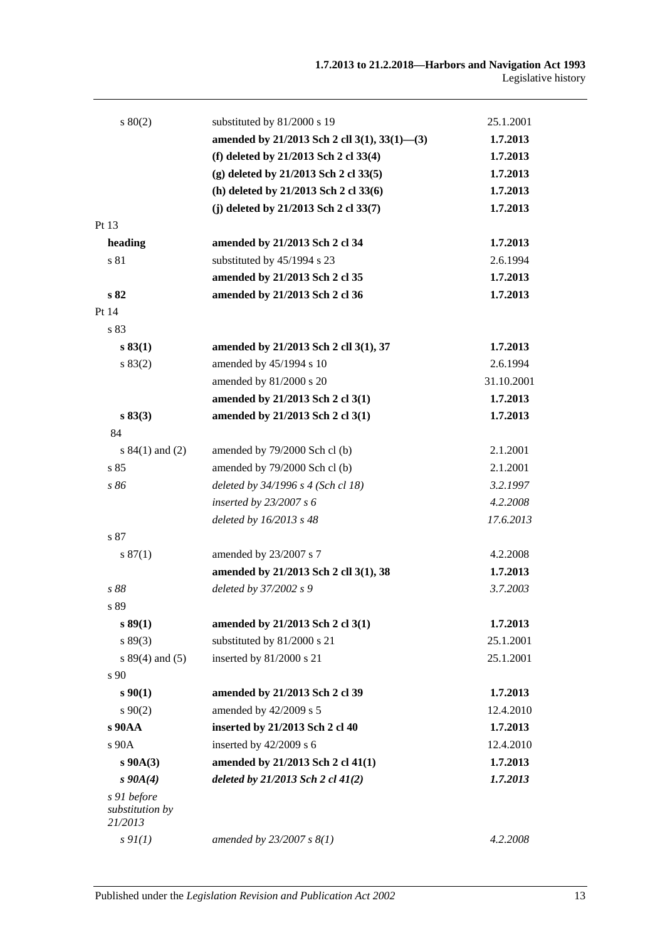| 80(2)                                     | substituted by 81/2000 s 19                  | 25.1.2001  |
|-------------------------------------------|----------------------------------------------|------------|
|                                           | amended by 21/2013 Sch 2 cll 3(1), 33(1)-(3) | 1.7.2013   |
|                                           | (f) deleted by 21/2013 Sch 2 cl 33(4)        | 1.7.2013   |
|                                           | (g) deleted by 21/2013 Sch 2 cl 33(5)        | 1.7.2013   |
|                                           | (h) deleted by 21/2013 Sch 2 cl 33(6)        | 1.7.2013   |
|                                           | (j) deleted by $21/2013$ Sch 2 cl $33(7)$    | 1.7.2013   |
| Pt 13                                     |                                              |            |
| heading                                   | amended by 21/2013 Sch 2 cl 34               | 1.7.2013   |
| s 81                                      | substituted by 45/1994 s 23                  | 2.6.1994   |
|                                           | amended by 21/2013 Sch 2 cl 35               | 1.7.2013   |
| s 82                                      | amended by 21/2013 Sch 2 cl 36               | 1.7.2013   |
| Pt 14                                     |                                              |            |
| s 83                                      |                                              |            |
| s 83(1)                                   | amended by 21/2013 Sch 2 cll 3(1), 37        | 1.7.2013   |
| s 83(2)                                   | amended by 45/1994 s 10                      | 2.6.1994   |
|                                           | amended by 81/2000 s 20                      | 31.10.2001 |
|                                           | amended by 21/2013 Sch 2 cl 3(1)             | 1.7.2013   |
| s 83(3)                                   | amended by 21/2013 Sch 2 cl 3(1)             | 1.7.2013   |
| 84                                        |                                              |            |
| s $84(1)$ and $(2)$                       | amended by 79/2000 Sch cl (b)                | 2.1.2001   |
| s85                                       | amended by 79/2000 Sch cl (b)                | 2.1.2001   |
| s 86                                      | deleted by 34/1996 s 4 (Sch cl 18)           | 3.2.1997   |
|                                           | inserted by $23/2007 s 6$                    | 4.2.2008   |
|                                           | deleted by 16/2013 s 48                      | 17.6.2013  |
| s 87                                      |                                              |            |
| s 87(1)                                   | amended by 23/2007 s 7                       | 4.2.2008   |
|                                           | amended by 21/2013 Sch 2 cll 3(1), 38        | 1.7.2013   |
| s 88                                      | deleted by 37/2002 s 9                       | 3.7.2003   |
| s 89                                      |                                              |            |
| s 89(1)                                   | amended by 21/2013 Sch 2 cl 3(1)             | 1.7.2013   |
| s 89(3)                                   | substituted by 81/2000 s 21                  | 25.1.2001  |
| s $89(4)$ and $(5)$                       | inserted by 81/2000 s 21                     | 25.1.2001  |
| s 90                                      |                                              |            |
| $s\,90(1)$                                | amended by 21/2013 Sch 2 cl 39               | 1.7.2013   |
| $s \ 90(2)$                               | amended by 42/2009 s 5                       | 12.4.2010  |
| s 90AA                                    | inserted by 21/2013 Sch 2 cl 40              | 1.7.2013   |
| s 90A                                     | inserted by 42/2009 s 6                      | 12.4.2010  |
| $s\ 90A(3)$                               | amended by 21/2013 Sch 2 cl 41(1)            | 1.7.2013   |
| $s\,90A(4)$                               | deleted by $21/2013$ Sch 2 cl $41(2)$        | 1.7.2013   |
| s 91 before<br>substitution by<br>21/2013 |                                              |            |
| $s \mathfrak{H}(1)$                       | amended by $23/2007 s 8(1)$                  | 4.2.2008   |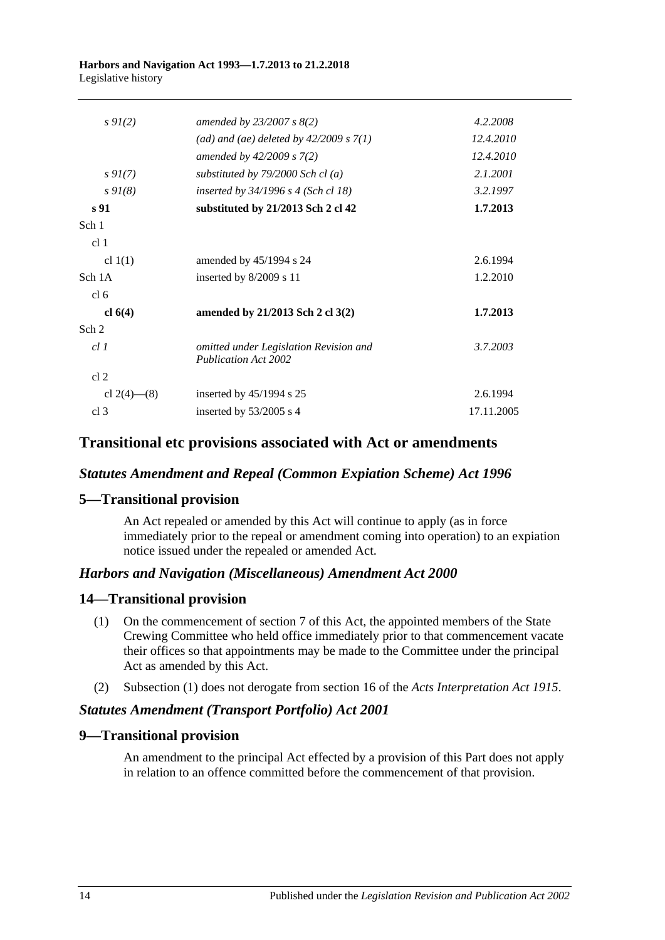| $s \, 9I(2)$      | amended by $23/2007 s 8(2)$                                           | 4.2.2008   |
|-------------------|-----------------------------------------------------------------------|------------|
|                   | (ad) and (ae) deleted by $42/2009 s 7(1)$                             | 12.4.2010  |
|                   | amended by $42/2009$ s $7(2)$                                         | 12.4.2010  |
| $s \, 9I(7)$      | substituted by $79/2000$ Sch cl (a)                                   | 2.1.2001   |
| $s \, 9I(8)$      | inserted by $34/1996$ s 4 (Sch cl 18)                                 | 3.2.1997   |
| s <sub>91</sub>   | substituted by 21/2013 Sch 2 cl 42                                    | 1.7.2013   |
| Sch 1             |                                                                       |            |
| cl <sub>1</sub>   |                                                                       |            |
| cl $1(1)$         | amended by 45/1994 s 24                                               | 2.6.1994   |
| Sch 1A            | inserted by $8/2009$ s 11                                             | 1.2.2010   |
| cl <sub>6</sub>   |                                                                       |            |
| cl $6(4)$         | amended by 21/2013 Sch 2 cl 3(2)                                      | 1.7.2013   |
| Sch <sub>2</sub>  |                                                                       |            |
| cl.1              | omitted under Legislation Revision and<br><b>Publication Act 2002</b> | 3.7.2003   |
| cl <sub>2</sub>   |                                                                       |            |
| cl $2(4)$ — $(8)$ | inserted by $45/1994$ s 25                                            | 2.6.1994   |
| cl <sub>3</sub>   | inserted by $53/2005$ s 4                                             | 17.11.2005 |
|                   |                                                                       |            |

## **Transitional etc provisions associated with Act or amendments**

## *Statutes Amendment and Repeal (Common Expiation Scheme) Act 1996*

## **5—Transitional provision**

An Act repealed or amended by this Act will continue to apply (as in force immediately prior to the repeal or amendment coming into operation) to an expiation notice issued under the repealed or amended Act.

### *Harbors and Navigation (Miscellaneous) Amendment Act 2000*

## **14—Transitional provision**

- (1) On the commencement of section 7 of this Act, the appointed members of the State Crewing Committee who held office immediately prior to that commencement vacate their offices so that appointments may be made to the Committee under the principal Act as amended by this Act.
- (2) Subsection (1) does not derogate from section 16 of the *[Acts Interpretation Act](http://www.legislation.sa.gov.au/index.aspx?action=legref&type=act&legtitle=Acts%20Interpretation%20Act%201915) 1915*.

### *Statutes Amendment (Transport Portfolio) Act 2001*

### **9—Transitional provision**

An amendment to the principal Act effected by a provision of this Part does not apply in relation to an offence committed before the commencement of that provision.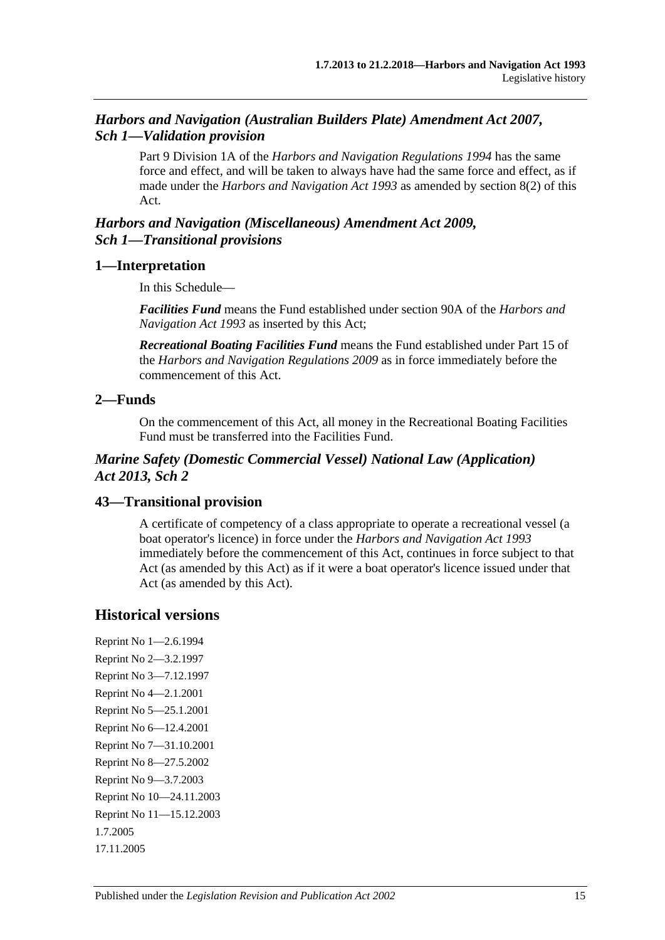## *Harbors and Navigation (Australian Builders Plate) Amendment Act 2007, Sch 1—Validation provision*

Part 9 Division 1A of the *[Harbors and Navigation Regulations](http://www.legislation.sa.gov.au/index.aspx?action=legref&type=subordleg&legtitle=Harbors%20and%20Navigation%20Regulations%201994) 1994* has the same force and effect, and will be taken to always have had the same force and effect, as if made under the *[Harbors and Navigation Act](http://www.legislation.sa.gov.au/index.aspx?action=legref&type=act&legtitle=Harbors%20and%20Navigation%20Act%201993) 1993* as amended by section 8(2) of this Act.

## *Harbors and Navigation (Miscellaneous) Amendment Act 2009, Sch 1—Transitional provisions*

## **1—Interpretation**

In this Schedule—

*Facilities Fund* means the Fund established under section 90A of the *[Harbors and](http://www.legislation.sa.gov.au/index.aspx?action=legref&type=act&legtitle=Harbors%20and%20Navigation%20Act%201993)  [Navigation Act](http://www.legislation.sa.gov.au/index.aspx?action=legref&type=act&legtitle=Harbors%20and%20Navigation%20Act%201993) 1993* as inserted by this Act;

*Recreational Boating Facilities Fund* means the Fund established under Part 15 of the *[Harbors and Navigation Regulations](http://www.legislation.sa.gov.au/index.aspx?action=legref&type=subordleg&legtitle=Harbors%20and%20Navigation%20Regulations%202009) 2009* as in force immediately before the commencement of this Act.

## **2—Funds**

On the commencement of this Act, all money in the Recreational Boating Facilities Fund must be transferred into the Facilities Fund.

## *Marine Safety (Domestic Commercial Vessel) National Law (Application) Act 2013, Sch 2*

## **43—Transitional provision**

A certificate of competency of a class appropriate to operate a recreational vessel (a boat operator's licence) in force under the *[Harbors and Navigation Act](http://www.legislation.sa.gov.au/index.aspx?action=legref&type=act&legtitle=Harbors%20and%20Navigation%20Act%201993) 1993* immediately before the commencement of this Act, continues in force subject to that Act (as amended by this Act) as if it were a boat operator's licence issued under that Act (as amended by this Act).

## **Historical versions**

Reprint No 1—2.6.1994 Reprint No 2—3.2.1997 Reprint No 3—7.12.1997 Reprint No 4—2.1.2001 Reprint No 5—25.1.2001 Reprint No 6—12.4.2001 Reprint No 7—31.10.2001 Reprint No 8—27.5.2002 Reprint No 9—3.7.2003 Reprint No 10—24.11.2003 Reprint No 11—15.12.2003 1.7.2005 17.11.2005